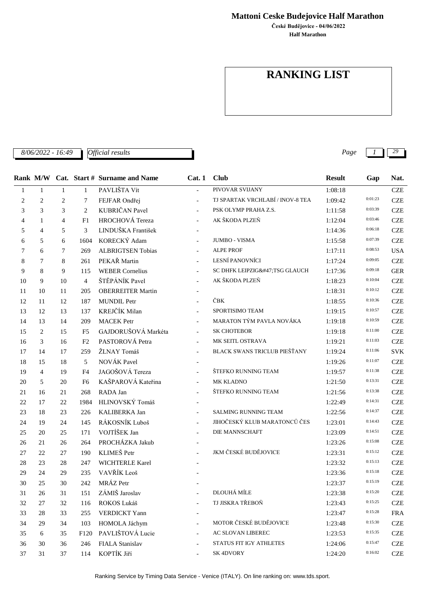**Mattoni Ceske Budejovice Half Marathon**

**Half Marathon České Budějovice - 04/06/2022**

## **RANKING LIST**

*8/06/2022 - 16:49 Page 1 29*

|                |                |                |                | Rank M/W Cat. Start # Surname and Name | Cat.1                    | <b>Club</b>                      | <b>Result</b> | Gap     | Nat.                      |
|----------------|----------------|----------------|----------------|----------------------------------------|--------------------------|----------------------------------|---------------|---------|---------------------------|
| $\mathbf{1}$   | $\mathbf{1}$   | $\mathbf{1}$   | $\mathbf{1}$   | PAVLIŠTA Vít                           |                          | PIVOVAR SVIJANY                  | 1:08:18       |         | $CZE$                     |
| $\overline{c}$ | $\overline{c}$ | $\overline{c}$ | 7              | FEJFAR Ondřej                          | $\equiv$                 | TJ SPARTAK VRCHLABÍ / INOV-8 TEA | 1:09:42       | 0:01:23 | <b>CZE</b>                |
| 3              | 3              | 3              | 2              | KUBRIČAN Pavel                         | $\equiv$                 | PSK OLYMP PRAHA Z.S.             | 1:11:58       | 0:03:39 | <b>CZE</b>                |
| 4              | 1              | $\overline{4}$ | F1             | HROCHOVÁ Tereza                        | $\mathbf{r}$             | AK ŠKODA PLZEŇ                   | 1:12:04       | 0:03:46 | <b>CZE</b>                |
| 5              | $\overline{4}$ | 5              | 3              | LINDUŠKA František                     | $\overline{\phantom{a}}$ |                                  | 1:14:36       | 0:06:18 | <b>CZE</b>                |
| 6              | 5              | 6              | 1604           | KORECKÝ Adam                           |                          | <b>JUMBO - VISMA</b>             | 1:15:58       | 0:07:39 | <b>CZE</b>                |
| $\tau$         | 6              | 7              | 269            | <b>ALBRIGTSEN Tobias</b>               | $\equiv$                 | <b>ALPE PROF</b>                 | 1:17:11       | 0:08:53 | <b>USA</b>                |
| 8              | 7              | 8              | 261            | PEKAŘ Martin                           | $\equiv$                 | LESNÍ PANOVNÍCI                  | 1:17:24       | 0:09:05 | <b>CZE</b>                |
| 9              | 8              | 9              | 115            | <b>WEBER Cornelius</b>                 |                          | SC DHFK LEIPZIG/TSG GLAUCH       | 1:17:36       | 0:09:18 | <b>GER</b>                |
| 10             | 9              | 10             | $\overline{4}$ | ŠTĚPÁNÍK Pavel                         | $\mathbf{r}$             | AK ŠKODA PLZEŇ                   | 1:18:23       | 0:10:04 | <b>CZE</b>                |
| 11             | 10             | 11             | 205            | <b>OBERREITER Martin</b>               |                          |                                  | 1:18:31       | 0:10:12 | <b>CZE</b>                |
| 12             | 11             | 12             | 187            | <b>MUNDIL Petr</b>                     |                          | ČBK                              | 1:18:55       | 0:10:36 | <b>CZE</b>                |
| 13             | 12             | 13             | 137            | KREJČÍK Milan                          |                          | SPORTISIMO TEAM                  | 1:19:15       | 0:10:57 | <b>CZE</b>                |
| 14             | 13             | 14             | 209            | <b>MACEK</b> Petr                      | $\equiv$                 | MARATON TÝM PAVLA NOVÁKA         | 1:19:18       | 0:10:59 | <b>CZE</b>                |
| 15             | 2              | 15             | F <sub>5</sub> | GAJDORUŠOVÁ Markéta                    | $\equiv$                 | <b>SK CHOTEBOR</b>               | 1:19:18       | 0:11:00 | <b>CZE</b>                |
| 16             | 3              | 16             | F2             | PASTOROVÁ Petra                        |                          | MK SEITL OSTRAVA                 | 1:19:21       | 0:11:03 | <b>CZE</b>                |
| 17             | 14             | 17             | 259            | ŽLNAY Tomáš                            | $\equiv$                 | BLACK SWANS TRICLUB PIEŠŤANY     | 1:19:24       | 0:11:06 | <b>SVK</b>                |
| 18             | 15             | 18             | 5              | NOVÁK Pavel                            |                          |                                  | 1:19:26       | 0:11:07 | <b>CZE</b>                |
| 19             | $\overline{4}$ | 19             | F <sub>4</sub> | JAGOŠOVÁ Tereza                        |                          | ŠTEFKO RUNNING TEAM              | 1:19:57       | 0:11:38 | <b>CZE</b>                |
| 20             | 5              | 20             | F6             | KAŠPAROVÁ Kateřina                     | $\equiv$                 | MK KLADNO                        | 1:21:50       | 0:13:31 | <b>CZE</b>                |
| 21             | 16             | 21             | 268            | RADA Jan                               |                          | ŠTEFKO RUNNING TEAM              | 1:21:56       | 0:13:38 | <b>CZE</b>                |
| 22             | 17             | 22             | 1984           | HLINOVSKÝ Tomáš                        |                          |                                  | 1:22:49       | 0:14:31 | <b>CZE</b>                |
| 23             | 18             | 23             | 226            | KALIBERKA Jan                          | $\equiv$                 | <b>SALMING RUNNING TEAM</b>      | 1:22:56       | 0:14:37 | <b>CZE</b>                |
| 24             | 19             | 24             | 145            | RÁKOSNÍK Luboš                         | $\overline{a}$           | JIHOČESKÝ KLUB MARATONCŮ ČES     | 1:23:01       | 0:14:43 | <b>CZE</b>                |
| 25             | 20             | 25             | 171            | VOJTÍŠEK Jan                           |                          | DIE MANNSCHAFT                   | 1:23:09       | 0:14:51 | <b>CZE</b>                |
| 26             | 21             | 26             | 264            | PROCHÁZKA Jakub                        |                          |                                  | 1:23:26       | 0:15:08 | <b>CZE</b>                |
| 27             | 22             | 27             | 190            | KLIMEŠ Petr                            |                          | JKM ČESKÉ BUDĚJOVICE             | 1:23:31       | 0:15:12 | <b>CZE</b>                |
| 28             | 23             | 28             | 247            | WICHTERLE Karel                        |                          |                                  | 1:23:32       | 0:15:13 | <b>CZE</b>                |
| 29             | 24             | 29             | 235            | VAVŘÍK Leoš                            |                          |                                  | 1:23:36       | 0:15:18 | <b>CZE</b>                |
| 30             | 25             | 30             | 242            | MRÁZ Petr                              |                          |                                  | 1:23:37       | 0:15:19 | <b>CZE</b>                |
| 31             | 26             | 31             | 151            | ZÁMIŠ Jaroslav                         |                          | DLOUHÁ MÍLE                      | 1:23:38       | 0:15:20 | $\ensuremath{\text{CZE}}$ |
| 32             | 27             | 32             | 116            | ROKOS Lukáš                            |                          | TJ JISKRA TŘEBOŇ                 | 1:23:43       | 0:15:25 | <b>CZE</b>                |
| 33             | 28             | 33             | 255            | <b>VERDICKT</b> Yann                   |                          |                                  | 1:23:47       | 0:15:28 | ${\rm FRA}$               |
| 34             | 29             | 34             | 103            | HOMOLA Jáchym                          |                          | MOTOR ČESKÉ BUDĚJOVICE           | 1:23:48       | 0:15:30 | <b>CZE</b>                |
| 35             | 6              | 35             | F120           | PAVLIŠTOVÁ Lucie                       |                          | AC SLOVAN LIBEREC                | 1:23:53       | 0:15:35 | $CZE$                     |
| 36             | 30             | 36             | 246            | FIALA Stanislav                        |                          | STATUS FIT IGY ATHLETES          | 1:24:06       | 0:15:47 | CZE                       |
| 37             | 31             | 37             | 114            | KOPTÍK Jiří                            |                          | <b>SK4DVORY</b>                  | 1:24:20       | 0:16:02 | CZE                       |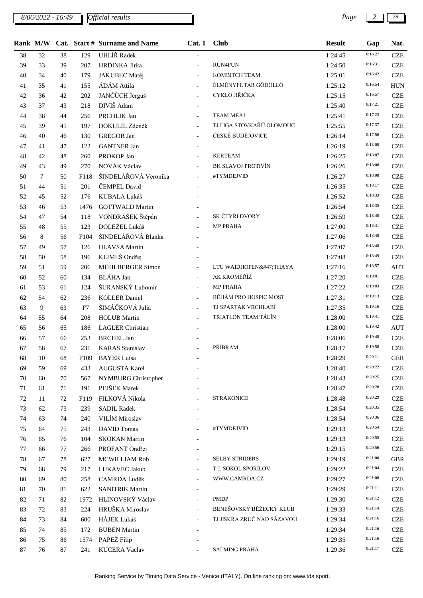*8/06/2022 - 16:49 Page 2 29*

|    |    |    |      | Rank M/W Cat. Start # Surname and Name | Cat.1                    | <b>Club</b>                | <b>Result</b> | Gap     | Nat.       |
|----|----|----|------|----------------------------------------|--------------------------|----------------------------|---------------|---------|------------|
| 38 | 32 | 38 | 129  | UHLÍŘ Radek                            |                          |                            | 1:24:45       | 0:16:27 | <b>CZE</b> |
| 39 | 33 | 39 | 207  | HRDINKA Jirka                          | $\blacksquare$           | <b>RUN4FUN</b>             | 1:24:50       | 0:16:31 | <b>CZE</b> |
| 40 | 34 | 40 | 179  | JAKUBEC Matěj                          |                          | KOMBITCH TEAM              | 1:25:01       | 0:16:42 | <b>CZE</b> |
| 41 | 35 | 41 | 155  | ÁDÁM Attila                            | $\equiv$                 | ÉLMÉNYFUTÁR GÖDÖLLŐ        | 1:25:12       | 0:16:54 | <b>HUN</b> |
| 42 | 36 | 42 | 202  | JANČÚCH Jerguš                         |                          | CYKLO JIŘIČKA              | 1:25:15       | 0:16:57 | <b>CZE</b> |
| 43 | 37 | 43 | 218  | DIVIŠ Adam                             |                          |                            | 1:25:40       | 0:17:21 | <b>CZE</b> |
| 44 | 38 | 44 | 256  | PRCHLIK Jan                            | $\blacksquare$           | <b>TEAM MEAJ</b>           | 1:25:41       | 0:17:23 | <b>CZE</b> |
| 45 | 39 | 45 | 197  | DOKULIL Zdeněk                         | $\equiv$                 | TJ LIGA STOVKAŘŮ OLOMOUC   | 1:25:55       | 0:17:37 | <b>CZE</b> |
| 46 | 40 | 46 | 130  | <b>GREGOR Jan</b>                      |                          | ČESKÉ BUDĚJOVICE           | 1:26:14       | 0:17:56 | <b>CZE</b> |
| 47 | 41 | 47 | 122  | <b>GANTNER Jan</b>                     |                          |                            | 1:26:19       | 0:18:00 | <b>CZE</b> |
| 48 | 42 | 48 | 260  | PROKOP Jan                             |                          | <b>KERTEAM</b>             | 1:26:25       | 0:18:07 | <b>CZE</b> |
| 49 | 43 | 49 | 270  | NOVÁK Václav                           | $\overline{\phantom{a}}$ | BK SLAVOJ PROTIVÍN         | 1:26:26       | 0:18:08 | <b>CZE</b> |
| 50 | 7  | 50 | F118 | ŠINDELÁŘOVÁ Veronika                   |                          | #TYMDEJVID                 | 1:26:27       | 0:18:08 | <b>CZE</b> |
| 51 | 44 | 51 | 201  | ČEMPEL David                           |                          |                            | 1:26:35       | 0:18:17 | <b>CZE</b> |
| 52 | 45 | 52 | 176  | KUBALA Lukáš                           |                          |                            | 1:26:52       | 0:18:33 | <b>CZE</b> |
| 53 | 46 | 53 | 1476 | <b>GOTTWALD Martin</b>                 |                          |                            | 1:26:54       | 0:18:35 | <b>CZE</b> |
| 54 | 47 | 54 | 118  | VONDRÁŠEK Štěpán                       |                          | SK ČTYŘI DVORY             | 1:26:59       | 0:18:40 | <b>CZE</b> |
| 55 | 48 | 55 | 123  | DOLEŽEL Lukáš                          |                          | <b>MP PRAHA</b>            | 1:27:00       | 0:18:41 | <b>CZE</b> |
| 56 | 8  | 56 | F104 | ŠINDELÁŘOVÁ Blanka                     |                          |                            | 1:27:06       | 0:18:48 | <b>CZE</b> |
| 57 | 49 | 57 | 126  | <b>HLAVSA</b> Martin                   |                          |                            | 1:27:07       | 0:18:48 | <b>CZE</b> |
| 58 | 50 | 58 | 196  | KLIMEŠ Ondřej                          |                          |                            | 1:27:08       | 0:18:49 | <b>CZE</b> |
| 59 | 51 | 59 | 206  | MÜHLBERGER Simon                       |                          | LTU WAIDHOFEN/THAYA        | 1:27:16       | 0:18:57 | <b>AUT</b> |
| 60 | 52 | 60 | 134  | <b>BLÁHA Jan</b>                       | $\overline{\phantom{a}}$ | AK KROMĚŘÍŽ                | 1:27:20       | 0:19:01 | <b>CZE</b> |
| 61 | 53 | 61 | 124  | ŠURANSKÝ Lubomír                       | $\equiv$                 | <b>MP PRAHA</b>            | 1:27:22       | 0:19:03 | <b>CZE</b> |
| 62 | 54 | 62 | 236  | <b>KOLLER Daniel</b>                   | $\equiv$                 | BĚHÁM PRO HOSPIC MOST      | 1:27:31       | 0:19:13 | <b>CZE</b> |
| 63 | 9  | 63 | F7   | ŠIMÁČKOVÁ Julia                        |                          | TJ SPARTAK VRCHLABÍ        | 1:27:35       | 0:19:16 | <b>CZE</b> |
| 64 | 55 | 64 | 208  | <b>HOLUB</b> Martin                    | $\equiv$                 | TRIATLON TEAM TÁLÍN        | 1:28:00       | 0:19:41 | <b>CZE</b> |
| 65 | 56 | 65 | 186  | <b>LAGLER</b> Christian                |                          |                            | 1:28:00       | 0:19:42 | <b>AUT</b> |
| 66 | 57 | 66 | 253  | <b>BRCHEL Jan</b>                      |                          |                            | 1:28:06       | 0:19:48 | <b>CZE</b> |
| 67 | 58 | 67 | 231  | <b>KARAS</b> Stanislav                 |                          | PŘÍBRAM                    | 1:28:17       | 0:19:58 | <b>CZE</b> |
| 68 | 10 | 68 |      | F109 BAYER Luisa                       |                          |                            | 1:28:29       | 0:20:11 | <b>GER</b> |
| 69 | 59 | 69 | 433  | <b>AUGUSTA Karel</b>                   |                          |                            | 1:28:40       | 0:20:22 | <b>CZE</b> |
| 70 | 60 | 70 | 567  | NYMBURG Christopher                    |                          |                            | 1:28:43       | 0:20:25 | <b>CZE</b> |
| 71 | 61 | 71 | 191  | PEJŠEK Marek                           |                          |                            | 1:28:47       | 0:20:28 | <b>CZE</b> |
| 72 | 11 | 72 | F119 | FILKOVÁ Nikola                         |                          | <b>STRAKONICE</b>          | 1:28:48       | 0:20:29 | <b>CZE</b> |
| 73 | 62 | 73 | 239  | <b>SADIL Radek</b>                     |                          |                            | 1:28:54       | 0:20:35 | <b>CZE</b> |
| 74 | 63 | 74 | 240  | VILÍM Miroslav                         |                          |                            | 1:28:54       | 0:20:36 | <b>CZE</b> |
| 75 | 64 | 75 | 243  | <b>DAVID</b> Tomas                     |                          | #TYMDEJVID                 | 1:29:13       | 0:20:54 | <b>CZE</b> |
| 76 | 65 | 76 | 104  | <b>SKOKAN</b> Martin                   |                          |                            | 1:29:13       | 0:20:55 | <b>CZE</b> |
| 77 | 66 | 77 | 266  | PROFANT Ondřej                         |                          |                            | 1:29:15       | 0:20:56 | <b>CZE</b> |
| 78 | 67 | 78 | 627  | MCWILLIAM Rob                          |                          | <b>SELBY STRIDERS</b>      | 1:29:19       | 0:21:00 | <b>GBR</b> |
| 79 | 68 | 79 | 217  | LUKAVEC Jakub                          |                          | T.J. SOKOL SPOŘILOV        | 1:29:22       | 0:21:04 | <b>CZE</b> |
| 80 | 69 | 80 | 258  | CAMRDA Luděk                           |                          | WWW.CAMRDA.CZ              | 1:29:27       | 0:21:08 | <b>CZE</b> |
| 81 | 70 | 81 | 622  | <b>SANITRIK Martin</b>                 |                          |                            | 1:29:29       | 0:21:11 | <b>CZE</b> |
| 82 | 71 | 82 | 1972 | HLINOVSKÝ Václav                       |                          | <b>PMDP</b>                | 1:29:30       | 0:21:12 | <b>CZE</b> |
| 83 | 72 | 83 | 224  | HRUŠKA Miroslav                        |                          | BENEŠOVSKÝ BĚŽECKÝ KLUB    | 1:29:33       | 0:21:14 | <b>CZE</b> |
| 84 | 73 | 84 | 600  | HÁJEK Lukáš                            |                          | TJ JISKRA ZRUČ NAD SÁZAVOU | 1:29:34       | 0:21:16 | <b>CZE</b> |
| 85 | 74 | 85 | 172  | <b>BUBEN Martin</b>                    |                          |                            | 1:29:34       | 0:21:16 | <b>CZE</b> |
| 86 | 75 | 86 | 1574 | PAPEŽ Filip                            |                          |                            | 1:29:35       | 0:21:16 | <b>CZE</b> |
| 87 | 76 | 87 | 241  | <b>KUCERA Vaclav</b>                   |                          | SALMING PRAHA              | 1:29:36       | 0:21:17 | <b>CZE</b> |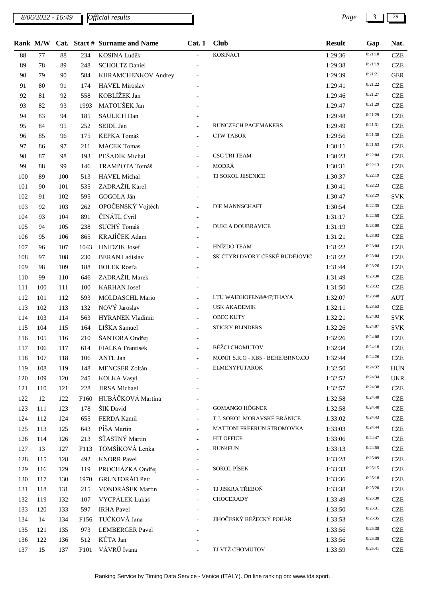*8/06/2022 - 16:49 Page 3 29*

|     |     |     |                  | Rank M/W Cat. Start # Surname and Name | Cat.1                    | <b>Club</b>                      | <b>Result</b> | Gap     | Nat.       |
|-----|-----|-----|------------------|----------------------------------------|--------------------------|----------------------------------|---------------|---------|------------|
| 88  | 77  | 88  | 234              | KOSINA Luděk                           | $\mathbf{r}$             | KOSIŇÁCI                         | 1:29:36       | 0:21:18 | <b>CZE</b> |
| 89  | 78  | 89  | 248              | <b>SCHOLTZ Daniel</b>                  |                          |                                  | 1:29:38       | 0:21:19 | <b>CZE</b> |
| 90  | 79  | 90  | 584              | KHRAMCHENKOV Andrey                    |                          |                                  | 1:29:39       | 0:21:21 | <b>GER</b> |
| 91  | 80  | 91  | 174              | <b>HAVEL Miroslav</b>                  |                          |                                  | 1:29:41       | 0:21:22 | <b>CZE</b> |
| 92  | 81  | 92  | 558              | KOBLÍŽEK Jan                           |                          |                                  | 1:29:46       | 0:21:27 | <b>CZE</b> |
| 93  | 82  | 93  | 1993             | MATOUŠEK Jan                           |                          |                                  | 1:29:47       | 0:21:29 | <b>CZE</b> |
| 94  | 83  | 94  | 185              | <b>SAULICH Dan</b>                     |                          |                                  | 1:29:48       | 0:21:29 | <b>CZE</b> |
| 95  | 84  | 95  | 252              | SEIDL Jan                              |                          | RUNCZECH PACEMAKERS              | 1:29:49       | 0:21:31 | <b>CZE</b> |
| 96  | 85  | 96  | 175              | KEPKA Tomáš                            | $\overline{\phantom{a}}$ | <b>CTW TABOR</b>                 | 1:29:56       | 0:21:38 | <b>CZE</b> |
| 97  | 86  | 97  | 211              | <b>MACEK Tomas</b>                     |                          |                                  | 1:30:11       | 0:21:53 | <b>CZE</b> |
| 98  | 87  | 98  | 193              | PEŠADÍK Michal                         | $\overline{a}$           | <b>CSG TRI TEAM</b>              | 1:30:23       | 0:22:04 | <b>CZE</b> |
| 99  | 88  | 99  | 146              | TRAMPOTA Tomáš                         |                          | MODRÁ                            | 1:30:31       | 0:22:13 | <b>CZE</b> |
| 100 | 89  | 100 | 513              | HAVEL Michal                           |                          | TJ SOKOL JESENICE                | 1:30:37       | 0:22:19 | <b>CZE</b> |
| 101 | 90  | 101 | 535              | ZADRAŽIL Karel                         |                          |                                  | 1:30:41       | 0:22:23 | <b>CZE</b> |
| 102 | 91  | 102 | 595              | GOGOLA Ján                             |                          |                                  | 1:30:47       | 0:22:29 | <b>SVK</b> |
| 103 | 92  | 103 | 262              | OPOČENSKÝ Vojtěch                      |                          | DIE MANNSCHAFT                   | 1:30:54       | 0:22:35 | <b>CZE</b> |
| 104 | 93  | 104 | 891              | ČINÁTL Cyril                           |                          |                                  | 1:31:17       | 0:22:58 | <b>CZE</b> |
| 105 | 94  | 105 | 238              | SUCHÝ Tomáš                            | $\equiv$                 | <b>DUKLA DOUBRAVICE</b>          | 1:31:19       | 0:23:00 | <b>CZE</b> |
| 106 | 95  | 106 | 865              | KRAJÍČEK Adam                          | $\overline{\phantom{a}}$ |                                  | 1:31:21       | 0:23:03 | <b>CZE</b> |
| 107 | 96  | 107 | 1043             | <b>HNIDZIK</b> Josef                   | $\equiv$                 | HNÍZDO TEAM                      | 1:31:22       | 0:23:04 | <b>CZE</b> |
| 108 | 97  | 108 | 230              | <b>BERAN Ladislav</b>                  |                          | SK ČTYŘI DVORY ČESKÉ BUDĚJOVIC   | 1:31:22       | 0:23:04 | <b>CZE</b> |
| 109 | 98  | 109 | 188              | <b>BOLEK Rosťa</b>                     |                          |                                  | 1:31:44       | 0:23:26 | <b>CZE</b> |
| 110 | 99  | 110 | 646              | ZADRAŽIL Marek                         |                          |                                  | 1:31:49       | 0:23:30 | <b>CZE</b> |
| 111 | 100 | 111 | 100              | <b>KARHAN</b> Josef                    |                          |                                  | 1:31:50       | 0:23:32 | <b>CZE</b> |
| 112 | 101 | 112 | 593              | MOLDASCHL Mario                        |                          | LTU WAIDHOFEN/THAYA              | 1:32:07       | 0:23:48 | <b>AUT</b> |
| 113 | 102 | 113 | 132              | NOVÝ Jaroslav                          | $\overline{\phantom{a}}$ | <b>USK AKADEMIK</b>              | 1:32:11       | 0:23:53 | <b>CZE</b> |
| 114 | 103 | 114 | 563              | HYRANEK Vladimir                       |                          | <b>OBEC KUTY</b>                 | 1:32:21       | 0:24:03 | <b>SVK</b> |
| 115 | 104 | 115 | 164              | LIŠKA Samuel                           | $\equiv$                 | <b>STICKY BLINDERS</b>           | 1:32:26       | 0:24:07 | <b>SVK</b> |
| 116 | 105 | 116 | 210              | ŠANTORA Ondřej                         |                          |                                  | 1:32:26       | 0:24:08 | <b>CZE</b> |
| 117 | 106 | 117 | 614              | <b>FIALKA</b> Frantisek                | $\equiv$                 | <b>BĚŽCI CHOMUTOV</b>            | 1:32:34       | 0:24:16 | <b>CZE</b> |
| 118 | 107 | 118 |                  | 106 ANTL Jan                           |                          | MONIT S.R.O - KB5 - BEHEJBRNO.CO | 1:32:44       | 0:24:26 | <b>CZE</b> |
| 119 | 108 | 119 | 148              | <b>MENCSER Zoltán</b>                  |                          | <b>ELMENYFUTAROK</b>             | 1:32:50       | 0:24:32 | <b>HUN</b> |
| 120 | 109 | 120 | 245              | <b>KOLKA Vasyl</b>                     |                          |                                  | 1:32:52       | 0:24:34 | <b>UKR</b> |
| 121 | 110 | 121 | 228              | <b>JIRSA</b> Michael                   |                          |                                  | 1:32:57       | 0:24:38 | <b>CZE</b> |
| 122 | 12  | 122 | F <sub>160</sub> | HUBÁČKOVÁ Martina                      |                          |                                  | 1:32:58       | 0:24:40 | <b>CZE</b> |
| 123 | 111 | 123 | 178              | ŠIK David                              |                          | <b>GOMANGO HÖGNER</b>            | 1:32:58       | 0:24:40 | <b>CZE</b> |
| 124 | 112 | 124 | 655              | FERDA Kamil                            |                          | T.J. SOKOL MORAVSKÉ BRÁNICE      | 1:33:02       | 0:24:43 | <b>CZE</b> |
| 125 | 113 | 125 | 643              | PÍŠA Martin                            | $\blacksquare$           | MATTONI FREERUN STROMOVKA        | 1:33:03       | 0:24:44 | <b>CZE</b> |
| 126 | 114 | 126 | 213              | ŠŤASTNÝ Martin                         |                          | <b>HIT OFFICE</b>                | 1:33:06       | 0:24:47 | <b>CZE</b> |
| 127 | 13  | 127 | F113             | TOMŠÍKOVÁ Lenka                        |                          | RUN4FUN                          | 1:33:13       | 0:24:55 | <b>CZE</b> |
| 128 | 115 | 128 | 492              | <b>KNORR Pavel</b>                     |                          |                                  | 1:33:28       | 0:25:09 | <b>CZE</b> |
| 129 | 116 | 129 | 119              | PROCHÁZKA Ondřej                       | $\equiv$                 | <b>SOKOL PÍSEK</b>               | 1:33:33       | 0:25:15 | <b>CZE</b> |
| 130 | 117 | 130 | 1970             | <b>GRUNTORÁD Petr</b>                  | $\overline{\phantom{0}}$ |                                  | 1:33:36       | 0:25:18 | <b>CZE</b> |
| 131 | 118 | 131 | 215              | VONDRÁŠEK Martin                       |                          | TJ JISKRA TŘEBOŇ                 | 1:33:38       | 0:25:20 | <b>CZE</b> |
| 132 | 119 | 132 | 107              | VYCPÁLEK Lukáš                         | $\overline{a}$           | <b>CHOCERADY</b>                 | 1:33:49       | 0:25:30 | <b>CZE</b> |
| 133 | 120 | 133 | 597              | <b>IRHA Pavel</b>                      |                          |                                  | 1:33:50       | 0:25:31 | <b>CZE</b> |
| 134 | 14  | 134 | F156             | TUČKOVÁ Jana                           |                          | JIHOČESKÝ BĚŽECKÝ POHÁR          | 1:33:53       | 0:25:35 | <b>CZE</b> |
| 135 | 121 | 135 | 973              | <b>LEMBERGER Pavel</b>                 |                          |                                  | 1:33:56       | 0:25:38 | <b>CZE</b> |
| 136 | 122 | 136 | 512              | KŮTA Jan                               |                          |                                  | 1:33:56       | 0:25:38 | <b>CZE</b> |
| 137 | 15  | 137 |                  | F101 VÁVRŮ Ivana                       |                          | TJ VTŽ CHOMUTOV                  | 1:33:59       | 0:25:41 | <b>CZE</b> |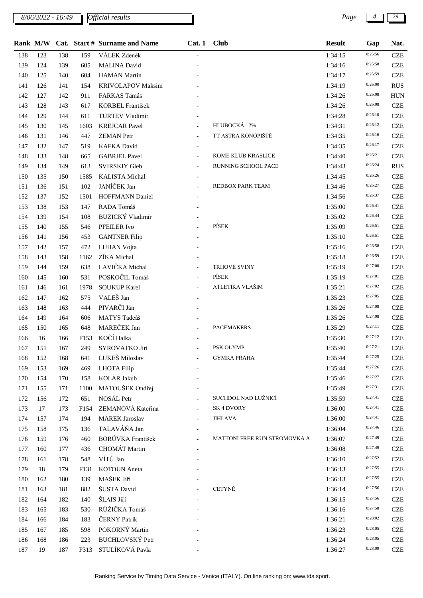*8/06/2022 - 16:49 Page 4 29*

|     | Rank M/W |     |                  | Cat. Start # Surname and Name | Cat. 1 Club              |                              | <b>Result</b> | Gap     | Nat.       |
|-----|----------|-----|------------------|-------------------------------|--------------------------|------------------------------|---------------|---------|------------|
| 138 | 123      | 138 | 159              | VÁLEK Zdeněk                  |                          |                              | 1:34:15       | 0:25:56 | <b>CZE</b> |
| 139 | 124      | 139 | 605              | <b>MALINA</b> David           |                          |                              | 1:34:16       | 0:25:58 | <b>CZE</b> |
| 140 | 125      | 140 | 604              | <b>HAMAN</b> Martin           |                          |                              | 1:34:17       | 0:25:59 | <b>CZE</b> |
| 141 | 126      | 141 | 154              | <b>KRIVOLAPOV Maksim</b>      |                          |                              | 1:34:19       | 0:26:00 | <b>RUS</b> |
| 142 | 127      | 142 | 911              | FARKAS Tamás                  |                          |                              | 1:34:26       | 0:26:08 | HUN        |
| 143 | 128      | 143 | 617              | KORBEL František              |                          |                              | 1:34:26       | 0:26:08 | <b>CZE</b> |
| 144 | 129      | 144 | 611              | TURTEV Vladimír               |                          |                              | 1:34:28       | 0:26:10 | <b>CZE</b> |
| 145 | 130      | 145 | 1603             | <b>KREJCAR Pavel</b>          |                          | HLUBOCKÁ 12%                 | 1:34:31       | 0:26:12 | <b>CZE</b> |
| 146 | 131      | 146 | 447              | <b>ZEMAN</b> Petr             | $\overline{\phantom{a}}$ | TT ASTRA KONOPIŠTĚ           | 1:34:35       | 0:26:16 | <b>CZE</b> |
| 147 | 132      | 147 | 519              | <b>KAFKA</b> David            |                          |                              | 1:34:35       | 0:26:17 | <b>CZE</b> |
| 148 | 133      | 148 | 665              | <b>GABRIEL Pavel</b>          |                          | KOME KLUB KRASLICE           | 1:34:40       | 0:26:21 | <b>CZE</b> |
| 149 | 134      | 149 | 613              | <b>SVIRSKIY Gleb</b>          |                          | RUNNING SCHOOL PACE          | 1:34:43       | 0:26:24 | <b>RUS</b> |
| 150 | 135      | 150 | 1585             | <b>KALISTA</b> Michal         |                          |                              | 1:34:45       | 0:26:26 | <b>CZE</b> |
| 151 | 136      | 151 | 102              | JANÍČEK Jan                   |                          | REDBOX PARK TEAM             | 1:34:46       | 0:26:27 | <b>CZE</b> |
| 152 | 137      | 152 | 1501             | <b>HOFFMANN Daniel</b>        |                          |                              | 1:34:56       | 0:26:37 | <b>CZE</b> |
| 153 | 138      | 153 | 147              | RADA Tomáš                    |                          |                              | 1:35:00       | 0:26:41 | <b>CZE</b> |
| 154 | 139      | 154 | 108              | BUZICKÝ Vladimír              |                          |                              | 1:35:02       | 0:26:44 | <b>CZE</b> |
| 155 | 140      | 155 | 546              | PFEILER Ivo                   |                          | PÍSEK                        | 1:35:09       | 0:26:51 | <b>CZE</b> |
| 156 | 141      | 156 | 453              | <b>GANTNER Filip</b>          |                          |                              | 1:35:10       | 0:26:51 | <b>CZE</b> |
| 157 | 142      | 157 | 472              | LUHAN Vojta                   |                          |                              | 1:35:16       | 0:26:58 | <b>CZE</b> |
| 158 | 143      | 158 | 1162             | ZÍKA Michal                   |                          |                              | 1:35:18       | 0:26:59 | <b>CZE</b> |
| 159 | 144      | 159 | 638              | LAVIČKA Michal                |                          | TRHOVÉ SVINY                 | 1:35:19       | 0:27:00 | <b>CZE</b> |
| 160 | 145      | 160 | 531              | POSKOČIL Tomáš                |                          | PÍSEK                        | 1:35:19       | 0:27:01 | <b>CZE</b> |
| 161 | 146      | 161 | 1978             | <b>SOUKUP Karel</b>           |                          | ATLETIKA VLAŠIM              | 1:35:21       | 0:27:02 | <b>CZE</b> |
| 162 | 147      | 162 | 575              | VALEŠ Jan                     |                          |                              | 1:35:23       | 0:27:05 | <b>CZE</b> |
| 163 | 148      | 163 | 444              | PIVARČI Ján                   |                          |                              | 1:35:26       | 0:27:08 | <b>CZE</b> |
| 164 | 149      | 164 | 606              | MATYS Tadeáš                  |                          |                              | 1:35:26       | 0:27:08 | <b>CZE</b> |
| 165 | 150      | 165 | 648              | MAREČEK Jan                   |                          | <b>PACEMAKERS</b>            | 1:35:29       | 0:27:11 | <b>CZE</b> |
| 166 | 16       | 166 | F153             | KOČÍ Halka                    |                          |                              | 1:35:30       | 0:27:12 | <b>CZE</b> |
| 167 | 151      | 167 | 249              | SYROVATKO Jiri                |                          | PSK OLYMP                    | 1:35:40       | 0:27:21 | <b>CZE</b> |
| 168 | 152      | 168 | 641              | LUKEŠ Miloslav                |                          | <b>GYMKA PRAHA</b>           | 1:35:44       | 0:27:25 | <b>CZE</b> |
| 169 | 153      | 169 | 469              | <b>LHOTA</b> Filip            |                          |                              | 1:35:44       | 0:27:26 | <b>CZE</b> |
| 170 | 154      | 170 | 158              | <b>KOLAR Jakub</b>            |                          |                              | 1:35:46       | 0:27:27 | <b>CZE</b> |
| 171 | 155      | 171 | 1100             | MATOUŠEK Ondřej               |                          |                              | 1:35:49       | 0:27:31 | <b>CZE</b> |
| 172 | 156      | 172 | 651              | NOSÁL Petr                    |                          | SUCHDOL NAD LUŽNICÍ          | 1:35:59       | 0:27:41 | <b>CZE</b> |
| 173 | 17       | 173 | F154             | ZEMANOVÁ Kateřina             |                          | SK <sub>4</sub> DVORY        | 1:36:00       | 0:27:41 | <b>CZE</b> |
| 174 | 157      | 174 | 194              | <b>MAREK Jaroslav</b>         |                          | JIHLAVA                      | 1:36:00       | 0:27:41 | <b>CZE</b> |
| 175 | 158      | 175 | 136              | TALAVÁŇA Jan                  |                          |                              | 1:36:04       | 0:27:46 | <b>CZE</b> |
| 176 | 159      | 176 | 460              | BORŮVKA František             |                          | MATTONI FREE RUN STROMOVKA A | 1:36:07       | 0:27:49 | <b>CZE</b> |
| 177 | 160      | 177 | 436              | CHOMÁT Martin                 |                          |                              | 1:36:08       | 0:27:49 | <b>CZE</b> |
| 178 | 161      | 178 | 548              | VÍTŮ Jan                      |                          |                              | 1:36:10       | 0:27:52 | <b>CZE</b> |
| 179 | 18       | 179 | F <sub>131</sub> | <b>KOTOUN</b> Aneta           |                          |                              | 1:36:13       | 0:27:55 | <b>CZE</b> |
| 180 | 162      | 180 | 139              | MAŠEK Jiří                    |                          |                              | 1:36:13       | 0:27:55 | <b>CZE</b> |
| 181 | 163      | 181 | 882              | ŠUSTA David                   |                          | CETYNĚ                       | 1:36:14       | 0:27:56 | <b>CZE</b> |
| 182 | 164      | 182 | 140              | ŠLAIS Jiří                    |                          |                              | 1:36:15       | 0:27:56 | <b>CZE</b> |
| 183 | 165      | 183 | 530              | RŮŽIČKA Tomáš                 |                          |                              | 1:36:16       | 0:27:58 | <b>CZE</b> |
| 184 | 166      | 184 | 183              | ČERNÝ Patrik                  |                          |                              | 1:36:21       | 0:28:02 | <b>CZE</b> |
| 185 | 167      | 185 | 598              | POKORNÝ Martin                |                          |                              | 1:36:23       | 0:28:05 | <b>CZE</b> |
| 186 | 168      | 186 | 223              | <b>BUCHLOVSKÝ Petr</b>        |                          |                              | 1:36:24       | 0:28:05 | <b>CZE</b> |
| 187 | 19       | 187 | F313             | STULÍKOVÁ Pavla               |                          |                              | 1:36:27       | 0:28:09 | <b>CZE</b> |
|     |          |     |                  |                               |                          |                              |               |         |            |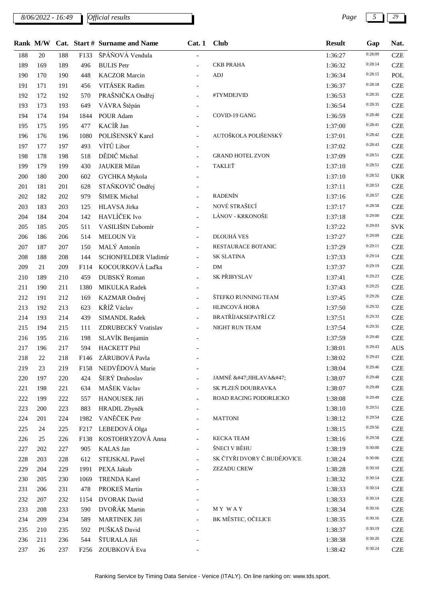*8/06/2022 - 16:49 Official results Page* 

|     |     |     |                  | Rank M/W Cat. Start # Surname and Name | Cat.1                    | <b>Club</b>                 | <b>Result</b> | Gap     | Nat.       |
|-----|-----|-----|------------------|----------------------------------------|--------------------------|-----------------------------|---------------|---------|------------|
| 188 | 20  | 188 | F133             | ŠPÁŇOVÁ Vendula                        |                          |                             | 1:36:27       | 0:28:09 | <b>CZE</b> |
| 189 | 169 | 189 | 496              | <b>BULIS</b> Petr                      |                          | <b>CKB PRAHA</b>            | 1:36:32       | 0:28:14 | <b>CZE</b> |
| 190 | 170 | 190 | 448              | <b>KACZOR</b> Marcin                   |                          | <b>ADJ</b>                  | 1:36:34       | 0:28:15 | POL        |
| 191 | 171 | 191 | 456              | VITÁSEK Radim                          |                          |                             | 1:36:37       | 0:28:18 | <b>CZE</b> |
| 192 | 172 | 192 | 570              | PRAŠNIČKA Ondřej                       |                          | #TYMDEJVID                  | 1:36:53       | 0:28:35 | <b>CZE</b> |
| 193 | 173 | 193 | 649              | VÁVRA Štěpán                           |                          |                             | 1:36:54       | 0:28:35 | <b>CZE</b> |
| 194 | 174 | 194 | 1844             | POUR Adam                              |                          | COVID-19 GANG               | 1:36:59       | 0:28:40 | <b>CZE</b> |
| 195 | 175 | 195 | 477              | KACÍŘ Jan                              |                          |                             | 1:37:00       | 0:28:41 | <b>CZE</b> |
| 196 | 176 | 196 | 1080             | POLIŠENSKÝ Karel                       |                          | AUTOŠKOLA POLIŠENSKÝ        | 1:37:01       | 0:28:42 | <b>CZE</b> |
| 197 | 177 | 197 | 493              | VÍTŮ Libor                             |                          |                             | 1:37:02       | 0:28:43 | <b>CZE</b> |
| 198 | 178 | 198 | 518              | DĚDIČ Michal                           |                          | <b>GRAND HOTEL ZVON</b>     | 1:37:09       | 0:28:51 | <b>CZE</b> |
| 199 | 179 | 199 | 430              | <b>JAUKER Milan</b>                    |                          | TAKLEŤ                      | 1:37:10       | 0:28:51 | <b>CZE</b> |
| 200 | 180 | 200 | 602              | <b>GYCHKA</b> Mykola                   |                          |                             | 1:37:10       | 0:28:52 | <b>UKR</b> |
| 201 | 181 | 201 | 628              | STAŇKOVIČ Ondřej                       |                          |                             | 1:37:11       | 0:28:53 | <b>CZE</b> |
| 202 | 182 | 202 | 979              | ŠIMEK Michal                           |                          | <b>RADENÍN</b>              | 1:37:16       | 0:28:57 | <b>CZE</b> |
| 203 | 183 | 203 | 125              | HLAVSA Jirka                           |                          | NOVÉ STRAŠECÍ               | 1:37:17       | 0:28:58 | <b>CZE</b> |
| 204 | 184 | 204 | 142              | HAVLÍČEK Ivo                           | $\overline{a}$           | LÁNOV - KRKONOŠE            | 1:37:18       | 0:29:00 | <b>CZE</b> |
| 205 | 185 | 205 | 511              | VASILIŠIN Ľubomír                      | $\overline{\phantom{0}}$ |                             | 1:37:22       | 0:29:03 | <b>SVK</b> |
| 206 | 186 | 206 | 514              | <b>MELOUN Vít</b>                      |                          | DLOUHÁ VES                  | 1:37:27       | 0:29:09 | <b>CZE</b> |
| 207 | 187 | 207 | 150              | MALÝ Antonín                           |                          | RESTAURACE BOTANIC          | 1:37:29       | 0:29:11 | <b>CZE</b> |
| 208 | 188 | 208 | 144              | SCHONFELDER Vladimír                   | $\overline{a}$           | <b>SK SLATINA</b>           | 1:37:33       | 0:29:14 | <b>CZE</b> |
| 209 | 21  | 209 | F114             | KOCOURKOVÁ Laďka                       | $\overline{a}$           | <b>DM</b>                   | 1:37:37       | 0:29:19 | <b>CZE</b> |
| 210 | 189 | 210 | 459              | DUBSKÝ Roman                           | $\overline{a}$           | SK PŘIBYSLAV                | 1:37:41       | 0:29:23 | <b>CZE</b> |
| 211 | 190 | 211 | 1380             | MIKULKA Radek                          |                          |                             | 1:37:43       | 0:29:25 | <b>CZE</b> |
| 212 | 191 | 212 | 169              | KAZMAR Ondrej                          |                          | ŠTEFKO RUNNING TEAM         | 1:37:45       | 0:29:26 | <b>CZE</b> |
| 213 | 192 | 213 | 623              | KŘÍŽ Václav                            |                          | HLINCOVÁ HORA               | 1:37:50       | 0:29:32 | <b>CZE</b> |
| 214 | 193 | 214 | 439              | <b>SIMANDL Radek</b>                   |                          | <b>BRATŘÍJAKSEPATŘÍ.CZ</b>  | 1:37:51       | 0:29:33 | <b>CZE</b> |
| 215 | 194 | 215 | 111              | ZDRUBECKÝ Vratislav                    |                          | NIGHT RUN TEAM              | 1:37:54       | 0:29:35 | <b>CZE</b> |
| 216 | 195 | 216 | 198              | SLAVÍK Benjamin                        |                          |                             | 1:37:59       | 0:29:40 | <b>CZE</b> |
| 217 | 196 | 217 | 594              | <b>HACKETT Phil</b>                    |                          |                             | 1:38:01       | 0:29:43 | <b>AUS</b> |
| 218 | 22  | 218 | F146             | ZÁRUBOVÁ Pavla                         |                          |                             | 1:38:02       | 0:29:43 | <b>CZE</b> |
| 219 | 23  | 219 | F158             | NEDVĚDOVÁ Marie                        |                          |                             | 1:38:04       | 0:29:46 | <b>CZE</b> |
| 220 | 197 | 220 | 424              | ŠERÝ Drahoslav                         |                          | JAMNÉ /JIHLAVA/             | 1:38:07       | 0:29:48 | <b>CZE</b> |
| 221 | 198 | 221 | 634              | MAŠEK Václav                           |                          | SK PLZEŇ DOUBRAVKA          | 1:38:07       | 0:29:49 | <b>CZE</b> |
| 222 | 199 | 222 | 557              | HANOUSEK Jiří                          |                          | ROAD RACING PODORLICKO      | 1:38:08       | 0:29:49 | <b>CZE</b> |
| 223 | 200 | 223 | 883              | HRADIL Zbyněk                          |                          |                             | 1:38:10       | 0:29:51 | <b>CZE</b> |
| 224 | 201 | 224 | 1982             | VANĚČEK Petr                           |                          | <b>MATTONI</b>              | 1:38:12       | 0:29:54 | <b>CZE</b> |
| 225 | 24  | 225 | F <sub>217</sub> | LEBEDOVÁ Olga                          |                          |                             | 1:38:15       | 0:29:56 | <b>CZE</b> |
| 226 | 25  | 226 | F138             | KOSTOHRYZOVÁ Anna                      |                          | <b>KECKA TEAM</b>           | 1:38:16       | 0:29:58 | <b>CZE</b> |
| 227 | 202 | 227 | 905              | <b>KALAS</b> Jan                       |                          | ŠNECI V BĚHU                | 1:38:19       | 0:30:00 | <b>CZE</b> |
| 228 | 203 | 228 | 612              | STEJSKAL Pavel                         | $\overline{a}$           | SK ČTYŘI DVORY Č.BUDĚJOVICE | 1:38:24       | 0:30:06 | <b>CZE</b> |
| 229 | 204 | 229 | 1991             | PEXA Jakub                             |                          | ZEZADU CREW                 | 1:38:28       | 0:30:10 | <b>CZE</b> |
| 230 | 205 | 230 | 1069             | <b>TRENDA Karel</b>                    |                          |                             | 1:38:32       | 0:30:14 | <b>CZE</b> |
| 231 | 206 | 231 | 478              | PROKEŠ Martin                          |                          |                             | 1:38:33       | 0:30:14 | <b>CZE</b> |
| 232 | 207 | 232 | 1154             | <b>DVORAK</b> David                    |                          |                             | 1:38:33       | 0:30:14 | <b>CZE</b> |
| 233 | 208 | 233 | 590              | DVOŘÁK Martin                          |                          | MY WAY                      | 1:38:34       | 0:30:16 | <b>CZE</b> |
| 234 | 209 | 234 | 589              | MARTINEK Jiří                          |                          | BK MĚSTEC, OČELICE          | 1:38:35       | 0:30:16 | <b>CZE</b> |
| 235 | 210 | 235 | 592              | PUŠKAŠ David                           |                          |                             | 1:38:37       | 0:30:19 | <b>CZE</b> |
| 236 | 211 | 236 | 544              | ŠTURALA Jiří                           |                          |                             | 1:38:38       | 0:30:20 | <b>CZE</b> |
| 237 | 26  | 237 | F <sub>256</sub> | ZOUBKOVÁ Eva                           |                          |                             | 1:38:42       | 0:30:24 | <b>CZE</b> |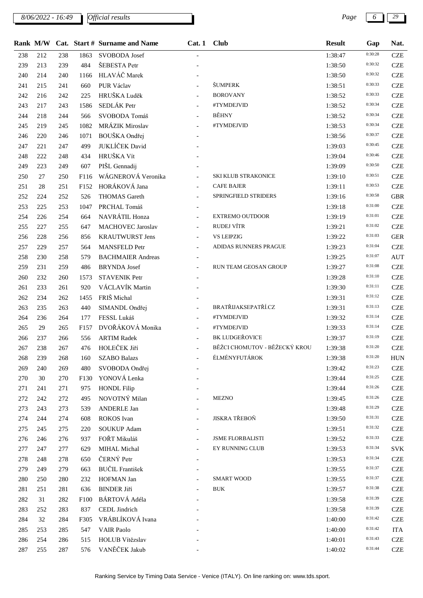*8/06/2022 - 16:49 Page 6 29*

|     |     |     |      | Rank M/W Cat. Start # Surname and Name | Cat. 1 Club              |                               | <b>Result</b> | Gap     | Nat.       |
|-----|-----|-----|------|----------------------------------------|--------------------------|-------------------------------|---------------|---------|------------|
| 238 | 212 | 238 | 1863 | SVOBODA Josef                          |                          |                               | 1:38:47       | 0:30:28 | <b>CZE</b> |
| 239 | 213 | 239 | 484  | ŠEBESTA Petr                           |                          |                               | 1:38:50       | 0:30:32 | <b>CZE</b> |
| 240 | 214 | 240 | 1166 | HLAVÁČ Marek                           |                          |                               | 1:38:50       | 0:30:32 | <b>CZE</b> |
| 241 | 215 | 241 | 660  | PUR Václav                             |                          | <b>ŠUMPERK</b>                | 1:38:51       | 0:30:33 | <b>CZE</b> |
| 242 | 216 | 242 | 225  | HRUŠKA Luděk                           |                          | <b>BOROVANY</b>               | 1:38:52       | 0:30:33 | <b>CZE</b> |
| 243 | 217 | 243 | 1586 | SEDLÁK Petr                            |                          | #TYMDEJVID                    | 1:38:52       | 0:30:34 | <b>CZE</b> |
| 244 | 218 | 244 | 566  | SVOBODA Tomáš                          | $\overline{a}$           | BĚHNY                         | 1:38:52       | 0:30:34 | <b>CZE</b> |
| 245 | 219 | 245 | 1082 | MRÁZIK Miroslav                        |                          | #TYMDEJVID                    | 1:38:53       | 0:30:34 | <b>CZE</b> |
| 246 | 220 | 246 | 1071 | BOUŠKA Ondřej                          |                          |                               | 1:38:56       | 0:30:37 | <b>CZE</b> |
| 247 | 221 | 247 | 499  | JUKLÍČEK David                         |                          |                               | 1:39:03       | 0:30:45 | <b>CZE</b> |
| 248 | 222 | 248 | 434  | HRUŠKA Vít                             |                          |                               | 1:39:04       | 0:30:46 | <b>CZE</b> |
| 249 | 223 | 249 | 607  | PIŠL Gennadij                          |                          |                               | 1:39:09       | 0:30:50 | <b>CZE</b> |
| 250 | 27  | 250 | F116 | WÁGNEROVÁ Veronika                     |                          | SKI KLUB STRAKONICE           | 1:39:10       | 0:30:51 | <b>CZE</b> |
| 251 | 28  | 251 | F152 | HORÁKOVÁ Jana                          |                          | <b>CAFE BAJER</b>             | 1:39:11       | 0:30:53 | <b>CZE</b> |
| 252 | 224 | 252 | 526  | <b>THOMAS</b> Gareth                   |                          | SPRINGFIELD STRIDERS          | 1:39:16       | 0:30:58 | <b>GBR</b> |
| 253 | 225 | 253 | 1047 | PRCHAL Tomáš                           |                          |                               | 1:39:18       | 0:31:00 | <b>CZE</b> |
| 254 | 226 | 254 | 664  | NAVRÁTIL Honza                         |                          | <b>EXTREMO OUTDOOR</b>        | 1:39:19       | 0:31:01 | <b>CZE</b> |
| 255 | 227 | 255 | 647  | <b>MACHOVEC Jaroslav</b>               | $\equiv$                 | RUDEJ VÍTR                    | 1:39:21       | 0:31:02 | <b>CZE</b> |
| 256 | 228 | 256 | 856  | <b>KRAUTWURST Jens</b>                 | $\overline{\phantom{a}}$ | <b>VS LEIPZIG</b>             | 1:39:22       | 0:31:03 | <b>GER</b> |
| 257 | 229 | 257 | 564  | <b>MANSFELD Petr</b>                   |                          | ADIDAS RUNNERS PRAGUE         | 1:39:23       | 0:31:04 | <b>CZE</b> |
| 258 | 230 | 258 | 579  | <b>BACHMAIER Andreas</b>               |                          |                               | 1:39:25       | 0:31:07 | <b>AUT</b> |
| 259 | 231 | 259 | 486  | <b>BRYNDA</b> Josef                    |                          | RUN TEAM GEOSAN GROUP         | 1:39:27       | 0:31:08 | <b>CZE</b> |
| 260 | 232 | 260 | 1573 | <b>STAVENIK Petr</b>                   |                          |                               | 1:39:28       | 0:31:10 | <b>CZE</b> |
| 261 | 233 | 261 | 920  | VÁCLAVÍK Martin                        |                          |                               | 1:39:30       | 0:31:11 | <b>CZE</b> |
| 262 | 234 | 262 | 1455 | FRIŠ Michal                            |                          |                               | 1:39:31       | 0:31:12 | <b>CZE</b> |
| 263 | 235 | 263 | 440  | SIMANDL Ondřej                         |                          | <b>BRATŘIJAKSEPATŘÍ.CZ</b>    | 1:39:31       | 0:31:13 | <b>CZE</b> |
| 264 | 236 | 264 | 177  | FESSL Lukáš                            |                          | #TYMDEJVID                    | 1:39:32       | 0:31:14 | <b>CZE</b> |
| 265 | 29  | 265 | F157 | DVOŘÁKOVÁ Monika                       | $\equiv$                 | #TYMDEJVID                    | 1:39:33       | 0:31:14 | <b>CZE</b> |
| 266 | 237 | 266 | 556  | <b>ARTIM Radek</b>                     |                          | BK LUDGEŘOVICE                | 1:39:37       | 0:31:19 | <b>CZE</b> |
| 267 | 238 | 267 | 476  | HOLEČEK Jiří                           |                          | BĚŽCI CHOMUTOV - BĚŽECKÝ KROU | 1:39:38       | 0:31:20 | <b>CZE</b> |
| 268 | 239 | 268 | 160  | <b>SZABO Balazs</b>                    |                          | ÉLMÉNYFUTÁROK                 | 1:39:38       | 0:31:20 | <b>HUN</b> |
| 269 | 240 | 269 | 480  | SVOBODA Ondřej                         |                          |                               | 1:39:42       | 0:31:23 | <b>CZE</b> |
| 270 | 30  | 270 | F130 | YONOVÁ Lenka                           |                          |                               | 1:39:44       | 0:31:25 | <b>CZE</b> |
| 271 | 241 | 271 | 975  | <b>HONDL Filip</b>                     |                          |                               | 1:39:44       | 0:31:26 | <b>CZE</b> |
| 272 | 242 | 272 | 495  | NOVOTNÝ Milan                          |                          | <b>MEZNO</b>                  | 1:39:45       | 0:31:26 | <b>CZE</b> |
| 273 | 243 | 273 | 539  | <b>ANDERLE Jan</b>                     |                          |                               | 1:39:48       | 0:31:29 | <b>CZE</b> |
| 274 | 244 | 274 | 608  | <b>ROKOS</b> Ivan                      |                          | JISKRA TŘEBOŇ                 | 1:39:50       | 0:31:31 | <b>CZE</b> |
| 275 | 245 | 275 | 220  | <b>SOUKUP Adam</b>                     |                          |                               | 1:39:51       | 0:31:32 | <b>CZE</b> |
| 276 | 246 | 276 | 937  | FOŘT Mikuláš                           |                          | <b>JSME FLORBALISTI</b>       | 1:39:52       | 0:31:33 | <b>CZE</b> |
| 277 | 247 | 277 | 629  | MIHAL Michal                           |                          | EY RUNNING CLUB               | 1:39:53       | 0:31:34 | <b>SVK</b> |
| 278 | 248 | 278 | 650  | ČERNÝ Petr                             |                          |                               | 1:39:53       | 0:31:34 | <b>CZE</b> |
| 279 | 249 | 279 | 663  | <b>BUČIL</b> František                 |                          |                               | 1:39:55       | 0:31:37 | <b>CZE</b> |
| 280 | 250 | 280 | 232  | HOFMAN Jan                             |                          | <b>SMART WOOD</b>             | 1:39:55       | 0:31:37 | <b>CZE</b> |
| 281 | 251 | 281 | 636  | <b>BINDER Jiří</b>                     |                          | <b>BUK</b>                    | 1:39:57       | 0:31:38 | <b>CZE</b> |
| 282 | 31  | 282 | F100 | BÁRTOVÁ Adéla                          |                          |                               | 1:39:58       | 0:31:39 | <b>CZE</b> |
| 283 | 252 | 283 | 837  | CEDL Jindrich                          |                          |                               | 1:39:58       | 0:31:39 | <b>CZE</b> |
| 284 | 32  | 284 | F305 | VRÁBLÍKOVÁ Ivana                       |                          |                               | 1:40:00       | 0:31:42 | <b>CZE</b> |
| 285 | 253 | 285 | 547  | <b>VAIR Paolo</b>                      |                          |                               | 1:40:00       | 0:31:42 | <b>ITA</b> |
| 286 | 254 | 286 | 515  | HOLUB Vítězslav                        |                          |                               | 1:40:01       | 0:31:43 | <b>CZE</b> |
| 287 | 255 | 287 | 576  | VANĚČEK Jakub                          |                          |                               | 1:40:02       | 0:31:44 | <b>CZE</b> |
|     |     |     |      |                                        |                          |                               |               |         |            |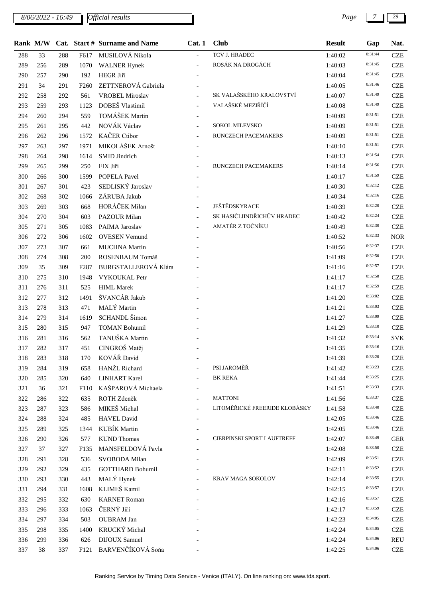*8/06/2022 - 16:49 Page 7 29*

|     | Rank M/W |     |                  | Cat. Start # Surname and Name | Cat.1          | <b>Club</b>                   | <b>Result</b> | Gap     | Nat.       |
|-----|----------|-----|------------------|-------------------------------|----------------|-------------------------------|---------------|---------|------------|
| 288 | 33       | 288 | F617             | MUSILOVÁ Nikola               |                | TCV J. HRADEC                 | 1:40:02       | 0:31:44 | <b>CZE</b> |
| 289 | 256      | 289 | 1070             | <b>WALNER Hynek</b>           | $\overline{a}$ | ROSÁK NA DROGÁCH              | 1:40:03       | 0:31:45 | <b>CZE</b> |
| 290 | 257      | 290 | 192              | HEGR Jiří                     |                |                               | 1:40:04       | 0:31:45 | <b>CZE</b> |
| 291 | 34       | 291 | F <sub>260</sub> | ZETTNEROVÁ Gabriela           |                |                               | 1:40:05       | 0:31:46 | <b>CZE</b> |
| 292 | 258      | 292 | 561              | <b>VROBEL Miroslav</b>        |                | SK VALAŠSKÉHO KRALOVSTVÍ      | 1:40:07       | 0:31:49 | <b>CZE</b> |
| 293 | 259      | 293 | 1123             | DOBEŠ Vlastimil               |                | VALAŠSKÉ MEZIŘÍČÍ             | 1:40:08       | 0:31:49 | <b>CZE</b> |
| 294 | 260      | 294 | 559              | TOMÁŠEK Martin                |                |                               | 1:40:09       | 0:31:51 | <b>CZE</b> |
| 295 | 261      | 295 | 442              | NOVÁK Václav                  | $\overline{a}$ | SOKOL MILEVSKO                | 1:40:09       | 0:31:51 | <b>CZE</b> |
| 296 | 262      | 296 | 1572             | <b>KAČER Ctibor</b>           |                | RUNCZECH PACEMAKERS           | 1:40:09       | 0:31:51 | <b>CZE</b> |
| 297 | 263      | 297 | 1971             | MIKOLÁŠEK Arnošt              |                |                               | 1:40:10       | 0:31:51 | <b>CZE</b> |
| 298 | 264      | 298 | 1614             | SMID Jindrich                 |                |                               | 1:40:13       | 0:31:54 | <b>CZE</b> |
| 299 | 265      | 299 | 250              | FIX Jiří                      |                | RUNCZECH PACEMAKERS           | 1:40:14       | 0:31:56 | <b>CZE</b> |
| 300 | 266      | 300 | 1599             | POPELA Pavel                  |                |                               | 1:40:17       | 0:31:59 | <b>CZE</b> |
| 301 | 267      | 301 | 423              | SEDLISKÝ Jaroslav             |                |                               | 1:40:30       | 0:32:12 | <b>CZE</b> |
| 302 | 268      | 302 | 1066             | ZÁRUBA Jakub                  |                |                               | 1:40:34       | 0:32:16 | <b>CZE</b> |
| 303 | 269      | 303 | 668              | HORÁČEK Milan                 | $\overline{a}$ | JEŠTĚDSKYRACE                 | 1:40:39       | 0:32:20 | <b>CZE</b> |
| 304 | 270      | 304 | 603              | PAZOUR Milan                  |                | SK HASIČI JINDŘICHŮV HRADEC   | 1:40:42       | 0:32:24 | <b>CZE</b> |
| 305 | 271      | 305 | 1083             | PAIMA Jaroslav                | $\equiv$       | AMATÉR Z TOČNÍKU              | 1:40:49       | 0:32:30 | <b>CZE</b> |
| 306 | 272      | 306 | 1602             | <b>OVESEN Vemund</b>          |                |                               | 1:40:52       | 0:32:33 | <b>NOR</b> |
| 307 | 273      | 307 | 661              | <b>MUCHNA Martin</b>          |                |                               | 1:40:56       | 0:32:37 | <b>CZE</b> |
| 308 | 274      | 308 | 200              | ROSENBAUM Tomáš               |                |                               | 1:41:09       | 0:32:50 | <b>CZE</b> |
| 309 | 35       | 309 | F <sub>287</sub> | <b>BURGSTALLEROVÁ Klára</b>   |                |                               | 1:41:16       | 0:32:57 | <b>CZE</b> |
| 310 | 275      | 310 | 1948             | VYKOUKAL Petr                 |                |                               | 1:41:17       | 0:32:58 | <b>CZE</b> |
| 311 | 276      | 311 | 525              | <b>HIML</b> Marek             |                |                               | 1:41:17       | 0:32:59 | <b>CZE</b> |
| 312 | 277      | 312 | 1491             | ŠVANCÁR Jakub                 |                |                               | 1:41:20       | 0:33:02 | <b>CZE</b> |
| 313 | 278      | 313 | 471              | MALÝ Martin                   |                |                               | 1:41:21       | 0:33:03 | <b>CZE</b> |
| 314 | 279      | 314 | 1619             | SCHANDL Šimon                 |                |                               | 1:41:27       | 0:33:09 | <b>CZE</b> |
| 315 | 280      | 315 | 947              | <b>TOMAN Bohumil</b>          |                |                               | 1:41:29       | 0:33:10 | <b>CZE</b> |
| 316 | 281      | 316 | 562              | TANUŠKA Martin                |                |                               | 1:41:32       | 0:33:14 | <b>SVK</b> |
| 317 | 282      | 317 | 451              | CINGROŠ Matěj                 |                |                               | 1:41:35       | 0:33:16 | <b>CZE</b> |
| 318 | 283      | 318 | 170              | KOVÁŘ David                   |                |                               | 1:41:39       | 0:33:20 | <b>CZE</b> |
| 319 | 284      | 319 | 658              | HANŽL Richard                 |                | PSI JAROMĚŘ                   | 1:41:42       | 0:33:23 | <b>CZE</b> |
| 320 | 285      | 320 | 640              | <b>LINHART Karel</b>          |                | <b>BK REKA</b>                | 1:41:44       | 0:33:25 | <b>CZE</b> |
| 321 | 36       | 321 | F110             | KAŠPAROVÁ Michaela            |                |                               | 1:41:51       | 0:33:33 | <b>CZE</b> |
| 322 | 286      | 322 | 635              | ROTH Zdeněk                   |                | <b>MATTONI</b>                | 1:41:56       | 0:33:37 | <b>CZE</b> |
| 323 | 287      | 323 | 586              | MIKEŠ Michal                  |                | LITOMĚŘICKÉ FREERIDE KLOBÁSKY | 1:41:58       | 0:33:40 | <b>CZE</b> |
| 324 | 288      | 324 | 485              | <b>HAVEL David</b>            |                |                               | 1:42:05       | 0:33:46 | <b>CZE</b> |
| 325 | 289      | 325 | 1344             | KUBÍK Martin                  |                |                               | 1:42:05       | 0:33:46 | <b>CZE</b> |
| 326 | 290      | 326 | 577              | <b>KUND</b> Thomas            |                | CIERPINSKI SPORT LAUFTREFF    | 1:42:07       | 0:33:49 | <b>GER</b> |
| 327 | 37       | 327 | F135             | MANSFELDOVÁ Pavla             |                |                               | 1:42:08       | 0:33:50 | <b>CZE</b> |
| 328 | 291      | 328 | 536              | SVOBODA Milan                 |                |                               | 1:42:09       | 0:33:51 | <b>CZE</b> |
| 329 | 292      | 329 | 435              | <b>GOTTHARD Bohumil</b>       |                |                               | 1:42:11       | 0:33:52 | <b>CZE</b> |
| 330 | 293      | 330 | 443              | MALÝ Hynek                    |                | KRAV MAGA SOKOLOV             | 1:42:14       | 0:33:55 | <b>CZE</b> |
| 331 | 294      | 331 | 1608             | KLIMEŠ Kamil                  |                |                               | 1:42:15       | 0:33:57 | <b>CZE</b> |
| 332 | 295      | 332 | 630              | <b>KARNET Roman</b>           |                |                               | 1:42:16       | 0:33:57 | <b>CZE</b> |
| 333 | 296      | 333 | 1063             | ČERNÝ Jiří                    |                |                               | 1:42:17       | 0:33:59 | <b>CZE</b> |
| 334 | 297      | 334 | 503              | <b>OUBRAM Jan</b>             |                |                               | 1:42:23       | 0:34:05 | <b>CZE</b> |
| 335 | 298      | 335 | 1400             | KRUCKÝ Michal                 |                |                               | 1:42:24       | 0:34:05 | <b>CZE</b> |
| 336 | 299      | 336 | 626              | <b>DIJOUX Samuel</b>          |                |                               | 1:42:24       | 0:34:06 | <b>REU</b> |
| 337 | 38       | 337 | F121             | BARVENČÍKOVÁ Soňa             |                |                               | 1:42:25       | 0:34:06 | <b>CZE</b> |
|     |          |     |                  |                               |                |                               |               |         |            |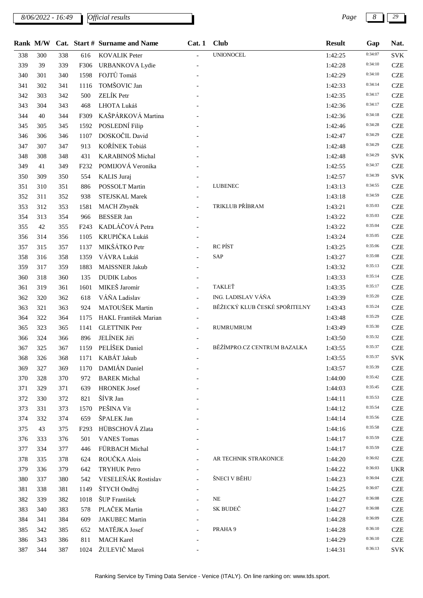*8/06/2022 - 16:49 Page 8 29*

|     |     |     |                   | Rank M/W Cat. Start # Surname and Name | Cat.1    | <b>Club</b>                   | <b>Result</b> | Gap     | Nat.       |
|-----|-----|-----|-------------------|----------------------------------------|----------|-------------------------------|---------------|---------|------------|
| 338 | 300 | 338 | 616               | <b>KOVALIK Peter</b>                   | $\equiv$ | <b>UNIONOCEL</b>              | 1:42:25       | 0:34:07 | <b>SVK</b> |
| 339 | 39  | 339 | F306              | <b>URBANKOVA Lydie</b>                 |          |                               | 1:42:28       | 0:34:10 | <b>CZE</b> |
| 340 | 301 | 340 | 1598              | FOJTŮ Tomáš                            |          |                               | 1:42:29       | 0:34:10 | <b>CZE</b> |
| 341 | 302 | 341 | 1116              | TOMŠOVIC Jan                           |          |                               | 1:42:33       | 0:34:14 | <b>CZE</b> |
| 342 | 303 | 342 | 500               | ZELÍK Petr                             |          |                               | 1:42:35       | 0:34:17 | <b>CZE</b> |
| 343 | 304 | 343 | 468               | LHOTA Lukáš                            |          |                               | 1:42:36       | 0:34:17 | <b>CZE</b> |
| 344 | 40  | 344 | F309              | KAŠPÁRKOVÁ Martina                     |          |                               | 1:42:36       | 0:34:18 | <b>CZE</b> |
| 345 | 305 | 345 | 1592              | POSLEDNÍ Filip                         |          |                               | 1:42:46       | 0:34:28 | <b>CZE</b> |
| 346 | 306 | 346 | 1107              | DOSKOČIL David                         |          |                               | 1:42:47       | 0:34:29 | <b>CZE</b> |
| 347 | 307 | 347 | 913               | KOŘÍNEK Tobiáš                         |          |                               | 1:42:48       | 0:34:29 | <b>CZE</b> |
| 348 | 308 | 348 | 431               | KARABINOŠ Michal                       |          |                               | 1:42:48       | 0:34:29 | <b>SVK</b> |
| 349 | 41  | 349 | F <sub>232</sub>  | POMIJOVÁ Veronika                      |          |                               | 1:42:55       | 0:34:37 | <b>CZE</b> |
| 350 | 309 | 350 | 554               | KALIS Juraj                            |          |                               | 1:42:57       | 0:34:39 | <b>SVK</b> |
| 351 | 310 | 351 | 886               | POSSOLT Martin                         |          | <b>LUBENEC</b>                | 1:43:13       | 0:34:55 | <b>CZE</b> |
| 352 | 311 | 352 | 938               | STEJSKAL Marek                         |          |                               | 1:43:18       | 0:34:59 | <b>CZE</b> |
| 353 | 312 | 353 | 1581              | MACH Zbyněk                            |          | TRIKLUB PŘÍBRAM               | 1:43:21       | 0:35:03 | <b>CZE</b> |
| 354 | 313 | 354 | 966               | <b>BESSER Jan</b>                      |          |                               | 1:43:22       | 0:35:03 | <b>CZE</b> |
| 355 | 42  | 355 | F <sub>24</sub> 3 | KADLÁČOVÁ Petra                        |          |                               | 1:43:22       | 0:35:04 | <b>CZE</b> |
| 356 | 314 | 356 | 1105              | KRUPIČKA Lukáš                         |          |                               | 1:43:24       | 0:35:05 | <b>CZE</b> |
| 357 | 315 | 357 | 1137              | MIKŠÁTKO Petr                          |          | <b>RC PÍST</b>                | 1:43:25       | 0:35:06 | <b>CZE</b> |
| 358 | 316 | 358 | 1359              | VÁVRA Lukáš                            |          | SAP                           | 1:43:27       | 0:35:08 | <b>CZE</b> |
| 359 | 317 | 359 | 1883              | <b>MAISSNER Jakub</b>                  |          |                               | 1:43:32       | 0:35:13 | <b>CZE</b> |
| 360 | 318 | 360 | 135               | <b>DUDIK Lubos</b>                     |          |                               | 1:43:33       | 0:35:14 | <b>CZE</b> |
| 361 | 319 | 361 | 1601              | MIKEŠ Jaromír                          |          | TAKLEŤ                        | 1:43:35       | 0:35:17 | <b>CZE</b> |
| 362 | 320 | 362 | 618               | VÁŇA Ladislav                          |          | ING. LADISLAV VÁŇA            | 1:43:39       | 0:35:20 | <b>CZE</b> |
| 363 | 321 | 363 | 924               | MATOUŠEK Martin                        |          | BĚŽECKÝ KLUB ČESKÉ SPOŘITELNY | 1:43:43       | 0:35:24 | <b>CZE</b> |
| 364 | 322 | 364 | 1175              | HAKL František Marian                  |          |                               | 1:43:48       | 0:35:29 | <b>CZE</b> |
| 365 | 323 | 365 | 1141              | <b>GLETTNIK Petr</b>                   |          | RUMRUMRUM                     | 1:43:49       | 0:35:30 | <b>CZE</b> |
| 366 | 324 | 366 | 896               | <b>JELÍNEK Jiří</b>                    |          |                               | 1:43:50       | 0:35:32 | <b>CZE</b> |
| 367 | 325 | 367 | 1159              | PELÍŠEK Daniel                         |          | BĚŽÍMPRO.CZ CENTRUM BAZALKA   | 1:43:55       | 0:35:37 | <b>CZE</b> |
| 368 | 326 | 368 |                   | 1171 KABÁT Jakub                       |          |                               | 1:43:55       | 0:35:37 | <b>SVK</b> |
| 369 | 327 | 369 | 1170              | DAMIÁN Daniel                          |          |                               | 1:43:57       | 0:35:39 | <b>CZE</b> |
| 370 | 328 | 370 | 972               | <b>BAREK Michal</b>                    |          |                               | 1:44:00       | 0:35:42 | <b>CZE</b> |
| 371 | 329 | 371 | 639               | <b>HRONEK Josef</b>                    |          |                               | 1:44:03       | 0:35:45 | <b>CZE</b> |
| 372 | 330 | 372 | 821               | ŠÍVR Jan                               |          |                               | 1:44:11       | 0:35:53 | <b>CZE</b> |
| 373 | 331 | 373 | 1570              | PEŠINA Vít                             |          |                               | 1:44:12       | 0:35:54 | <b>CZE</b> |
| 374 | 332 | 374 | 659               | ŠPALEK Jan                             |          |                               | 1:44:14       | 0:35:56 | <b>CZE</b> |
| 375 | 43  | 375 | F <sub>293</sub>  | HÜBSCHOVÁ Zlata                        |          |                               | 1:44:16       | 0:35:58 | <b>CZE</b> |
| 376 | 333 | 376 | 501               | <b>VANES Tomas</b>                     |          |                               | 1:44:17       | 0:35:59 | <b>CZE</b> |
| 377 | 334 | 377 | 446               | FÜRBACH Michal                         |          |                               | 1:44:17       | 0:35:59 | <b>CZE</b> |
| 378 | 335 | 378 | 624               | ROUČKA Alois                           |          | AR TECHNIK STRAKONICE         | 1:44:20       | 0:36:02 | <b>CZE</b> |
| 379 | 336 | 379 | 642               | <b>TRYHUK Petro</b>                    |          |                               | 1:44:22       | 0:36:03 | <b>UKR</b> |
| 380 | 337 | 380 | 542               | VESELEŇÁK Rostislav                    |          | ŠNECI V BĚHU                  | 1:44:23       | 0:36:04 | <b>CZE</b> |
| 381 | 338 | 381 | 1149              | ŠTYCH Ondřej                           |          |                               | 1:44:25       | 0:36:07 | <b>CZE</b> |
| 382 | 339 | 382 | 1018              | ŠUP František                          |          | <b>NE</b>                     | 1:44:27       | 0:36:08 | <b>CZE</b> |
| 383 | 340 | 383 | 578               | PLAČEK Martin                          |          | SK BUDEČ                      | 1:44:27       | 0:36:08 | <b>CZE</b> |
| 384 | 341 | 384 | 609               | <b>JAKUBEC Martin</b>                  |          |                               | 1:44:28       | 0:36:09 | <b>CZE</b> |
| 385 | 342 | 385 | 652               | MATĚJKA Josef                          |          | PRAHA 9                       | 1:44:28       | 0:36:10 | <b>CZE</b> |
| 386 | 343 | 386 | 811               | <b>MACH Karel</b>                      |          |                               | 1:44:29       | 0:36:10 | <b>CZE</b> |
| 387 | 344 | 387 | 1024              | ŽULEVIČ Maroš                          |          |                               | 1:44:31       | 0:36:13 | <b>SVK</b> |
|     |     |     |                   |                                        |          |                               |               |         |            |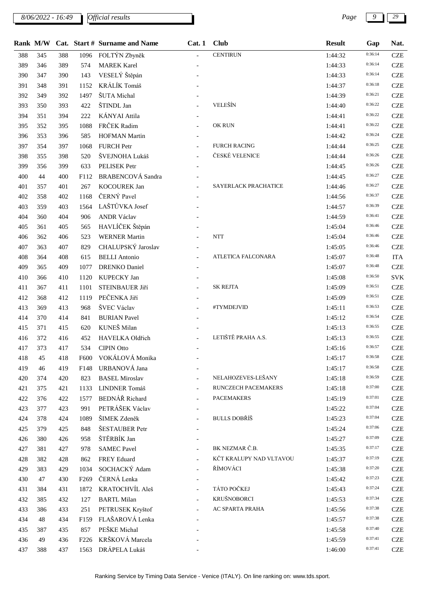*8/06/2022 - 16:49 Page 9 29*

|     |     |     |                  | Rank M/W Cat. Start # Surname and Name | Cat.1          | <b>Club</b>             | <b>Result</b> | Gap     | Nat.       |
|-----|-----|-----|------------------|----------------------------------------|----------------|-------------------------|---------------|---------|------------|
| 388 | 345 | 388 | 1096             | FOLTÝN Zbyněk                          | $\equiv$       | <b>CENTIRUN</b>         | 1:44:32       | 0:36:14 | <b>CZE</b> |
| 389 | 346 | 389 | 574              | <b>MAREK Karel</b>                     |                |                         | 1:44:33       | 0:36:14 | <b>CZE</b> |
| 390 | 347 | 390 | 143              | VESELÝ Štěpán                          |                |                         | 1:44:33       | 0:36:14 | <b>CZE</b> |
| 391 | 348 | 391 | 1152             | KRÁLÍK Tomáš                           |                |                         | 1:44:37       | 0:36:18 | <b>CZE</b> |
| 392 | 349 | 392 | 1497             | ŠUTA Michal                            |                |                         | 1:44:39       | 0:36:21 | <b>CZE</b> |
| 393 | 350 | 393 | 422              | ŠTINDL Jan                             |                | VELEŠÍN                 | 1:44:40       | 0:36:22 | <b>CZE</b> |
| 394 | 351 | 394 | 222              | <b>KÁNYAI</b> Attila                   |                |                         | 1:44:41       | 0:36:22 | <b>CZE</b> |
| 395 | 352 | 395 | 1088             | FRČEK Radim                            |                | OK RUN                  | 1:44:41       | 0:36:22 | <b>CZE</b> |
| 396 | 353 | 396 | 585              | <b>HOFMAN Martin</b>                   |                |                         | 1:44:42       | 0:36:24 | <b>CZE</b> |
| 397 | 354 | 397 | 1068             | <b>FURCH Petr</b>                      |                | <b>FURCH RACING</b>     | 1:44:44       | 0:36:25 | <b>CZE</b> |
| 398 | 355 | 398 | 520              | ŠVEJNOHA Lukáš                         |                | ČESKÉ VELENICE          | 1:44:44       | 0:36:26 | <b>CZE</b> |
| 399 | 356 | 399 | 633              | PELISEK Petr                           |                |                         | 1:44:45       | 0:36:26 | <b>CZE</b> |
| 400 | 44  | 400 | F112             | <b>BRABENCOVÁ</b> Sandra               |                |                         | 1:44:45       | 0:36:27 | <b>CZE</b> |
| 401 | 357 | 401 | 267              | <b>KOCOUREK Jan</b>                    |                | SAYERLACK PRACHATICE    | 1:44:46       | 0:36:27 | <b>CZE</b> |
| 402 | 358 | 402 | 1168             | ČERNÝ Pavel                            |                |                         | 1:44:56       | 0:36:37 | <b>CZE</b> |
| 403 | 359 | 403 | 1564             | LAŠTŮVKA Josef                         |                |                         | 1:44:57       | 0:36:39 | <b>CZE</b> |
| 404 | 360 | 404 | 906              | <b>ANDR Václav</b>                     |                |                         | 1:44:59       | 0:36:41 | <b>CZE</b> |
| 405 | 361 | 405 | 565              | HAVLÍČEK Štěpán                        |                |                         | 1:45:04       | 0:36:46 | <b>CZE</b> |
| 406 | 362 | 406 | 523              | <b>WERNER Martin</b>                   |                | <b>NTT</b>              | 1:45:04       | 0:36:46 | <b>CZE</b> |
| 407 | 363 | 407 | 829              | CHALUPSKÝ Jaroslav                     |                |                         | 1:45:05       | 0:36:46 | <b>CZE</b> |
| 408 | 364 | 408 | 615              | <b>BELLI</b> Antonio                   |                | ATLETICA FALCONARA      | 1:45:07       | 0:36:48 | <b>ITA</b> |
| 409 | 365 | 409 | 1077             | <b>DRENKO</b> Daniel                   |                |                         | 1:45:07       | 0:36:48 | <b>CZE</b> |
| 410 | 366 | 410 | 1120             | KUPECKY Jan                            |                |                         | 1:45:08       | 0:36:50 | SVK        |
| 411 | 367 | 411 | 1101             | STEINBAUER Jiří                        |                | <b>SK REJTA</b>         | 1:45:09       | 0:36:51 | <b>CZE</b> |
| 412 | 368 | 412 | 1119             | PEČENKA Jiří                           |                |                         | 1:45:09       | 0:36:51 | <b>CZE</b> |
| 413 | 369 | 413 | 968              | ŠVEC Václav                            |                | #TYMDEJVID              | 1:45:11       | 0:36:53 | <b>CZE</b> |
| 414 | 370 | 414 | 841              | <b>BURIAN Pavel</b>                    |                |                         | 1:45:12       | 0:36:54 | <b>CZE</b> |
| 415 | 371 | 415 | 620              | KUNEŠ Milan                            |                |                         | 1:45:13       | 0:36:55 | <b>CZE</b> |
| 416 | 372 | 416 | 452              | HAVELKA Oldřich                        |                | LETIŠTĚ PRAHA A.S.      | 1:45:13       | 0:36:55 | <b>CZE</b> |
| 417 | 373 | 417 | 534              | <b>CIPIN Otto</b>                      |                |                         | 1:45:16       | 0:36:57 | <b>CZE</b> |
| 418 | 45  | 418 | F600             | VOKÁLOVÁ Monika                        |                |                         | 1:45:17       | 0:36:58 | <b>CZE</b> |
| 419 | 46  | 419 | F148             | URBANOVÁ Jana                          |                |                         | 1:45:17       | 0:36:58 | <b>CZE</b> |
| 420 | 374 | 420 | 823              | <b>BASEL Miroslav</b>                  |                | NELAHOZEVES-LEŠANY      | 1:45:18       | 0:36:59 | <b>CZE</b> |
| 421 | 375 | 421 | 1133             | LINDNER Tomáš                          |                | RUNCZECH PACEMAKERS     | 1:45:18       | 0:37:00 | <b>CZE</b> |
| 422 | 376 | 422 | 1577             | BEDNÁŘ Richard                         |                | <b>PACEMAKERS</b>       | 1:45:19       | 0:37:01 | <b>CZE</b> |
| 423 | 377 | 423 | 991              | PETRÁŠEK Václav                        |                |                         | 1:45:22       | 0:37:04 | <b>CZE</b> |
| 424 | 378 | 424 | 1089             | ŠIMEK Zdeněk                           |                | <b>BULLS DOBŘÍŠ</b>     | 1:45:23       | 0:37:04 | <b>CZE</b> |
| 425 | 379 | 425 | 848              | ŠESTAUBER Petr                         |                |                         | 1:45:24       | 0:37:06 | <b>CZE</b> |
| 426 | 380 | 426 | 958              | ŠTĚRBÍK Jan                            |                |                         | 1:45:27       | 0:37:09 | <b>CZE</b> |
| 427 | 381 | 427 | 978              | <b>SAMEC Pavel</b>                     | $\overline{a}$ | BK NEZMAR Č.B.          | 1:45:35       | 0:37:17 | <b>CZE</b> |
| 428 | 382 | 428 | 862              | <b>FREY Eduard</b>                     |                | KČT KRALUPY NAD VLTAVOU | 1:45:37       | 0:37:19 | <b>CZE</b> |
| 429 | 383 | 429 | 1034             | SOCHACKÝ Adam                          |                | ŘÍMOVÁCI                | 1:45:38       | 0:37:20 | <b>CZE</b> |
| 430 | 47  | 430 | F <sub>269</sub> | ČERNÁ Lenka                            |                |                         | 1:45:42       | 0:37:23 | <b>CZE</b> |
| 431 | 384 | 431 | 1872             | KRATOCHVÍL Aleš                        |                | TÁTO POČKEJ             | 1:45:43       | 0:37:24 | <b>CZE</b> |
| 432 | 385 | 432 | 127              | <b>BARTL Milan</b>                     |                | KRUŠNOBORCI             | 1:45:53       | 0:37:34 | <b>CZE</b> |
| 433 | 386 | 433 | 251              | PETRUSEK Kryštof                       |                | AC SPARTA PRAHA         | 1:45:56       | 0:37:38 | <b>CZE</b> |
| 434 | 48  | 434 | F159             | FLAŠAROVÁ Lenka                        |                |                         | 1:45:57       | 0:37:38 | <b>CZE</b> |
| 435 | 387 | 435 | 857              | PEŠKE Michal                           |                |                         | 1:45:58       | 0:37:40 | <b>CZE</b> |
| 436 | 49  | 436 | F <sub>226</sub> | KRŠKOVÁ Marcela                        |                |                         | 1:45:59       | 0:37:41 | <b>CZE</b> |
| 437 | 388 | 437 | 1563             | DRÁPELA Lukáš                          |                |                         | 1:46:00       | 0:37:41 | <b>CZE</b> |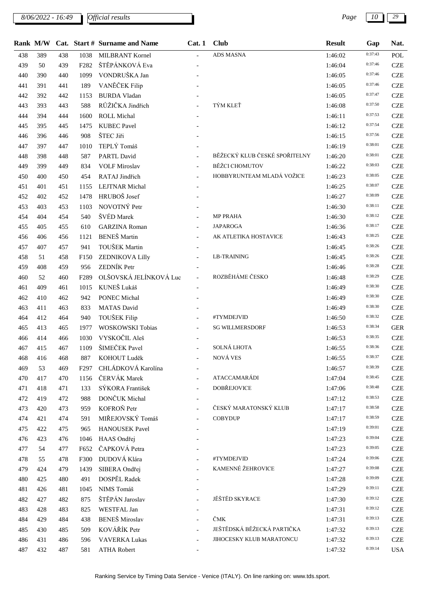*8/06/2022 - 16:49 Page 10 29*

|     |     |     |                  | Rank M/W Cat. Start # Surname and Name | Cat. 1                    | <b>Club</b>                   | <b>Result</b> | Gap     | Nat.       |
|-----|-----|-----|------------------|----------------------------------------|---------------------------|-------------------------------|---------------|---------|------------|
| 438 | 389 | 438 | 1038             | MILBRANT Kornel                        | $\mathbf{r}$              | ADS MASNA                     | 1:46:02       | 0:37:43 | POL        |
| 439 | 50  | 439 | F282             | ŠTĚPÁNKOVÁ Eva                         |                           |                               | 1:46:04       | 0:37:46 | <b>CZE</b> |
| 440 | 390 | 440 | 1099             | VONDRUŠKA Jan                          |                           |                               | 1:46:05       | 0:37:46 | <b>CZE</b> |
| 441 | 391 | 441 | 189              | VANĚČEK Filip                          |                           |                               | 1:46:05       | 0:37:46 | <b>CZE</b> |
| 442 | 392 | 442 | 1153             | <b>BURDA Vladan</b>                    |                           |                               | 1:46:05       | 0:37:47 | <b>CZE</b> |
| 443 | 393 | 443 | 588              | RŮŽIČKA Jindřich                       |                           | TÝM KLEŤ                      | 1:46:08       | 0:37:50 | <b>CZE</b> |
| 444 | 394 | 444 | 1600             | ROLL Michal                            |                           |                               | 1:46:11       | 0:37:53 | <b>CZE</b> |
| 445 | 395 | 445 | 1475             | <b>KUBEC Pavel</b>                     |                           |                               | 1:46:12       | 0:37:54 | <b>CZE</b> |
| 446 | 396 | 446 | 908              | ŠTEC Jiři                              |                           |                               | 1:46:15       | 0:37:56 | <b>CZE</b> |
| 447 | 397 | 447 | 1010             | TEPLÝ Tomáš                            |                           |                               | 1:46:19       | 0:38:01 | <b>CZE</b> |
| 448 | 398 | 448 | 587              | <b>PARTL David</b>                     |                           | BĚŽECKÝ KLUB ČESKÉ SPOŘITELNY | 1:46:20       | 0:38:01 | <b>CZE</b> |
| 449 | 399 | 449 | 834              | <b>VOLF Miroslav</b>                   |                           | <b>BĚŽCI CHOMUTOV</b>         | 1:46:22       | 0:38:03 | <b>CZE</b> |
| 450 | 400 | 450 | 454              | RATAJ Jindřich                         |                           | HOBBYRUNTEAM MLADÁ VOŽICE     | 1:46:23       | 0:38:05 | <b>CZE</b> |
| 451 | 401 | 451 | 1155             | <b>LEJTNAR</b> Michal                  |                           |                               | 1:46:25       | 0:38:07 | <b>CZE</b> |
| 452 | 402 | 452 | 1478             | HRUBOŠ Josef                           |                           |                               | 1:46:27       | 0:38:09 | <b>CZE</b> |
| 453 | 403 | 453 | 1103             | NOVOTNÝ Petr                           |                           |                               | 1:46:30       | 0:38:11 | <b>CZE</b> |
| 454 | 404 | 454 | 540              | ŠVÉD Marek                             |                           | MP PRAHA                      | 1:46:30       | 0:38:12 | <b>CZE</b> |
| 455 | 405 | 455 | 610              | <b>GARZINA</b> Roman                   |                           | <b>JAPAROGA</b>               | 1:46:36       | 0:38:17 | <b>CZE</b> |
| 456 | 406 | 456 | 1121             | <b>BENEŠ</b> Martin                    | $\blacksquare$            | AK ATLETIKA HOSTAVICE         | 1:46:43       | 0:38:25 | <b>CZE</b> |
| 457 | 407 | 457 | 941              | TOUŠEK Martin                          |                           |                               | 1:46:45       | 0:38:26 | <b>CZE</b> |
| 458 | 51  | 458 | F <sub>150</sub> | ZEDNIKOVA Lilly                        |                           | <b>LB-TRAINING</b>            | 1:46:45       | 0:38:26 | <b>CZE</b> |
| 459 | 408 | 459 | 956              | ZEDNÍK Petr                            |                           |                               | 1:46:46       | 0:38:28 | <b>CZE</b> |
| 460 | 52  | 460 | F289             | OLŠOVSKÁ JELÍNKOVÁ Luc                 | $\mathbb{Z}^{\mathbb{Z}}$ | ROZBĚHÁME ČESKO               | 1:46:48       | 0:38:29 | <b>CZE</b> |
| 461 | 409 | 461 | 1015             | KUNEŠ Lukáš                            |                           |                               | 1:46:49       | 0:38:30 | <b>CZE</b> |
| 462 | 410 | 462 | 942              | <b>PONEC Michal</b>                    |                           |                               | 1:46:49       | 0:38:30 | <b>CZE</b> |
| 463 | 411 | 463 | 833              | <b>MATAS David</b>                     |                           |                               | 1:46:49       | 0:38:30 | <b>CZE</b> |
| 464 | 412 | 464 | 940              | TOUŠEK Filip                           |                           | #TYMDEJVID                    | 1:46:50       | 0:38:32 | <b>CZE</b> |
| 465 | 413 | 465 | 1977             | WOSKOWSKI Tobias                       |                           | <b>SG WILLMERSDORF</b>        | 1:46:53       | 0:38:34 | <b>GER</b> |
| 466 | 414 | 466 | 1030             | VYSKOČIL Aleš                          |                           |                               | 1:46:53       | 0:38:35 | <b>CZE</b> |
| 467 | 415 | 467 | 1109             | ŠIMEČEK Pavel                          |                           | SOLNÁ LHOTA                   | 1:46:55       | 0:38:36 | <b>CZE</b> |
| 468 | 416 | 468 | 887              | KOHOUT Luděk                           |                           | NOVÁ VES                      | 1:46:55       | 0:38:37 | <b>CZE</b> |
| 469 | 53  | 469 | F297             | CHLÁDKOVÁ Karolína                     |                           |                               | 1:46:57       | 0:38:39 | <b>CZE</b> |
| 470 | 417 | 470 | 1156             | ČERVÁK Marek                           |                           | <b>ATACCAMARÁDI</b>           | 1:47:04       | 0:38:45 | <b>CZE</b> |
| 471 | 418 | 471 | 133              | SÝKORA František                       | $\overline{\phantom{a}}$  | <b>DOBŘEJOVICE</b>            | 1:47:06       | 0:38:48 | <b>CZE</b> |
| 472 | 419 | 472 | 988              | DONČUK Michal                          |                           |                               | 1:47:12       | 0:38:53 | <b>CZE</b> |
| 473 | 420 | 473 | 959              | KOFROŇ Petr                            |                           | ČESKÝ MARATONSKÝ KLUB         | 1:47:17       | 0:38:58 | <b>CZE</b> |
| 474 | 421 | 474 | 591              | MIŘEJOVSKÝ Tomáš                       |                           | <b>COBYDUP</b>                | 1:47:17       | 0:38:59 | <b>CZE</b> |
| 475 | 422 | 475 | 965              | <b>HANOUSEK Pavel</b>                  |                           |                               | 1:47:19       | 0:39:01 | <b>CZE</b> |
| 476 | 423 | 476 | 1046             | HAAS Ondřej                            |                           |                               | 1:47:23       | 0:39:04 | <b>CZE</b> |
| 477 | 54  | 477 | F652             | ČAPKOVÁ Petra                          |                           |                               | 1:47:23       | 0:39:05 | <b>CZE</b> |
| 478 | 55  | 478 | F300             | DUDOVÁ Klára                           |                           | #TYMDEJVID                    | 1:47:24       | 0:39:06 | <b>CZE</b> |
| 479 | 424 | 479 | 1439             | SIBERA Ondřej                          |                           | KAMENNÉ ŽEHROVICE             | 1:47:27       | 0:39:08 | <b>CZE</b> |
| 480 | 425 | 480 | 491              | DOSPĚL Radek                           |                           |                               | 1:47:28       | 0:39:09 | <b>CZE</b> |
| 481 | 426 | 481 | 1045             | NIMS Tomáš                             |                           |                               | 1:47:29       | 0:39:11 | <b>CZE</b> |
| 482 | 427 | 482 | 875              | ŠTĚPÁN Jaroslav                        |                           | JĚŠTĚD SKYRACE                | 1:47:30       | 0:39:12 | <b>CZE</b> |
| 483 | 428 | 483 | 825              | WESTFAL Jan                            |                           |                               | 1:47:31       | 0:39:12 | <b>CZE</b> |
| 484 | 429 | 484 | 438              | <b>BENEŠ</b> Miroslav                  |                           | ČMK                           | 1:47:31       | 0:39:13 | <b>CZE</b> |
| 485 | 430 | 485 | 509              | KOVÁŘÍK Petr                           |                           | JEŠTĚDSKÁ BĚŽECKÁ PARTIČKA    | 1:47:32       | 0:39:13 | <b>CZE</b> |
| 486 | 431 | 486 | 596              | <b>VAVERKA Lukas</b>                   |                           | JIHOCESKY KLUB MARATONCU      | 1:47:32       | 0:39:13 | <b>CZE</b> |
| 487 | 432 | 487 | 581              | <b>ATHA Robert</b>                     |                           |                               | 1:47:32       | 0:39:14 | <b>USA</b> |
|     |     |     |                  |                                        |                           |                               |               |         |            |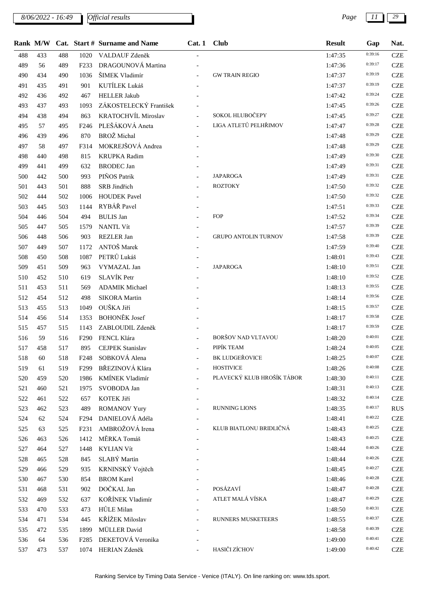*8/06/2022 - 16:49 Page 11 29*

|     |        |     |                   | Rank M/W Cat. Start # Surname and Name | Cat.1                       | <b>Club</b>                 | <b>Result</b> | Gap     | Nat.       |
|-----|--------|-----|-------------------|----------------------------------------|-----------------------------|-----------------------------|---------------|---------|------------|
| 488 | 433    | 488 | 1020              | VALDAUF Zdeněk                         |                             |                             | 1:47:35       | 0:39:16 | <b>CZE</b> |
| 489 | 56     | 489 | F <sub>2</sub> 33 | DRAGOUNOVÁ Martina                     |                             |                             | 1:47:36       | 0:39:17 | <b>CZE</b> |
| 490 | 434    | 490 | 1036              | ŠIMEK Vladimír                         | $\equiv$                    | <b>GW TRAIN REGIO</b>       | 1:47:37       | 0:39:19 | <b>CZE</b> |
| 491 | 435    | 491 | 901               | KUTÍLEK Lukáš                          |                             |                             | 1:47:37       | 0:39:19 | <b>CZE</b> |
| 492 | 436    | 492 | 467               | <b>HELLER Jakub</b>                    |                             |                             | 1:47:42       | 0:39:24 | <b>CZE</b> |
| 493 | 437    | 493 | 1093              | ZÁKOSTELECKÝ František                 |                             |                             | 1:47:45       | 0:39:26 | <b>CZE</b> |
| 494 | 438    | 494 | 863               | KRATOCHVÍL Miroslav                    | $\overline{\phantom{a}}$    | SOKOL HLUBOČEPY             | 1:47:45       | 0:39:27 | <b>CZE</b> |
| 495 | 57     | 495 | F <sub>246</sub>  | PLEŠÁKOVÁ Aneta                        | $\mathcal{L}^{\mathcal{L}}$ | LIGA ATLETŮ PELHŘIMOV       | 1:47:47       | 0:39:28 | <b>CZE</b> |
| 496 | 439    | 496 | 870               | BROŽ Michal                            |                             |                             | 1:47:48       | 0:39:29 | <b>CZE</b> |
| 497 | 58     | 497 | F314              | MOKREJŠOVÁ Andrea                      |                             |                             | 1:47:48       | 0:39:29 | <b>CZE</b> |
| 498 | 440    | 498 | 815               | <b>KRUPKA</b> Radim                    |                             |                             | 1:47:49       | 0:39:30 | <b>CZE</b> |
| 499 | 441    | 499 | 632               | <b>BRODEC</b> Jan                      |                             |                             | 1:47:49       | 0:39:31 | <b>CZE</b> |
| 500 | 442    | 500 | 993               | PIŇOS Patrik                           |                             | <b>JAPAROGA</b>             | 1:47:49       | 0:39:31 | <b>CZE</b> |
| 501 | 443    | 501 | 888               | SRB Jindřich                           |                             | <b>ROZTOKY</b>              | 1:47:50       | 0:39:32 | <b>CZE</b> |
| 502 | 444    | 502 | 1006              | <b>HOUDEK Pavel</b>                    |                             |                             | 1:47:50       | 0:39:32 | <b>CZE</b> |
| 503 | 445    | 503 | 1144              | RYBÁŘ Pavel                            |                             |                             | 1:47:51       | 0:39:33 | <b>CZE</b> |
| 504 | 446    | 504 | 494               | <b>BULIS</b> Jan                       |                             | FOP                         | 1:47:52       | 0:39:34 | <b>CZE</b> |
| 505 | 447    | 505 | 1579              | <b>NANTL Vít</b>                       |                             |                             | 1:47:57       | 0:39:39 | <b>CZE</b> |
| 506 | 448    | 506 | 903               | <b>REZLER Jan</b>                      | $\overline{\phantom{a}}$    | <b>GRUPO ANTOLIN TURNOV</b> | 1:47:58       | 0:39:39 | <b>CZE</b> |
| 507 | 449    | 507 | 1172              | ANTOŠ Marek                            |                             |                             | 1:47:59       | 0:39:40 | <b>CZE</b> |
| 508 | 450    | 508 | 1087              | PETRŮ Lukáš                            |                             |                             | 1:48:01       | 0:39:43 | <b>CZE</b> |
| 509 | 451    | 509 | 963               | VYMAZAL Jan                            |                             | <b>JAPAROGA</b>             | 1:48:10       | 0:39:51 | <b>CZE</b> |
| 510 | 452    | 510 | 619               | SLAVÍK Petr                            |                             |                             | 1:48:10       | 0:39:52 | <b>CZE</b> |
| 511 | 453    | 511 | 569               | <b>ADAMIK Michael</b>                  |                             |                             | 1:48:13       | 0:39:55 | <b>CZE</b> |
| 512 | 454    | 512 | 498               | <b>SIKORA</b> Martin                   |                             |                             | 1:48:14       | 0:39:56 | <b>CZE</b> |
| 513 | 455    | 513 | 1049              | OUŠKA Jiří                             |                             |                             | 1:48:15       | 0:39:57 | <b>CZE</b> |
| 514 | 456    | 514 | 1353              | <b>BOHONĚK</b> Josef                   |                             |                             | 1:48:17       | 0:39:58 | <b>CZE</b> |
| 515 | 457    | 515 | 1143              | ZABLOUDIL Zdeněk                       |                             |                             | 1:48:17       | 0:39:59 | <b>CZE</b> |
| 516 | 59     | 516 | F <sub>290</sub>  | FENCL Klára                            |                             | BORŠOV NAD VLTAVOU          | 1:48:20       | 0:40:01 | <b>CZE</b> |
| 517 | 458    | 517 | 895               | <b>CEJPEK Stanislav</b>                | $\overline{a}$              | PIPÍK TEAM                  | 1:48:24       | 0:40:05 | <b>CZE</b> |
| 518 | $60\,$ | 518 |                   | F248 SOBKOVÁ Alena                     |                             | BK LUDGEŘOVICE              | 1:48:25       | 0:40:07 | <b>CZE</b> |
| 519 | 61     | 519 | F <sub>299</sub>  | BŘEZINOVÁ Klára                        | $\overline{a}$              | <b>HOSTIVICE</b>            | 1:48:26       | 0:40:08 | <b>CZE</b> |
| 520 | 459    | 520 | 1986              | KMÍNEK Vladimír                        |                             | PLAVECKÝ KLUB HROŠÍK TÁBOR  | 1:48:30       | 0:40:11 | <b>CZE</b> |
| 521 | 460    | 521 | 1975              | SVOBODA Jan                            |                             |                             | 1:48:31       | 0:40:13 | <b>CZE</b> |
| 522 | 461    | 522 | 657               | KOTEK Jiří                             |                             |                             | 1:48:32       | 0:40:14 | <b>CZE</b> |
| 523 | 462    | 523 | 489               | <b>ROMANOV Yury</b>                    |                             | RUNNING LIONS               | 1:48:35       | 0:40:17 | <b>RUS</b> |
| 524 | 62     | 524 | F <sub>294</sub>  | DANIELOVÁ Adéla                        | $\overline{\phantom{a}}$    |                             | 1:48:41       | 0:40:22 | <b>CZE</b> |
| 525 | 63     | 525 | F <sub>231</sub>  | AMBROŽOVÁ Irena                        |                             | KLUB BIATLONU BRIDLIČNÁ     | 1:48:43       | 0:40:25 | <b>CZE</b> |
| 526 | 463    | 526 | 1412              | MĚRKA Tomáš                            |                             |                             | 1:48:43       | 0:40:25 | <b>CZE</b> |
| 527 | 464    | 527 | 1448              | <b>KYLIAN Vít</b>                      |                             |                             | 1:48:44       | 0:40:26 | <b>CZE</b> |
| 528 | 465    | 528 | 845               | SLABÝ Martin                           |                             |                             | 1:48:44       | 0:40:26 | <b>CZE</b> |
| 529 | 466    | 529 | 935               | KRNINSKÝ Vojtěch                       |                             |                             | 1:48:45       | 0:40:27 | <b>CZE</b> |
| 530 | 467    | 530 | 854               | <b>BROM Karel</b>                      |                             |                             | 1:48:46       | 0:40:28 | <b>CZE</b> |
| 531 | 468    | 531 | 902               | DOČKAL Jan                             |                             | POSÁZAVÍ                    | 1:48:47       | 0:40:28 | <b>CZE</b> |
| 532 | 469    | 532 | 637               | KOŘÍNEK Vladimír                       |                             | ATLET MALÁ VÍSKA            | 1:48:47       | 0:40:29 | <b>CZE</b> |
| 533 | 470    | 533 | 473               | HŮLE Milan                             |                             |                             | 1:48:50       | 0:40:31 | <b>CZE</b> |
| 534 | 471    | 534 | 445               | KŘÍŽEK Miloslav                        |                             | <b>RUNNERS MUSKETEERS</b>   | 1:48:55       | 0:40:37 | <b>CZE</b> |
| 535 | 472    | 535 | 1899              | <b>MÜLLER</b> David                    |                             |                             | 1:48:58       | 0:40:39 | <b>CZE</b> |
| 536 | 64     | 536 | F <sub>2</sub> 85 | DEKETOVÁ Veronika                      |                             |                             | 1:49:00       | 0:40:41 | <b>CZE</b> |
| 537 | 473    | 537 |                   | 1074 HERIAN Zdeněk                     |                             | HASIČI ZÍCHOV               | 1:49:00       | 0:40:42 | <b>CZE</b> |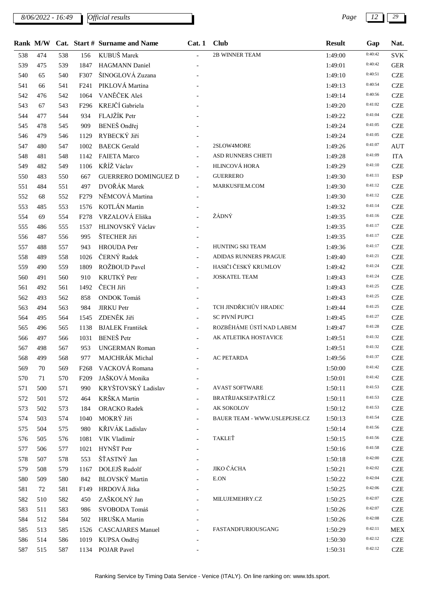*8/06/2022 - 16:49 Page 12 29*

|     | Rank M/W |     |                  | Cat. Start # Surname and Name | Cat.1                    | <b>Club</b>                   | <b>Result</b> | Gap     | Nat.       |
|-----|----------|-----|------------------|-------------------------------|--------------------------|-------------------------------|---------------|---------|------------|
| 538 | 474      | 538 | 156              | KUBUŠ Marek                   |                          | 2B WINNER TEAM                | 1:49:00       | 0:40:42 | <b>SVK</b> |
| 539 | 475      | 539 | 1847             | <b>HAGMANN Daniel</b>         |                          |                               | 1:49:01       | 0:40:42 | <b>GER</b> |
| 540 | 65       | 540 | F307             | ŠINOGLOVÁ Zuzana              |                          |                               | 1:49:10       | 0:40:51 | <b>CZE</b> |
| 541 | 66       | 541 | F <sub>241</sub> | PIKLOVÁ Martina               |                          |                               | 1:49:13       | 0:40:54 | <b>CZE</b> |
| 542 | 476      | 542 | 1064             | VANĚČEK Aleš                  |                          |                               | 1:49:14       | 0:40:56 | <b>CZE</b> |
| 543 | 67       | 543 | F <sub>296</sub> | KREJČÍ Gabriela               |                          |                               | 1:49:20       | 0:41:02 | <b>CZE</b> |
| 544 | 477      | 544 | 934              | FLAJŽÍK Petr                  |                          |                               | 1:49:22       | 0:41:04 | <b>CZE</b> |
| 545 | 478      | 545 | 909              | BENEŠ Ondřej                  |                          |                               | 1:49:24       | 0:41:05 | <b>CZE</b> |
| 546 | 479      | 546 | 1129             | RYBECKÝ Jiří                  |                          |                               | 1:49:24       | 0:41:05 | <b>CZE</b> |
| 547 | 480      | 547 | 1002             | <b>BAECK</b> Gerald           |                          | 2SLOW4MORE                    | 1:49:26       | 0:41:07 | <b>AUT</b> |
| 548 | 481      | 548 | 1142             | <b>FAIETA Marco</b>           | $\blacksquare$           | <b>ASD RUNNERS CHIETI</b>     | 1:49:28       | 0:41:09 | <b>ITA</b> |
| 549 | 482      | 549 | 1106             | KŘÍŽ Václav                   | $\equiv$                 | HLINCOVÁ HORA                 | 1:49:29       | 0:41:10 | <b>CZE</b> |
| 550 | 483      | 550 | 667              | <b>GUERRERO DOMINGUEZ D</b>   | $\equiv$                 | <b>GUERRERO</b>               | 1:49:30       | 0:41:11 | <b>ESP</b> |
| 551 | 484      | 551 | 497              | DVOŘÁK Marek                  | $\mathbf{r}$             | MARKUSFILM.COM                | 1:49:30       | 0:41:12 | <b>CZE</b> |
| 552 | 68       | 552 | F <sub>279</sub> | NĚMCOVÁ Martina               | $\blacksquare$           |                               | 1:49:30       | 0:41:12 | <b>CZE</b> |
| 553 | 485      | 553 | 1576             | KOTLÁN Martin                 |                          |                               | 1:49:32       | 0:41:14 | <b>CZE</b> |
| 554 | 69       | 554 | F <sub>278</sub> | VRZALOVÁ Eliška               |                          | ŽÁDNÝ                         | 1:49:35       | 0:41:16 | <b>CZE</b> |
| 555 | 486      | 555 | 1537             | HLINOVSKÝ Václav              | $\overline{\phantom{a}}$ |                               | 1:49:35       | 0:41:17 | <b>CZE</b> |
| 556 | 487      | 556 | 995              | ŠTECHER Jiří                  |                          |                               | 1:49:35       | 0:41:17 | <b>CZE</b> |
| 557 | 488      | 557 | 943              | <b>HROUDA</b> Petr            |                          | HUNTING SKI TEAM              | 1:49:36       | 0:41:17 | <b>CZE</b> |
| 558 | 489      | 558 | 1026             | ČERNÝ Radek                   | $\blacksquare$           | ADIDAS RUNNERS PRAGUE         | 1:49:40       | 0:41:21 | <b>CZE</b> |
| 559 | 490      | 559 | 1809             | ROŽBOUD Pavel                 | $\blacksquare$           | HASIČI ČESKÝ KRUMLOV          | 1:49:42       | 0:41:24 | <b>CZE</b> |
| 560 | 491      | 560 | 910              | KRUTKÝ Petr                   |                          | <b>JOSKATEL TEAM</b>          | 1:49:43       | 0:41:24 | <b>CZE</b> |
| 561 | 492      | 561 | 1492             | ČECH Jiří                     |                          |                               | 1:49:43       | 0:41:25 | <b>CZE</b> |
| 562 | 493      | 562 | 858              | ONDOK Tomáš                   |                          |                               | 1:49:43       | 0:41:25 | <b>CZE</b> |
| 563 | 494      | 563 | 984              | <b>JIRKU Petr</b>             | $\overline{\phantom{a}}$ | TCH JINDŘICHŮV HRADEC         | 1:49:44       | 0:41:25 | <b>CZE</b> |
| 564 | 495      | 564 | 1545             | ZDENĚK Jiří                   |                          | SC PIVNÍ PUPCI                | 1:49:45       | 0:41:27 | <b>CZE</b> |
| 565 | 496      | 565 | 1138             | <b>BJALEK</b> František       |                          | ROZBĚHÁME ÚSTÍ NAD LABEM      | 1:49:47       | 0:41:28 | <b>CZE</b> |
| 566 | 497      | 566 | 1031             | <b>BENEŠ</b> Petr             | $\overline{\phantom{a}}$ | AK ATLETIKA HOSTAVICE         | 1:49:51       | 0:41:32 | <b>CZE</b> |
| 567 | 498      | 567 | 953              | <b>UNGERMAN Roman</b>         | $\blacksquare$           |                               | 1:49:51       | 0:41:32 | <b>CZE</b> |
| 568 | 499      | 568 | 977              | MAJCHRÁK Michal               |                          | AC PETARDA                    | 1:49:56       | 0:41:37 | <b>CZE</b> |
| 569 | 70       | 569 | F <sub>268</sub> | VACKOVÁ Romana                |                          |                               | 1:50:00       | 0:41:42 | <b>CZE</b> |
| 570 | 71       | 570 | F <sub>209</sub> | JAŠKOVÁ Monika                |                          |                               | 1:50:01       | 0:41:42 | <b>CZE</b> |
| 571 | 500      | 571 | 990              | KRYŠTOVSKÝ Ladislav           |                          | <b>AVAST SOFTWARE</b>         | 1:50:11       | 0:41:53 | <b>CZE</b> |
| 572 | 501      | 572 | 464              | KRŠKA Martin                  |                          | <b>BRATŘIJAKSEPATŘÍ.CZ</b>    | 1:50:11       | 0:41:53 | <b>CZE</b> |
| 573 | 502      | 573 | 184              | <b>ORACKO</b> Radek           |                          | AK SOKOLOV                    | 1:50:12       | 0:41:53 | <b>CZE</b> |
| 574 | 503      | 574 | 1040             | MOKRÝ Jiří                    | $\blacksquare$           | BAUER TEAM - WWW.USLEPEJSE.CZ | 1:50:13       | 0:41:54 | <b>CZE</b> |
| 575 | 504      | 575 | 980              | KŘIVÁK Ladislav               |                          |                               | 1:50:14       | 0:41:56 | <b>CZE</b> |
| 576 | 505      | 576 | 1081             | VIK Vladimír                  |                          | TAKLEŤ                        | 1:50:15       | 0:41:56 | <b>CZE</b> |
| 577 | 506      | 577 | 1021             | HYNŠT Petr                    |                          |                               | 1:50:16       | 0:41:58 | <b>CZE</b> |
| 578 | 507      | 578 | 553              | ŠŤASTNÝ Jan                   | $\overline{\phantom{a}}$ |                               | 1:50:18       | 0:42:00 | <b>CZE</b> |
| 579 | 508      | 579 | 1167             | DOLEJŠ Rudolf                 |                          | JIKO ČÁCHA                    | 1:50:21       | 0:42:02 | <b>CZE</b> |
| 580 | 509      | 580 | 842              | <b>BLOVSKÝ</b> Martin         | $\blacksquare$           | E.ON                          | 1:50:22       | 0:42:04 | <b>CZE</b> |
| 581 | 72       | 581 | F <sub>149</sub> | HRDOVÁ Jitka                  |                          |                               | 1:50:25       | 0:42:06 | <b>CZE</b> |
| 582 | 510      | 582 | 450              | ZAŠKOLNÝ Jan                  | $\overline{\phantom{a}}$ | MILUJEMEHRY.CZ                | 1:50:25       | 0:42:07 | <b>CZE</b> |
| 583 | 511      | 583 | 986              | SVOBODA Tomáš                 |                          |                               | 1:50:26       | 0:42:07 | <b>CZE</b> |
| 584 | 512      | 584 | 502              | HRUŠKA Martin                 |                          |                               | 1:50:26       | 0:42:08 | <b>CZE</b> |
| 585 | 513      | 585 | 1526             | <b>CASCAJARES Manuel</b>      |                          | FASTANDFURIOUSGANG            | 1:50:29       | 0:42:11 | <b>MEX</b> |
| 586 | 514      | 586 | 1019             | KUPSA Ondřej                  |                          |                               | 1:50:30       | 0:42:12 | <b>CZE</b> |
| 587 | 515      | 587 | 1134             | <b>POJAR Pavel</b>            |                          |                               | 1:50:31       | 0:42:12 | <b>CZE</b> |
|     |          |     |                  |                               |                          |                               |               |         |            |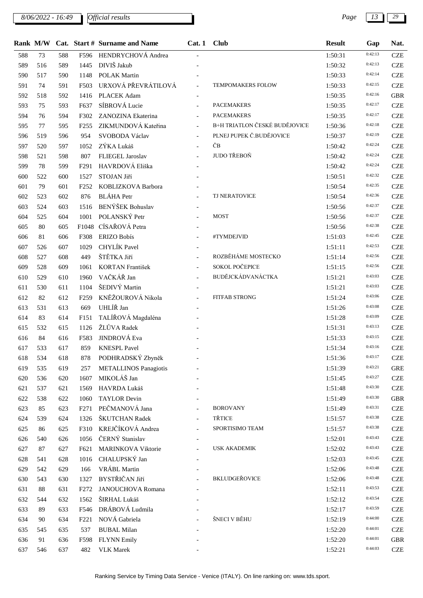*8/06/2022 - 16:49 Page 13 29*

|     |     |     |                  | Rank M/W Cat. Start # Surname and Name | Cat. 1 Club               |                               | <b>Result</b> | Gap                | Nat.       |
|-----|-----|-----|------------------|----------------------------------------|---------------------------|-------------------------------|---------------|--------------------|------------|
| 588 | 73  | 588 | F596             | HENDRYCHOVÁ Andrea                     |                           |                               | 1:50:31       | 0:42:13            | <b>CZE</b> |
| 589 | 516 | 589 | 1445             | DIVIŠ Jakub                            |                           |                               | 1:50:32       | 0:42:13            | <b>CZE</b> |
| 590 | 517 | 590 | 1148             | <b>POLAK Martin</b>                    |                           |                               | 1:50:33       | 0:42:14            | <b>CZE</b> |
| 591 | 74  | 591 | F503             | URXOVÁ PŘEVRÁTILOVÁ                    | $\mathcal{L}$             | TEMPOMAKERS FOLOW             | 1:50:33       | 0:42:15            | <b>CZE</b> |
| 592 | 518 | 592 | 1416             | PLACEK Adam                            |                           |                               | 1:50:35       | 0:42:16            | <b>GBR</b> |
| 593 | 75  | 593 | F637             | SÍBROVÁ Lucie                          | $\blacksquare$            | <b>PACEMAKERS</b>             | 1:50:35       | 0:42:17            | <b>CZE</b> |
| 594 | 76  | 594 | F302             | ZANOZINA Ekaterina                     | $\overline{\phantom{a}}$  | <b>PACEMAKERS</b>             | 1:50:35       | 0:42:17            | <b>CZE</b> |
| 595 | 77  | 595 | F <sub>255</sub> | ZIKMUNDOVÁ Kateřina                    | $\mathbb{L}^{\mathbb{N}}$ | B+H TRIATLON ČESKÉ BUDĚJOVICE | 1:50:36       | 0:42:18            | <b>CZE</b> |
| 596 | 519 | 596 | 954              | SVOBODA Václav                         |                           | PLNEJ PUPEK Č.BUDĚJOVICE      | 1:50:37       | 0:42:19            | <b>CZE</b> |
| 597 | 520 | 597 | 1052             | ZÝKA Lukáš                             | $\overline{a}$            | ČВ                            | 1:50:42       | 0:42:24            | <b>CZE</b> |
| 598 | 521 | 598 | 807              | FLIEGEL Jaroslav                       | $\equiv$                  | JUDO TŘEBOŇ                   | 1:50:42       | 0:42:24            | <b>CZE</b> |
| 599 | 78  | 599 | F <sub>291</sub> | HAVRDOVÁ Eliška                        | $\overline{\phantom{a}}$  |                               | 1:50:42       | 0:42:24            | <b>CZE</b> |
| 600 | 522 | 600 | 1527             | STOJAN Jiří                            |                           |                               | 1:50:51       | 0:42:32            | <b>CZE</b> |
| 601 | 79  | 601 | F <sub>252</sub> | KOBLIZKOVA Barbora                     |                           |                               | 1:50:54       | 0:42:35            | <b>CZE</b> |
| 602 | 523 | 602 | 876              | <b>BLÁHA</b> Petr                      |                           | TJ NERATOVICE                 | 1:50:54       | 0:42:36            | <b>CZE</b> |
| 603 | 524 | 603 | 1516             | BENÝŠEK Bohuslav                       | $\overline{\phantom{a}}$  |                               | 1:50:56       | 0:42:37            | <b>CZE</b> |
| 604 | 525 | 604 | 1001             | POLANSKÝ Petr                          |                           | <b>MOST</b>                   | 1:50:56       | 0:42:37            | <b>CZE</b> |
| 605 | 80  | 605 |                  | F1048 CÍSAŘOVÁ Petra                   | $\blacksquare$            |                               | 1:50:56       | 0:42:38            | <b>CZE</b> |
| 606 | 81  | 606 | F308             | <b>ERIZO Bobís</b>                     |                           | #TYMDEJVID                    | 1:51:03       | 0:42:45            | <b>CZE</b> |
| 607 | 526 | 607 | 1029             | CHYLÍK Pavel                           |                           |                               | 1:51:11       | 0:42:53            | <b>CZE</b> |
| 608 | 527 | 608 | 449              | ŠTĚTKA Jiří                            | $\overline{\phantom{a}}$  | ROZBĚHÁME MOSTECKO            | 1:51:14       | 0:42:56            | <b>CZE</b> |
| 609 | 528 | 609 | 1061             | KORTAN František                       | $\overline{\phantom{a}}$  | SOKOL POČEPICE                | 1:51:15       | 0:42:56            | <b>CZE</b> |
| 610 | 529 | 610 | 1960             | VAČKÁŘ Jan                             | $\equiv$                  | BUDĚJCKÁDVANÁCTKA             | 1:51:21       | 0:43:03            | <b>CZE</b> |
| 611 | 530 | 611 | 1104             | ŠEDIVÝ Martin                          |                           |                               | 1:51:21       | 0:43:03            | <b>CZE</b> |
| 612 | 82  | 612 | F <sub>259</sub> | KNĚŽOUROVÁ Nikola                      | $\overline{a}$            | <b>FITFAB STRONG</b>          | 1:51:24       | 0:43:06            | <b>CZE</b> |
| 613 | 531 | 613 | 669              | UHLÍŘ Jan                              | $\blacksquare$            |                               | 1:51:26       | 0:43:08            | <b>CZE</b> |
| 614 | 83  | 614 | F151             | TALÍŘOVÁ Magdaléna                     |                           |                               | 1:51:28       | 0:43:09            | <b>CZE</b> |
| 615 | 532 | 615 | 1126             | ŽLŮVA Radek                            |                           |                               | 1:51:31       | 0:43:13            | <b>CZE</b> |
| 616 | 84  | 616 | F583             | JINDROVÁ Eva                           |                           |                               | 1:51:33       | 0:43:15            | <b>CZE</b> |
| 617 | 533 | 617 | 859              | <b>KNESPL Pavel</b>                    |                           |                               | 1:51:34       | 0:43:16            | <b>CZE</b> |
| 618 | 534 | 618 | 878              | PODHRADSKÝ Zbyněk                      |                           |                               | 1:51:36       | 0:43:17            | <b>CZE</b> |
| 619 | 535 | 619 | 257              | <b>METALLINOS Panagiotis</b>           |                           |                               | 1:51:39       | 0:43:21            | <b>GRE</b> |
| 620 | 536 | 620 | 1607             | MIKOLÁŠ Jan                            |                           |                               | 1:51:45       | 0:43:27            | <b>CZE</b> |
| 621 | 537 | 621 | 1569             | HAVRDA Lukáš                           |                           |                               | 1:51:48       | 0:43:30            | <b>CZE</b> |
| 622 | 538 | 622 | 1060             | <b>TAYLOR Devin</b>                    |                           |                               | 1:51:49       | 0:43:30            | <b>GBR</b> |
| 623 | 85  | 623 | F <sub>271</sub> | PEČMANOVÁ Jana                         |                           | <b>BOROVANY</b>               | 1:51:49       | 0:43:31            | <b>CZE</b> |
| 624 | 539 | 624 | 1326             | ŠKUTCHAN Radek                         | $\overline{a}$            | <b>TŘTICE</b>                 | 1:51:57       | 0:43:38            | <b>CZE</b> |
| 625 | 86  | 625 | F310             | KREJČÍKOVÁ Andrea                      |                           | SPORTISIMO TEAM               | 1:51:57       | 0:43:38            | <b>CZE</b> |
| 626 | 540 | 626 | 1056             | ČERNÝ Stanislav                        |                           |                               | 1:52:01       | 0:43:43            | <b>CZE</b> |
| 627 | 87  | 627 | F621             | MARINKOVA Viktorie                     |                           | <b>USK AKADEMIK</b>           | 1:52:02       | 0:43:43            | <b>CZE</b> |
| 628 | 541 | 628 | 1016             | CHALUPSKÝ Jan                          | $\overline{\phantom{a}}$  |                               | 1:52:03       | 0:43:45            | <b>CZE</b> |
| 629 | 542 | 629 | 166              | VRÁBL Martin                           |                           |                               | 1:52:06       | 0:43:48            | <b>CZE</b> |
| 630 | 543 | 630 | 1327             | BYSTŘIČAN Jiří                         |                           | <b>BKLUDGEŘOVICE</b>          | 1:52:06       | 0:43:48            | <b>CZE</b> |
| 631 | 88  | 631 | F <sub>272</sub> | JANOUCHOVA Romana                      |                           |                               | 1:52:11       | 0:43:53            | <b>CZE</b> |
| 632 | 544 | 632 | 1562             | ŠIRHAL Lukáš                           |                           |                               | 1:52:12       | 0:43:54            | <b>CZE</b> |
| 633 | 89  | 633 | F546             | DRÁBOVÁ Ludmila                        |                           |                               | 1:52:17       | 0:43:59            | <b>CZE</b> |
| 634 | 90  | 634 | F <sub>221</sub> | NOVÁ Gabriela                          |                           | ŠNECI V BĚHU                  | 1:52:19       | 0:44:00            | <b>CZE</b> |
| 635 | 545 | 635 | 537              | <b>BUBAL Milan</b>                     |                           |                               | 1:52:20       | 0:44:01            | <b>CZE</b> |
| 636 | 91  | 636 | F598             | <b>FLYNN Emily</b>                     |                           |                               | 1:52:20       | 0:44:01<br>0:44:03 | <b>GBR</b> |
| 637 | 546 | 637 | 482              | <b>VLK</b> Marek                       |                           |                               | 1:52:21       |                    | <b>CZE</b> |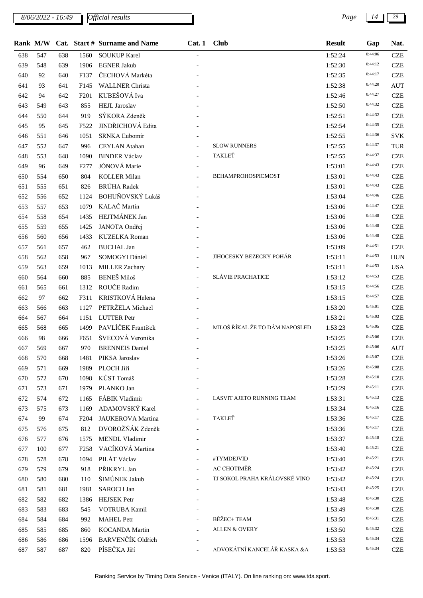*8/06/2022 - 16:49 Page 14 29*

|     | Rank M/W |     |                  | Cat. Start # Surname and Name | Cat.1                    | <b>Club</b>                    | <b>Result</b> | Gap     | Nat.       |
|-----|----------|-----|------------------|-------------------------------|--------------------------|--------------------------------|---------------|---------|------------|
| 638 | 547      | 638 | 1560             | <b>SOUKUP Karel</b>           |                          |                                | 1:52:24       | 0:44:06 | <b>CZE</b> |
| 639 | 548      | 639 | 1906             | <b>EGNER Jakub</b>            |                          |                                | 1:52:30       | 0:44:12 | <b>CZE</b> |
| 640 | 92       | 640 | F137             | ČECHOVÁ Markéta               |                          |                                | 1:52:35       | 0:44:17 | <b>CZE</b> |
| 641 | 93       | 641 | F <sub>145</sub> | <b>WALLNER Christa</b>        |                          |                                | 1:52:38       | 0:44:20 | <b>AUT</b> |
| 642 | 94       | 642 | F201             | KUBEŠOVÁ Iva                  |                          |                                | 1:52:46       | 0:44:27 | <b>CZE</b> |
| 643 | 549      | 643 | 855              | <b>HEJL</b> Jaroslav          |                          |                                | 1:52:50       | 0:44:32 | <b>CZE</b> |
| 644 | 550      | 644 | 919              | SÝKORA Zdeněk                 |                          |                                | 1:52:51       | 0:44:32 | <b>CZE</b> |
| 645 | 95       | 645 | F522             | JINDŘICHOVÁ Edita             |                          |                                | 1:52:54       | 0:44:35 | <b>CZE</b> |
| 646 | 551      | 646 | 1051             | <b>SRNKA Lubomír</b>          |                          |                                | 1:52:55       | 0:44:36 | <b>SVK</b> |
| 647 | 552      | 647 | 996              | <b>CEYLAN</b> Atahan          |                          | <b>SLOW RUNNERS</b>            | 1:52:55       | 0:44:37 | TUR        |
| 648 | 553      | 648 | 1090             | <b>BINDER Václav</b>          |                          | TAKLEŤ                         | 1:52:55       | 0:44:37 | <b>CZE</b> |
| 649 | 96       | 649 | F <sub>277</sub> | JÓNOVÁ Marie                  |                          |                                | 1:53:01       | 0:44:43 | <b>CZE</b> |
| 650 | 554      | 650 | 804              | <b>KOLLER Milan</b>           |                          | BEHAMPROHOSPICMOST             | 1:53:01       | 0:44:43 | <b>CZE</b> |
| 651 | 555      | 651 | 826              | <b>BRŮHA</b> Radek            |                          |                                | 1:53:01       | 0:44:43 | <b>CZE</b> |
| 652 | 556      | 652 | 1124             | BOHUŇOVSKÝ Lukáš              |                          |                                | 1:53:04       | 0:44:46 | <b>CZE</b> |
| 653 | 557      | 653 | 1079             | KALAČ Martin                  |                          |                                | 1:53:06       | 0:44:47 | <b>CZE</b> |
| 654 | 558      | 654 | 1435             | HEJTMÁNEK Jan                 |                          |                                | 1:53:06       | 0:44:48 | <b>CZE</b> |
| 655 | 559      | 655 | 1425             | JANOTA Ondřej                 |                          |                                | 1:53:06       | 0:44:48 | <b>CZE</b> |
| 656 | 560      | 656 | 1433             | KUZELKA Roman                 |                          |                                | 1:53:06       | 0:44:48 | <b>CZE</b> |
| 657 | 561      | 657 | 462              | <b>BUCHAL Jan</b>             |                          |                                | 1:53:09       | 0:44:51 | <b>CZE</b> |
| 658 | 562      | 658 | 967              | SOMOGYI Dániel                | $\overline{\phantom{0}}$ | <b>JIHOCESKY BEZECKY POHÁR</b> | 1:53:11       | 0:44:53 | <b>HUN</b> |
| 659 | 563      | 659 | 1013             | <b>MILLER Zachary</b>         |                          |                                | 1:53:11       | 0:44:53 | <b>USA</b> |
| 660 | 564      | 660 | 885              | <b>BENEŠ</b> Miloš            |                          | <b>SLÁVIE PRACHATICE</b>       | 1:53:12       | 0:44:53 | <b>CZE</b> |
| 661 | 565      | 661 | 1312             | ROUČE Radim                   |                          |                                | 1:53:15       | 0:44:56 | <b>CZE</b> |
| 662 | 97       | 662 | F311             | KRISTKOVÁ Helena              |                          |                                | 1:53:15       | 0:44:57 | <b>CZE</b> |
| 663 | 566      | 663 | 1127             | PETRŽELA Michael              |                          |                                | 1:53:20       | 0:45:01 | <b>CZE</b> |
| 664 | 567      | 664 | 1151             | <b>LUTTER Petr</b>            |                          |                                | 1:53:21       | 0:45:03 | <b>CZE</b> |
| 665 | 568      | 665 | 1499             | PAVLÍČEK František            | $\mathbf{r}$             | MILOŠ ŘÍKAL ŽE TO DÁM NAPOSLED | 1:53:23       | 0:45:05 | <b>CZE</b> |
| 666 | 98       | 666 | F651             | ŠVECOVÁ Veronika              |                          |                                | 1:53:25       | 0:45:06 | <b>CZE</b> |
| 667 | 569      | 667 | 970              | <b>BRENNEIS</b> Daniel        |                          |                                | 1:53:25       | 0:45:06 | <b>AUT</b> |
| 668 | 570      | 668 | 1481             | PIKSA Jaroslav                |                          |                                | 1:53:26       | 0:45:07 | <b>CZE</b> |
| 669 | 571      | 669 | 1989             | PLOCH Jiří                    |                          |                                | 1:53:26       | 0:45:08 | <b>CZE</b> |
| 670 | 572      | 670 | 1098             | KŮST Tomáš                    |                          |                                | 1:53:28       | 0:45:10 | <b>CZE</b> |
| 671 | 573      | 671 | 1979             | PLANKO Jan                    |                          |                                | 1:53:29       | 0:45:11 | <b>CZE</b> |
| 672 | 574      | 672 | 1165             | FÁBIK Vladimir                |                          | LASVIT AJETO RUNNING TEAM      | 1:53:31       | 0:45:13 | <b>CZE</b> |
| 673 | 575      | 673 | 1169             | ADAMOVSKÝ Karel               |                          |                                | 1:53:34       | 0:45:16 | <b>CZE</b> |
| 674 | 99       | 674 | F <sub>204</sub> | JAUKEROVA Martina             | $\overline{\phantom{a}}$ | TAKLEŤ                         | 1:53:36       | 0:45:17 | <b>CZE</b> |
| 675 | 576      | 675 | 812              | DVOROŽŇÁK Zdeněk              |                          |                                | 1:53:36       | 0:45:17 | <b>CZE</b> |
| 676 | 577      | 676 | 1575             | MENDL Vladimir                |                          |                                | 1:53:37       | 0:45:18 | <b>CZE</b> |
| 677 | 100      | 677 | F <sub>258</sub> | VACÍKOVÁ Martina              |                          |                                | 1:53:40       | 0:45:21 | <b>CZE</b> |
| 678 | 578      | 678 | 1094             | PILÁT Václav                  |                          | #TYMDEJVID                     | 1:53:40       | 0:45:21 | <b>CZE</b> |
| 679 | 579      | 679 | 918              | PŘIKRYL Jan                   | $\overline{\phantom{a}}$ | AC CHOTIMĚŘ                    | 1:53:42       | 0:45:24 | <b>CZE</b> |
| 680 | 580      | 680 | 110              | ŠIMŮNEK Jakub                 |                          | TJ SOKOL PRAHA KRÁLOVSKÉ VINO  | 1:53:42       | 0:45:24 | <b>CZE</b> |
| 681 | 581      | 681 | 1981             | <b>SAROCH Jan</b>             |                          |                                | 1:53:43       | 0:45:25 | <b>CZE</b> |
| 682 | 582      | 682 | 1386             | <b>HEJSEK</b> Petr            |                          |                                | 1:53:48       | 0:45:30 | <b>CZE</b> |
| 683 | 583      | 683 | 545              | VOTRUBA Kamil                 |                          |                                | 1:53:49       | 0:45:30 | <b>CZE</b> |
| 684 | 584      | 684 | 992              | <b>MAHEL Petr</b>             |                          | BĚŽEC+ TEAM                    | 1:53:50       | 0:45:31 | <b>CZE</b> |
| 685 | 585      | 685 | 860              | <b>KOCANDA Martin</b>         |                          | <b>ALLEN &amp; OVERY</b>       | 1:53:50       | 0:45:32 | <b>CZE</b> |
| 686 | 586      | 686 | 1596             | BARVENČÍK Oldřich             |                          |                                | 1:53:53       | 0:45:34 | <b>CZE</b> |
| 687 | 587      | 687 | 820              | PÍSEČKA Jiří                  |                          | ADVOKÁTNÍ KANCELÁŘ KASKA &A    | 1:53:53       | 0:45:34 | <b>CZE</b> |
|     |          |     |                  |                               |                          |                                |               |         |            |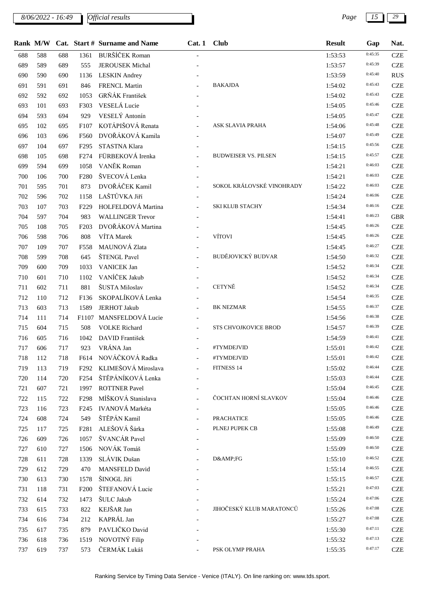*8/06/2022 - 16:49 Page 15 29*

|     |     |     |                  | Rank M/W Cat. Start # Surname and Name | Cat. 1 Club              |                             | <b>Result</b> | Gap     | Nat.       |
|-----|-----|-----|------------------|----------------------------------------|--------------------------|-----------------------------|---------------|---------|------------|
| 688 | 588 | 688 | 1361             | <b>BURŠÍČEK Roman</b>                  |                          |                             | 1:53:53       | 0:45:35 | <b>CZE</b> |
| 689 | 589 | 689 | 555              | <b>JEROUSEK Michal</b>                 |                          |                             | 1:53:57       | 0:45:39 | <b>CZE</b> |
| 690 | 590 | 690 | 1136             | <b>LESKIN</b> Andrey                   |                          |                             | 1:53:59       | 0:45:40 | <b>RUS</b> |
| 691 | 591 | 691 | 846              | <b>FRENCL Martin</b>                   |                          | <b>BAKAJDA</b>              | 1:54:02       | 0:45:43 | <b>CZE</b> |
| 692 | 592 | 692 | 1053             | GRŇÁK František                        |                          |                             | 1:54:02       | 0:45:43 | <b>CZE</b> |
| 693 | 101 | 693 | F303             | VESELÁ Lucie                           |                          |                             | 1:54:05       | 0:45:46 | <b>CZE</b> |
| 694 | 593 | 694 | 929              | VESELÝ Antonín                         |                          |                             | 1:54:05       | 0:45:47 | <b>CZE</b> |
| 695 | 102 | 695 | F <sub>107</sub> | KOTÁPIŠOVÁ Renata                      |                          | ASK SLAVIA PRAHA            | 1:54:06       | 0:45:48 | <b>CZE</b> |
| 696 | 103 | 696 | F560             | DVOŘÁKOVÁ Kamila                       |                          |                             | 1:54:07       | 0:45:49 | <b>CZE</b> |
| 697 | 104 | 697 | F <sub>295</sub> | STASTNA Klara                          |                          |                             | 1:54:15       | 0:45:56 | <b>CZE</b> |
| 698 | 105 | 698 | F <sub>274</sub> | FÜRBEKOVÁ Irenka                       |                          | <b>BUDWEISER VS. PILSEN</b> | 1:54:15       | 0:45:57 | <b>CZE</b> |
| 699 | 594 | 699 | 1058             | VANĚK Roman                            |                          |                             | 1:54:21       | 0:46:03 | <b>CZE</b> |
| 700 | 106 | 700 | F <sub>280</sub> | ŠVECOVÁ Lenka                          |                          |                             | 1:54:21       | 0:46:03 | <b>CZE</b> |
| 701 | 595 | 701 | 873              | DVOŘÁČEK Kamil                         |                          | SOKOL KRÁLOVSKÉ VINOHRADY   | 1:54:22       | 0:46:03 | <b>CZE</b> |
| 702 | 596 | 702 | 1158             | LAŠTŮVKA Jiří                          |                          |                             | 1:54:24       | 0:46:06 | <b>CZE</b> |
| 703 | 107 | 703 | F <sub>229</sub> | HOLFELDOVÁ Martina                     |                          | SKI KLUB STACHY             | 1:54:34       | 0:46:16 | <b>CZE</b> |
| 704 | 597 | 704 | 983              | <b>WALLINGER Trevor</b>                |                          |                             | 1:54:41       | 0:46:23 | <b>GBR</b> |
| 705 | 108 | 705 | F <sub>203</sub> | DVOŘÁKOVÁ Martina                      |                          |                             | 1:54:45       | 0:46:26 | <b>CZE</b> |
| 706 | 598 | 706 | 808              | VÍTA Marek                             |                          | VÍTOVI                      | 1:54:45       | 0:46:26 | <b>CZE</b> |
| 707 | 109 | 707 | F558             | MAUNOVÁ Zlata                          |                          |                             | 1:54:45       | 0:46:27 | <b>CZE</b> |
| 708 | 599 | 708 | 645              | ŠTENGL Pavel                           |                          | BUDĚJOVICKÝ BUDVAR          | 1:54:50       | 0:46:32 | <b>CZE</b> |
| 709 | 600 | 709 | 1033             | <b>VANICEK Jan</b>                     |                          |                             | 1:54:52       | 0:46:34 | <b>CZE</b> |
| 710 | 601 | 710 | 1102             | VANÍČEK Jakub                          |                          |                             | 1:54:52       | 0:46:34 | <b>CZE</b> |
| 711 | 602 | 711 | 881              | ŠUSTA Miloslav                         |                          | CETYNĚ                      | 1:54:52       | 0:46:34 | <b>CZE</b> |
| 712 | 110 | 712 | F136             | SKOPALÍKOVÁ Lenka                      |                          |                             | 1:54:54       | 0:46:35 | <b>CZE</b> |
| 713 | 603 | 713 | 1589             | <b>JERHOT Jakub</b>                    |                          | <b>BK NEZMAR</b>            | 1:54:55       | 0:46:37 | <b>CZE</b> |
| 714 | 111 | 714 |                  | F1107 MANSFELDOVÁ Lucie                | $\overline{\phantom{a}}$ |                             | 1:54:56       | 0:46:38 | <b>CZE</b> |
| 715 | 604 | 715 | 508              | <b>VOLKE</b> Richard                   |                          | STS CHVOJKOVICE BROD        | 1:54:57       | 0:46:39 | <b>CZE</b> |
| 716 | 605 | 716 | 1042             | DAVID František                        |                          |                             | 1:54:59       | 0:46:41 | <b>CZE</b> |
| 717 | 606 | 717 | 923              | VRÁNA Jan                              |                          | #TYMDEJVID                  | 1:55:01       | 0:46:42 | <b>CZE</b> |
| 718 | 112 | 718 | F614             | NOVÁČKOVÁ Radka                        |                          | #TYMDEJVID                  | 1:55:01       | 0:46:42 | <b>CZE</b> |
| 719 | 113 | 719 | F <sub>292</sub> | KLIMEŠOVÁ Miroslava                    |                          | FITNESS 14                  | 1:55:02       | 0:46:44 | <b>CZE</b> |
| 720 | 114 | 720 | F <sub>254</sub> | ŠTĚPÁNÍKOVÁ Lenka                      |                          |                             | 1:55:03       | 0:46:44 | <b>CZE</b> |
| 721 | 607 | 721 | 1997             | <b>ROTTNER Pavel</b>                   |                          |                             | 1:55:04       | 0:46:45 | <b>CZE</b> |
| 722 | 115 | 722 | F <sub>298</sub> | MÍŠKOVÁ Stanislava                     |                          | ČOCHTAN HORNÍ SLAVKOV       | 1:55:04       | 0:46:46 | <b>CZE</b> |
| 723 | 116 | 723 | F <sub>245</sub> | <b>IVANOVÁ</b> Markéta                 |                          |                             | 1:55:05       | 0:46:46 | <b>CZE</b> |
| 724 | 608 | 724 | 549              | ŠTĚPÁN Kamil                           |                          | <b>PRACHATICE</b>           | 1:55:05       | 0:46:46 | <b>CZE</b> |
| 725 | 117 | 725 | F281             | ALEŠOVÁ Šárka                          |                          | PLNEJ PUPEK CB              | 1:55:08       | 0:46:49 | <b>CZE</b> |
| 726 | 609 | 726 | 1057             | ŠVANCÁR Pavel                          |                          |                             | 1:55:09       | 0:46:50 | <b>CZE</b> |
| 727 | 610 | 727 | 1506             | NOVÁK Tomáš                            |                          |                             | 1:55:09       | 0:46:50 | <b>CZE</b> |
| 728 | 611 | 728 | 1339             | SLÁVIK Dušan                           |                          | D&FG                        | 1:55:10       | 0:46:52 | <b>CZE</b> |
| 729 | 612 | 729 | 470              | <b>MANSFELD David</b>                  |                          |                             | 1:55:14       | 0:46:55 | <b>CZE</b> |
| 730 | 613 | 730 | 1578             | ŠINOGL Jiří                            |                          |                             | 1:55:15       | 0:46:57 | <b>CZE</b> |
| 731 | 118 | 731 | F <sub>200</sub> | ŠTEFANOVÁ Lucie                        |                          |                             | 1:55:21       | 0:47:03 | <b>CZE</b> |
| 732 | 614 | 732 | 1473             | ŠULC Jakub                             |                          |                             | 1:55:24       | 0:47:06 | <b>CZE</b> |
| 733 | 615 | 733 | 822              | KEJŠAR Jan                             |                          | JIHOČESKÝ KLUB MARATONCŮ    | 1:55:26       | 0:47:08 | <b>CZE</b> |
| 734 | 616 | 734 | 212              | KAPRÁL Jan                             |                          |                             | 1:55:27       | 0:47:08 | <b>CZE</b> |
| 735 | 617 | 735 | 879              | PAVLIČKO David                         |                          |                             | 1:55:30       | 0:47:11 | <b>CZE</b> |
| 736 | 618 | 736 | 1519             | NOVOTNÝ Filip                          |                          |                             | 1:55:32       | 0:47:13 | <b>CZE</b> |
| 737 | 619 | 737 | 573              | ČERMÁK Lukáš                           |                          | PSK OLYMP PRAHA             | 1:55:35       | 0:47:17 | <b>CZE</b> |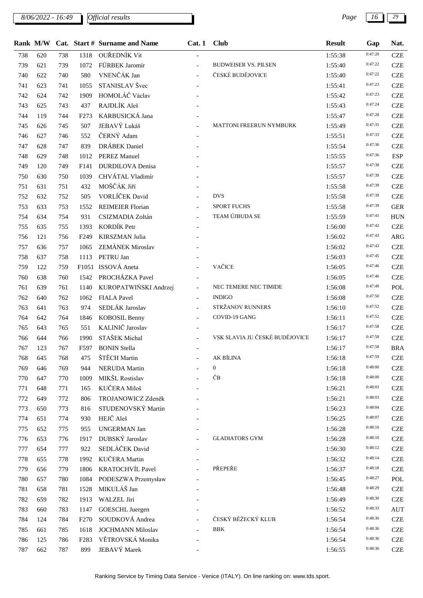*8/06/2022 - 16:49 Page 16 29*

|     | Rank M/W |     |                  | Cat. Start # Surname and Name | Cat.1                    | <b>Club</b>                    | <b>Result</b> | Gap     | Nat.       |
|-----|----------|-----|------------------|-------------------------------|--------------------------|--------------------------------|---------------|---------|------------|
| 738 | 620      | 738 | 1318             | OUŘEDNÍK Vít                  |                          |                                | 1:55:38       | 0:47:20 | <b>CZE</b> |
| 739 | 621      | 739 | 1072             | FÜRBEK Jaromír                |                          | <b>BUDWEISER VS. PILSEN</b>    | 1:55:40       | 0:47:22 | <b>CZE</b> |
| 740 | 622      | 740 | 580              | VNENČÁK Jan                   |                          | ČESKÉ BUDĚJOVICE               | 1:55:40       | 0:47:22 | <b>CZE</b> |
| 741 | 623      | 741 | 1055             | STANISLAV Švec                |                          |                                | 1:55:41       | 0:47:23 | <b>CZE</b> |
| 742 | 624      | 742 | 1909             | HOMOLÁČ Václav                |                          |                                | 1:55:42       | 0:47:23 | <b>CZE</b> |
| 743 | 625      | 743 | 437              | RAJDLÍK Aleš                  |                          |                                | 1:55:43       | 0:47:24 | <b>CZE</b> |
| 744 | 119      | 744 | F <sub>273</sub> | KARBUSICKÁ Jana               |                          |                                | 1:55:47       | 0:47:28 | <b>CZE</b> |
| 745 | 626      | 745 | 507              | JEBAVÝ Lukáš                  |                          | MATTONI FREERUN NYMBURK        | 1:55:49       | 0:47:31 | <b>CZE</b> |
| 746 | 627      | 746 | 552              | ČERNÝ Adam                    |                          |                                | 1:55:51       | 0:47:33 | <b>CZE</b> |
| 747 | 628      | 747 | 839              | DRÁBEK Daniel                 |                          |                                | 1:55:54       | 0:47:36 | <b>CZE</b> |
| 748 | 629      | 748 | 1012             | <b>PEREZ Manuel</b>           |                          |                                | 1:55:55       | 0:47:36 | <b>ESP</b> |
| 749 | 120      | 749 | F141             | <b>DURDILOVA</b> Denisa       |                          |                                | 1:55:57       | 0:47:38 | <b>CZE</b> |
| 750 | 630      | 750 | 1039             | CHVÁTAL Vladimír              |                          |                                | 1:55:57       | 0:47:39 | <b>CZE</b> |
| 751 | 631      | 751 | 432              | MOŠČÁK Jiří                   |                          |                                | 1:55:58       | 0:47:39 | <b>CZE</b> |
| 752 | 632      | 752 | 505              | VORLÍČEK David                |                          | <b>DVS</b>                     | 1:55:58       | 0:47:39 | <b>CZE</b> |
| 753 | 633      | 753 | 1552             | <b>REIMEIER Florian</b>       |                          | <b>SPORT FUCHS</b>             | 1:55:58       | 0:47:39 | <b>GER</b> |
| 754 | 634      | 754 | 931              | CSIZMADIA Zoltán              |                          | TEAM ÚJBUDA SE                 | 1:55:59       | 0:47:41 | <b>HUN</b> |
| 755 | 635      | 755 | 1393             | KORDÍK Petr                   |                          |                                | 1:56:00       | 0:47:42 | <b>CZE</b> |
| 756 | 121      | 756 | F <sub>249</sub> | <b>KIRSZMAN Julia</b>         |                          |                                | 1:56:02       | 0:47:43 | ARG        |
| 757 | 636      | 757 | 1065             | <b>ZEMÁNEK Miroslav</b>       |                          |                                | 1:56:02       | 0:47:43 | <b>CZE</b> |
| 758 | 637      | 758 | 1113             | PETRU Jan                     |                          |                                | 1:56:03       | 0:47:45 | <b>CZE</b> |
| 759 | 122      | 759 |                  | F1051 ISSOVÁ Aneta            |                          | VAČICE                         | 1:56:05       | 0:47:46 | <b>CZE</b> |
| 760 | 638      | 760 | 1542             | PROCHÁZKA Pavel               |                          |                                | 1:56:05       | 0:47:46 | <b>CZE</b> |
| 761 | 639      | 761 | 1140             | KUROPATWIŃSKI Andrzej         | $\overline{\phantom{a}}$ | NEC TEMERE NEC TIMIDE          | 1:56:08       | 0:47:49 | POL        |
| 762 | 640      | 762 | 1062             | <b>FIALA Pavel</b>            | $\equiv$                 | <b>INDIGO</b>                  | 1:56:08       | 0:47:50 | <b>CZE</b> |
| 763 | 641      | 763 | 974              | SEDLÁK Jaroslav               |                          | STRŽANOV RUNNERS               | 1:56:10       | 0:47:52 | <b>CZE</b> |
| 764 | 642      | 764 | 1846             | <b>KOBOSIL Benny</b>          | $\overline{\phantom{a}}$ | COVID-19 GANG                  | 1:56:11       | 0:47:52 | <b>CZE</b> |
| 765 | 643      | 765 | 551              | KALINIČ Jaroslav              |                          |                                | 1:56:17       | 0:47:58 | <b>CZE</b> |
| 766 | 644      | 766 | 1990             | STAŠEK Michal                 |                          | VSK SLAVIA JU ČESKÉ BUDĚJOVICE | 1:56:17       | 0:47:58 | <b>CZE</b> |
| 767 | 123      | 767 | F597             | <b>BONIN Stella</b>           |                          |                                | 1:56:17       | 0:47:58 | <b>BRA</b> |
| 768 | 645      | 768 | 475              | ŠTĚCH Martin                  |                          | AK BÍLINA                      | 1:56:18       | 0:47:59 | <b>CZE</b> |
| 769 | 646      | 769 | 944              | <b>NERUDA</b> Martin          |                          | $\mathbf{0}$                   | 1:56:18       | 0:48:00 | <b>CZE</b> |
| 770 | 647      | 770 | 1009             | MIKŠL Rostislav               |                          | ČВ                             | 1:56:18       | 0:48:00 | <b>CZE</b> |
| 771 | 648      | 771 | 165              | KUČERA Miloš                  |                          |                                | 1:56:21       | 0:48:03 | <b>CZE</b> |
| 772 | 649      | 772 | 806              | TROJANOWICZ Zdeněk            |                          |                                | 1:56:21       | 0:48:03 | <b>CZE</b> |
| 773 | 650      | 773 | 816              | STUDENOVSKÝ Martin            |                          |                                | 1:56:23       | 0:48:04 | <b>CZE</b> |
| 774 | 651      | 774 | 930              | HEJČ Aleš                     |                          |                                | 1:56:25       | 0:48:07 | <b>CZE</b> |
| 775 | 652      | 775 | 955              | <b>UNGERMAN Jan</b>           |                          |                                | 1:56:28       | 0:48:10 | <b>CZE</b> |
| 776 | 653      | 776 | 1917             | DUBSKÝ Jaroslav               |                          | <b>GLADIATORS GYM</b>          | 1:56:28       | 0:48:10 | <b>CZE</b> |
| 777 | 654      | 777 | 922              | SEDLÁČEK David                |                          |                                | 1:56:30       | 0:48:12 | <b>CZE</b> |
| 778 | 655      | 778 | 1992             | KUČERA Martin                 |                          |                                | 1:56:32       | 0:48:14 | <b>CZE</b> |
| 779 | 656      | 779 | 1806             | KRATOCHVÍL Pavel              |                          | PŘEPEŘE                        | 1:56:37       | 0:48:18 | <b>CZE</b> |
| 780 | 657      | 780 | 1084             | PODESZWA Przemysław           | $\blacksquare$           |                                | 1:56:45       | 0:48:27 | POL        |
| 781 | 658      | 781 | 1528             | MIKULÁŠ Jan                   |                          |                                | 1:56:48       | 0:48:29 | <b>CZE</b> |
| 782 | 659      | 782 | 1913             | WALZEL Jiri                   |                          |                                | 1:56:49       | 0:48:30 | <b>CZE</b> |
| 783 | 660      | 783 | 1147             | GOESCHL Juergen               |                          |                                | 1:56:52       | 0:48:33 | <b>AUT</b> |
| 784 | 124      | 784 | F <sub>270</sub> | SOUDKOVÁ Andrea               |                          | ČESKÝ BĚŽECKÝ KLUB             | 1:56:54       | 0:48:36 | <b>CZE</b> |
| 785 | 661      | 785 | 1618             | <b>JOCHMANN Miloslav</b>      |                          | <b>BBK</b>                     | 1:56:54       | 0:48:36 | <b>CZE</b> |
| 786 | 125      | 786 | F <sub>283</sub> | VĚTROVSKÁ Monika              |                          |                                | 1:56:54       | 0:48:36 | <b>CZE</b> |
| 787 | 662      | 787 | 899              | JEBAVÝ Marek                  |                          |                                | 1:56:55       | 0:48:36 | <b>CZE</b> |
|     |          |     |                  |                               |                          |                                |               |         |            |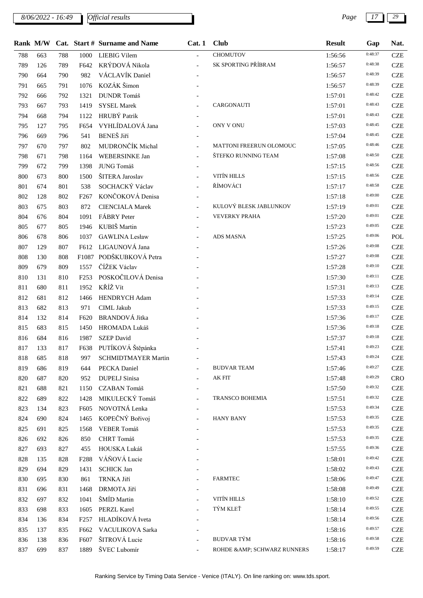*8/06/2022 - 16:49 Page 17 29*

|     |     |     |                  | Rank M/W Cat. Start # Surname and Name | Cat. 1                   | <b>Club</b>                  | <b>Result</b> | Gap     | Nat.       |
|-----|-----|-----|------------------|----------------------------------------|--------------------------|------------------------------|---------------|---------|------------|
| 788 | 663 | 788 | 1000             | <b>LIEBIG Vilem</b>                    |                          | CHOMUTOV                     | 1:56:56       | 0:48:37 | <b>CZE</b> |
| 789 | 126 | 789 | F642             | KRÝDOVÁ Nikola                         | $\overline{a}$           | SK SPORTING PŘÍBRAM          | 1:56:57       | 0:48:38 | <b>CZE</b> |
| 790 | 664 | 790 | 982              | VÁCLAVÍK Daniel                        |                          |                              | 1:56:57       | 0:48:39 | <b>CZE</b> |
| 791 | 665 | 791 | 1076             | KOZÁK Šimon                            |                          |                              | 1:56:57       | 0:48:39 | <b>CZE</b> |
| 792 | 666 | 792 | 1321             | DUNDR Tomáš                            |                          |                              | 1:57:01       | 0:48:42 | <b>CZE</b> |
| 793 | 667 | 793 | 1419             | <b>SYSEL Marek</b>                     |                          | CARGONAUTI                   | 1:57:01       | 0:48:43 | <b>CZE</b> |
| 794 | 668 | 794 | 1122             | HRUBÝ Patrik                           | $\overline{\phantom{a}}$ |                              | 1:57:01       | 0:48:43 | <b>CZE</b> |
| 795 | 127 | 795 | F654             | VYHLÍDALOVÁ Jana                       | $\equiv$                 | ONY V ONU                    | 1:57:03       | 0:48:45 | <b>CZE</b> |
| 796 | 669 | 796 | 541              | <b>BENEŠ</b> Jiří                      |                          |                              | 1:57:04       | 0:48:45 | <b>CZE</b> |
| 797 | 670 | 797 | 802              | MUDRONČÍK Michal                       | $\blacksquare$           | MATTONI FREERUN OLOMOUC      | 1:57:05       | 0:48:46 | <b>CZE</b> |
| 798 | 671 | 798 | 1164             | WEBERSINKE Jan                         | $\overline{a}$           | ŠTEFKO RUNNING TEAM          | 1:57:08       | 0:48:50 | <b>CZE</b> |
| 799 | 672 | 799 | 1398             | JUNG Tomáš                             | $\qquad \qquad -$        |                              | 1:57:15       | 0:48:56 | <b>CZE</b> |
| 800 | 673 | 800 | 1500             | ŠITERA Jaroslav                        |                          | VITÍN HILLS                  | 1:57:15       | 0:48:56 | <b>CZE</b> |
| 801 | 674 | 801 | 538              | SOCHACKÝ Václav                        |                          | ŘÍMOVÁCI                     | 1:57:17       | 0:48:58 | <b>CZE</b> |
| 802 | 128 | 802 | F <sub>267</sub> | KONČOKOVÁ Denisa                       | $\overline{\phantom{a}}$ |                              | 1:57:18       | 0:49:00 | <b>CZE</b> |
| 803 | 675 | 803 | 872              | <b>CIENCIALA Marek</b>                 |                          | KULOVÝ BLESK JABLUNKOV       | 1:57:19       | 0:49:01 | <b>CZE</b> |
| 804 | 676 | 804 | 1091             | FÁBRY Peter                            |                          | <b>VEVERKY PRAHA</b>         | 1:57:20       | 0:49:01 | <b>CZE</b> |
| 805 | 677 | 805 | 1946             | KUBIŠ Martin                           |                          |                              | 1:57:23       | 0:49:05 | <b>CZE</b> |
| 806 | 678 | 806 | 1037             | <b>GAWLINA Lesław</b>                  |                          | <b>ADS MASNA</b>             | 1:57:25       | 0:49:06 | POL        |
| 807 | 129 | 807 |                  | F612 LIGAUNOVÁ Jana                    |                          |                              | 1:57:26       | 0:49:08 | <b>CZE</b> |
| 808 | 130 | 808 |                  | F1087 PODŠKUBKOVÁ Petra                |                          |                              | 1:57:27       | 0:49:08 | <b>CZE</b> |
| 809 | 679 | 809 | 1557             | ČÍŽEK Václav                           |                          |                              | 1:57:28       | 0:49:10 | <b>CZE</b> |
| 810 | 131 | 810 | F <sub>253</sub> | POSKOČILOVÁ Denisa                     |                          |                              | 1:57:30       | 0:49:11 | <b>CZE</b> |
| 811 | 680 | 811 | 1952             | KŘÍŽ Vít                               |                          |                              | 1:57:31       | 0:49:13 | <b>CZE</b> |
| 812 | 681 | 812 | 1466             | HENDRYCH Adam                          |                          |                              | 1:57:33       | 0:49:14 | <b>CZE</b> |
| 813 | 682 | 813 | 971              | <b>CIML</b> Jakub                      |                          |                              | 1:57:33       | 0:49:15 | <b>CZE</b> |
| 814 | 132 | 814 | F620             | <b>BRANDOVÁ Jitka</b>                  |                          |                              | 1:57:36       | 0:49:17 | <b>CZE</b> |
| 815 | 683 | 815 | 1450             | HROMADA Lukáš                          |                          |                              | 1:57:36       | 0:49:18 | <b>CZE</b> |
| 816 | 684 | 816 | 1987             | <b>SZEP</b> David                      |                          |                              | 1:57:37       | 0:49:18 | <b>CZE</b> |
| 817 | 133 | 817 | F638             | PUTÍKOVÁ Štěpánka                      |                          |                              | 1:57:41       | 0:49:23 | <b>CZE</b> |
| 818 | 685 | 818 | 997              | <b>SCHMIDTMAYER Martin</b>             |                          |                              | 1:57:43       | 0:49:24 | <b>CZE</b> |
| 819 | 686 | 819 | 644              | PECKA Daniel                           |                          | <b>BUDVAR TEAM</b>           | 1:57:46       | 0:49:27 | <b>CZE</b> |
| 820 | 687 | 820 | 952              | <b>DUPELJ</b> Sinisa                   |                          | AK FIT                       | 1:57:48       | 0:49:29 | <b>CRO</b> |
| 821 | 688 | 821 | 1150             | CZABAN Tomáš                           |                          |                              | 1:57:50       | 0:49:32 | <b>CZE</b> |
| 822 | 689 | 822 | 1428             | MIKULECKÝ Tomáš                        | $\blacksquare$           | TRANSCO BOHEMIA              | 1:57:51       | 0:49:32 | <b>CZE</b> |
| 823 | 134 | 823 | F605             | NOVOTNÁ Lenka                          |                          |                              | 1:57:53       | 0:49:34 | <b>CZE</b> |
| 824 | 690 | 824 | 1465             | KOPEČNÝ Bořivoj                        |                          | <b>HANY BANY</b>             | 1:57:53       | 0:49:35 | <b>CZE</b> |
| 825 | 691 | 825 | 1568             | VEBER Tomáš                            |                          |                              | 1:57:53       | 0:49:35 | <b>CZE</b> |
| 826 | 692 | 826 | 850              | CHRT Tomáš                             |                          |                              | 1:57:53       | 0:49:35 | <b>CZE</b> |
| 827 | 693 | 827 | 455              | HOUSKA Lukáš                           |                          |                              | 1:57:55       | 0:49:36 | <b>CZE</b> |
| 828 | 135 | 828 | F <sub>288</sub> | VÁŇOVÁ Lucie                           |                          |                              | 1:58:01       | 0:49:42 | <b>CZE</b> |
| 829 | 694 | 829 | 1431             | <b>SCHICK Jan</b>                      |                          |                              | 1:58:02       | 0:49:43 | <b>CZE</b> |
| 830 | 695 | 830 | 861              | TRNKA Jiří                             |                          | <b>FARMTEC</b>               | 1:58:06       | 0:49:47 | <b>CZE</b> |
| 831 | 696 | 831 | 1468             | DRMOTA Jiří                            |                          |                              | 1:58:08       | 0:49:49 | <b>CZE</b> |
| 832 | 697 | 832 | 1041             | ŠMÍD Martin                            |                          | VITÍN HILLS                  | 1:58:10       | 0:49:52 | <b>CZE</b> |
| 833 | 698 | 833 | 1605             | PERZL Karel                            |                          | TÝM KLEŤ                     | 1:58:14       | 0:49:55 | <b>CZE</b> |
| 834 | 136 | 834 | F <sub>257</sub> | HLADÍKOVÁ Iveta                        |                          |                              | 1:58:14       | 0:49:56 | <b>CZE</b> |
| 835 | 137 | 835 | F662             | VACULIKOVA Sarka                       |                          |                              | 1:58:16       | 0:49:57 | <b>CZE</b> |
| 836 | 138 | 836 | F607             | ŠITROVÁ Lucie                          |                          | <b>BUDVAR TÝM</b>            | 1:58:16       | 0:49:58 | <b>CZE</b> |
| 837 | 699 | 837 | 1889             | ŠVEC Lubomír                           |                          | ROHDE & AMP; SCHWARZ RUNNERS | 1:58:17       | 0:49:59 | <b>CZE</b> |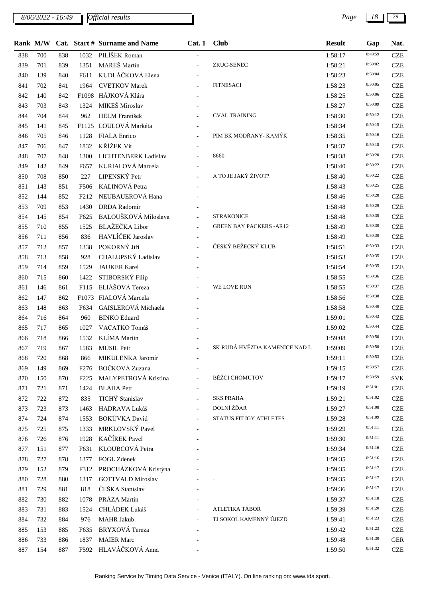*8/06/2022 - 16:49 Page 18 29*

| . . | the contract of the con- |     |
|-----|--------------------------|-----|
|     | Gap                      | Nat |
|     | 0:49:59                  | CZI |
|     | 0:50:02                  | CZI |
|     |                          |     |

|     | Rank M/W |     |                   | Cat. Start # Surname and Name | Cat.1 | <b>Club</b>                     | <b>Result</b> | Gap     | Nat.       |
|-----|----------|-----|-------------------|-------------------------------|-------|---------------------------------|---------------|---------|------------|
| 838 | 700      | 838 | 1032              | PILÍŠEK Roman                 |       |                                 | 1:58:17       | 0:49:59 | <b>CZE</b> |
| 839 | 701      | 839 | 1351              | MAREŠ Martin                  |       | ZRUC-SENEC                      | 1:58:21       | 0:50:02 | <b>CZE</b> |
| 840 | 139      | 840 | F611              | KUDLÁČKOVÁ Elena              |       |                                 | 1:58:23       | 0:50:04 | <b>CZE</b> |
| 841 | 702      | 841 | 1964              | <b>CVETKOV Marek</b>          |       | <b>FITNESACI</b>                | 1:58:23       | 0:50:05 | <b>CZE</b> |
| 842 | 140      | 842 |                   | F1098 HÁJKOVÁ Klára           |       |                                 | 1:58:25       | 0:50:06 | <b>CZE</b> |
| 843 | 703      | 843 | 1324              | MIKEŠ Miroslav                |       |                                 | 1:58:27       | 0:50:09 | <b>CZE</b> |
| 844 | 704      | 844 | 962               | <b>HELM</b> František         |       | <b>CVAL TRAINING</b>            | 1:58:30       | 0:50:12 | <b>CZE</b> |
| 845 | 141      | 845 |                   | F1125 LOULOVÁ Markéta         |       |                                 | 1:58:34       | 0:50:15 | <b>CZE</b> |
| 846 | 705      | 846 | 1128              | <b>FIALA</b> Enrico           |       | PIM BK MODŘANY- KAMÝK           | 1:58:35       | 0:50:16 | <b>CZE</b> |
| 847 | 706      | 847 | 1832              | KŘÍŽEK Vít                    |       |                                 | 1:58:37       | 0:50:18 | <b>CZE</b> |
| 848 | 707      | 848 | 1300              | LICHTENBERK Ladislav          |       | 8660                            | 1:58:38       | 0:50:20 | <b>CZE</b> |
| 849 | 142      | 849 | F657              | KURIALOVÁ Marcela             |       |                                 | 1:58:40       | 0:50:22 | <b>CZE</b> |
| 850 | 708      | 850 | 227               | LIPENSKÝ Petr                 |       | A TO JE JAKÝ ŽIVOT?             | 1:58:40       | 0:50:22 | <b>CZE</b> |
| 851 | 143      | 851 | F506              | KALINOVÁ Petra                |       |                                 | 1:58:43       | 0:50:25 | <b>CZE</b> |
| 852 | 144      | 852 | F <sub>2</sub> 12 | NEUBAUEROVÁ Hana              |       |                                 | 1:58:46       | 0:50:28 | <b>CZE</b> |
| 853 | 709      | 853 | 1430              | <b>DRDA</b> Radomír           |       |                                 | 1:58:48       | 0:50:29 | <b>CZE</b> |
| 854 | 145      | 854 | F625              | BALOUŠKOVÁ Miloslava          |       | <b>STRAKONICE</b>               | 1:58:48       | 0:50:30 | <b>CZE</b> |
| 855 | 710      | 855 | 1525              | BLAŽEČKA Libor                |       | <b>GREEN BAY PACKERS - AR12</b> | 1:58:49       | 0:50:30 | <b>CZE</b> |
| 856 | 711      | 856 | 836               | HAVLÍČEK Jaroslav             |       |                                 | 1:58:49       | 0:50:30 | <b>CZE</b> |
| 857 | 712      | 857 | 1338              | POKORNÝ Jiří                  |       | ČESKÝ BĚŽECKÝ KLUB              | 1:58:51       | 0:50:33 | <b>CZE</b> |
| 858 | 713      | 858 | 928               | CHALUPSKÝ Ladislav            |       |                                 | 1:58:53       | 0:50:35 | <b>CZE</b> |
| 859 | 714      | 859 | 1529              | <b>JAUKER Karel</b>           |       |                                 | 1:58:54       | 0:50:35 | <b>CZE</b> |
| 860 | 715      | 860 | 1422              | STIBORSKÝ Filip               |       |                                 | 1:58:55       | 0:50:36 | <b>CZE</b> |
| 861 | 146      | 861 | F115              | ELIÁŠOVÁ Tereza               |       | WE LOVE RUN                     | 1:58:55       | 0:50:37 | <b>CZE</b> |
| 862 | 147      | 862 |                   | F1073 FIALOVÁ Marcela         |       |                                 | 1:58:56       | 0:50:38 | <b>CZE</b> |
| 863 | 148      | 863 | F634              | GAISLEROVÁ Michaela           |       |                                 | 1:58:58       | 0:50:40 | <b>CZE</b> |
| 864 | 716      | 864 | 960               | <b>BINKO</b> Eduard           |       |                                 | 1:59:01       | 0:50:43 | <b>CZE</b> |
| 865 | 717      | 865 | 1027              | VACATKO Tomáš                 |       |                                 | 1:59:02       | 0:50:44 | <b>CZE</b> |
| 866 | 718      | 866 | 1532              | KLÍMA Martin                  |       |                                 | 1:59:08       | 0:50:50 | <b>CZE</b> |
| 867 | 719      | 867 | 1583              | MUSIL Petr                    |       | SK RUDÁ HVĚZDA KAMENICE NAD L   | 1:59:09       | 0:50:50 | <b>CZE</b> |
| 868 | 720      | 868 | 866               | MIKULENKA Jaromír             |       |                                 | 1:59:11       | 0:50:53 | <b>CZE</b> |
| 869 | 149      | 869 |                   | F276 BOČKOVÁ Zuzana           |       |                                 | 1:59:15       | 0:50:57 | <b>CZE</b> |
| 870 | 150      | 870 | F <sub>225</sub>  | MALYPETROVÁ Kristína          |       | <b>BĚŽCI CHOMUTOV</b>           | 1:59:17       | 0:50:59 | <b>SVK</b> |
| 871 | 721      | 871 | 1424              | <b>BLAHA</b> Petr             |       |                                 | 1:59:19       | 0:51:01 | <b>CZE</b> |
| 872 | 722      | 872 | 835               | TICHÝ Stanislav               |       | <b>SKS PRAHA</b>                | 1:59:21       | 0:51:02 | <b>CZE</b> |
| 873 | 723      | 873 | 1463              | HADRAVA Lukáš                 |       | DOLNÍ ŽĎÁR                      | 1:59:27       | 0:51:08 | <b>CZE</b> |
| 874 | 724      | 874 | 1553              | BOKŮVKA David                 |       | STATUS FIT IGY ATHLETES         | 1:59:28       | 0:51:09 | <b>CZE</b> |
| 875 | 725      | 875 | 1333              | MRKLOVSKÝ Pavel               |       |                                 | 1:59:29       | 0:51:11 | <b>CZE</b> |
| 876 | 726      | 876 | 1928              | KAČÍREK Pavel                 |       |                                 | 1:59:30       | 0:51:11 | <b>CZE</b> |
| 877 | 151      | 877 | F631              | KLOUBCOVÁ Petra               |       |                                 | 1:59:34       | 0:51:16 | <b>CZE</b> |
| 878 | 727      | 878 | 1377              | FOGL Zdenek                   |       |                                 | 1:59:35       | 0:51:16 | <b>CZE</b> |
| 879 | 152      | 879 | F312              | PROCHÁZKOVÁ Kristýna          |       |                                 | 1:59:35       | 0:51:17 | <b>CZE</b> |
| 880 | 728      | 880 | 1317              | <b>GOTTVALD Miroslav</b>      |       |                                 | 1:59:35       | 0:51:17 | <b>CZE</b> |
| 881 | 729      | 881 | 818               | ČEŠKA Stanislav               |       |                                 | 1:59:36       | 0:51:17 | <b>CZE</b> |
| 882 | 730      | 882 | 1078              | PRÁZA Martin                  |       |                                 | 1:59:37       | 0:51:18 | <b>CZE</b> |
| 883 | 731      | 883 | 1524              | CHLÁDEK Lukáš                 |       | ATLETIKA TÁBOR                  | 1:59:39       | 0:51:20 | <b>CZE</b> |
| 884 | 732      | 884 | 976               | <b>MAHR Jakub</b>             |       | TJ SOKOL KAMENNÝ ÚJEZD          | 1:59:41       | 0:51:23 | <b>CZE</b> |
| 885 | 153      | 885 | F635              | BRYXOVÁ Tereza                |       |                                 | 1:59:42       | 0:51:23 | <b>CZE</b> |
| 886 | 733      | 886 | 1837              | <b>MAIER Marc</b>             |       |                                 | 1:59:48       | 0:51:30 | <b>GER</b> |
| 887 | 154      | 887 |                   | F592 HLAVÁČKOVÁ Anna          |       |                                 | 1:59:50       | 0:51:32 | <b>CZE</b> |
|     |          |     |                   |                               |       |                                 |               |         |            |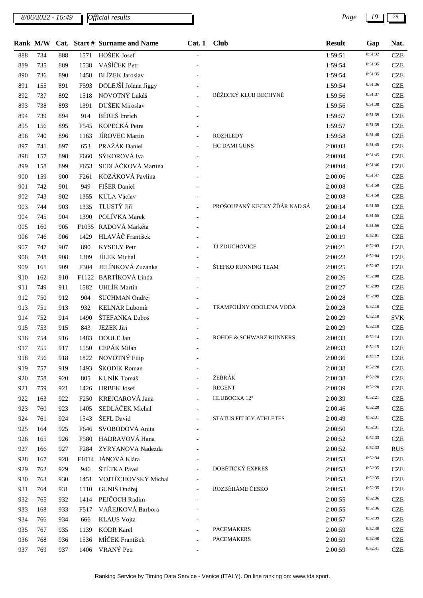*8/06/2022 - 16:49 Page 19 29*

|     | Rank M/W |     |                  | Cat. Start # Surname and Name | Cat.1                    | <b>Club</b>                  | <b>Result</b> | Gap     | Nat.       |
|-----|----------|-----|------------------|-------------------------------|--------------------------|------------------------------|---------------|---------|------------|
| 888 | 734      | 888 | 1571             | HOŠEK Josef                   |                          |                              | 1:59:51       | 0:51:32 | <b>CZE</b> |
| 889 | 735      | 889 | 1538             | VAŠÍČEK Petr                  |                          |                              | 1:59:54       | 0:51:35 | <b>CZE</b> |
| 890 | 736      | 890 | 1458             | <b>BLÍZEK Jaroslav</b>        |                          |                              | 1:59:54       | 0:51:35 | <b>CZE</b> |
| 891 | 155      | 891 | F593             | DOLEJŠÍ Jolana Jiggy          |                          |                              | 1:59:54       | 0:51:36 | <b>CZE</b> |
| 892 | 737      | 892 | 1518             | NOVOTNÝ Lukáš                 |                          | BĚŽECKÝ KLUB BECHYNĚ         | 1:59:56       | 0:51:37 | <b>CZE</b> |
| 893 | 738      | 893 | 1391             | DUŠEK Miroslav                |                          |                              | 1:59:56       | 0:51:38 | <b>CZE</b> |
| 894 | 739      | 894 | 914              | BÉREŠ Imrich                  |                          |                              | 1:59:57       | 0:51:39 | <b>CZE</b> |
| 895 | 156      | 895 | F545             | KOPECKÁ Petra                 |                          |                              | 1:59:57       | 0:51:39 | <b>CZE</b> |
| 896 | 740      | 896 | 1163             | JÍROVEC Martin                |                          | <b>ROZHLEDY</b>              | 1:59:58       | 0:51:40 | <b>CZE</b> |
| 897 | 741      | 897 | 653              | PRAŽÁK Daniel                 |                          | HC DAMI GUNS                 | 2:00:03       | 0:51:45 | <b>CZE</b> |
| 898 | 157      | 898 | F660             | SÝKOROVÁ Iva                  |                          |                              | 2:00:04       | 0:51:45 | <b>CZE</b> |
| 899 | 158      | 899 | F653             | SEDLÁČKOVÁ Martina            |                          |                              | 2:00:04       | 0:51:46 | <b>CZE</b> |
| 900 | 159      | 900 | F <sub>261</sub> | KOZÁKOVÁ Pavlína              |                          |                              | 2:00:06       | 0:51:47 | <b>CZE</b> |
| 901 | 742      | 901 | 949              | FIŠER Daniel                  |                          |                              | 2:00:08       | 0:51:50 | <b>CZE</b> |
| 902 | 743      | 902 | 1355             | KŮLA Václav                   |                          |                              | 2:00:08       | 0:51:50 | <b>CZE</b> |
| 903 | 744      | 903 | 1335             | TLUSTÝ Jiří                   |                          | PROŠOUPANÝ KECKY ŽĎÁR NAD SÁ | 2:00:14       | 0:51:55 | <b>CZE</b> |
| 904 | 745      | 904 | 1390             | POLÍVKA Marek                 |                          |                              | 2:00:14       | 0:51:55 | <b>CZE</b> |
| 905 | 160      | 905 |                  | F1035 RADOVÁ Markéta          |                          |                              | 2:00:14       | 0:51:56 | <b>CZE</b> |
| 906 | 746      | 906 | 1429             | HLAVÁČ František              |                          |                              | 2:00:19       | 0:52:01 | <b>CZE</b> |
| 907 | 747      | 907 | 890              | <b>KYSELY</b> Petr            |                          | TJ ZDUCHOVICE                | 2:00:21       | 0:52:03 | <b>CZE</b> |
| 908 | 748      | 908 | 1309             | <b>JÍLEK</b> Michal           |                          |                              | 2:00:22       | 0:52:04 | <b>CZE</b> |
| 909 | 161      | 909 | F304             | JELÍNKOVÁ Zuzanka             |                          | ŠTEFKO RUNNING TEAM          | 2:00:25       | 0:52:07 | <b>CZE</b> |
| 910 | 162      | 910 | F1122            | <b>BARTÍKOVÁ Linda</b>        |                          |                              | 2:00:26       | 0:52:08 | <b>CZE</b> |
| 911 | 749      | 911 | 1582             | UHLÍK Martin                  |                          |                              | 2:00:27       | 0:52:09 | <b>CZE</b> |
| 912 | 750      | 912 | 904              | ŠUCHMAN Ondřej                |                          |                              | 2:00:28       | 0:52:09 | <b>CZE</b> |
| 913 | 751      | 913 | 932              | <b>KELNAR Lubomír</b>         |                          | TRAMPOLÍNY ODOLENA VODA      | 2:00:28       | 0:52:10 | <b>CZE</b> |
| 914 | 752      | 914 | 1490             | ŠTEFANKA Ľuboš                |                          |                              | 2:00:29       | 0:52:10 | <b>SVK</b> |
| 915 | 753      | 915 | 843              | <b>JEZEK Jiri</b>             |                          |                              | 2:00:29       | 0:52:10 | <b>CZE</b> |
| 916 | 754      | 916 | 1483             | DOULE Jan                     |                          | ROHDE & SCHWARZ RUNNERS      | 2:00:33       | 0:52:14 | <b>CZE</b> |
| 917 | 755      | 917 |                  | 1550 CEPÁK Milan              |                          |                              | 2:00:33       | 0:52:15 | <b>CZE</b> |
| 918 | 756      | 918 |                  | 1822 NOVOTNÝ Filip            |                          |                              | 2:00:36       | 0:52:17 | <b>CZE</b> |
| 919 | 757      | 919 | 1493             | ŠKODÍK Roman                  | $\overline{\phantom{a}}$ |                              | 2:00:38       | 0:52:20 | <b>CZE</b> |
| 920 | 758      | 920 | 805              | KUNÍK Tomáš                   |                          | ŽEBRÁK                       | 2:00:38       | 0:52:20 | <b>CZE</b> |
| 921 | 759      | 921 | 1426             | <b>HRBEK</b> Josef            |                          | <b>REGENT</b>                | 2:00:39       | 0:52:20 | <b>CZE</b> |
| 922 | 163      | 922 | F <sub>250</sub> | KREJCAROVÁ Jana               |                          | HLUBOCKA 12°                 | 2:00:39       | 0:52:21 | <b>CZE</b> |
| 923 | 760      | 923 | 1405             | SEDLÁČEK Michal               |                          |                              | 2:00:46       | 0:52:28 | <b>CZE</b> |
| 924 | 761      | 924 | 1543             | ŠEFL David                    |                          | STATUS FIT IGY ATHLETES      | 2:00:49       | 0:52:31 | <b>CZE</b> |
| 925 | 164      | 925 | F646             | SVOBODOVÁ Anita               |                          |                              | 2:00:50       | 0:52:31 | <b>CZE</b> |
| 926 | 165      | 926 | F580             | HADRAVOVÁ Hana                |                          |                              | 2:00:52       | 0:52:33 | <b>CZE</b> |
| 927 | 166      | 927 |                  | F284 ZYRYANOVA Nadezda        |                          |                              | 2:00:52       | 0:52:33 | <b>RUS</b> |
| 928 | 167      | 928 |                  | F1014 JÁNOVÁ Klára            |                          |                              | 2:00:53       | 0:52:34 | <b>CZE</b> |
| 929 | 762      | 929 | 946              | ŠTĚTKA Pavel                  |                          | DOBĚTICKÝ EXPRES             | 2:00:53       | 0:52:35 | <b>CZE</b> |
| 930 | 763      | 930 | 1451             | VOJTĚCHOVSKÝ Michal           | $\overline{\phantom{a}}$ |                              | 2:00:53       | 0:52:35 | <b>CZE</b> |
| 931 | 764      | 931 | 1110             | GUNIŠ Ondřej                  |                          | ROZBĚHÁME ČESKO              | 2:00:53       | 0:52:35 | <b>CZE</b> |
| 932 | 765      | 932 | 1414             | PEJČOCH Radim                 |                          |                              | 2:00:55       | 0:52:36 | <b>CZE</b> |
| 933 | 168      | 933 | F517             | VAŘEJKOVÁ Barbora             |                          |                              | 2:00:55       | 0:52:36 | <b>CZE</b> |
| 934 | 766      | 934 | 666              | <b>KLAUS</b> Vojta            |                          |                              | 2:00:57       | 0:52:39 | <b>CZE</b> |
| 935 | 767      | 935 | 1139             | <b>KODR Karel</b>             |                          | <b>PACEMAKERS</b>            | 2:00:59       | 0:52:40 | <b>CZE</b> |
| 936 | 768      | 936 | 1536             | MÍČEK František               |                          | <b>PACEMAKERS</b>            | 2:00:59       | 0:52:40 | <b>CZE</b> |
| 937 | 769      | 937 | 1406             | VRANÝ Petr                    |                          |                              | 2:00:59       | 0:52:41 | <b>CZE</b> |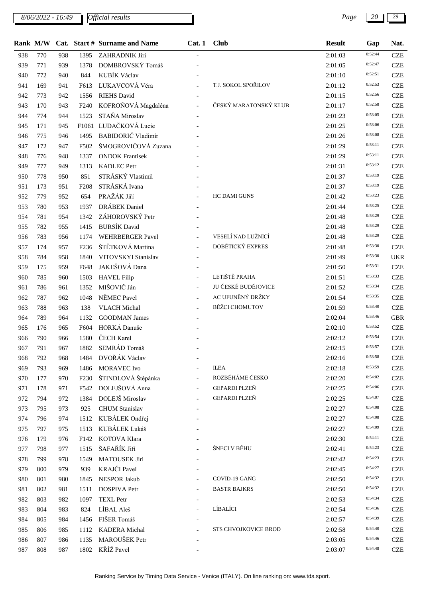*8/06/2022 - 16:49 Page 20 29*

|     |     |     |                  | Rank M/W Cat. Start # Surname and Name | Cat.1                    | <b>Club</b>           | <b>Result</b> | Gap     | Nat.       |
|-----|-----|-----|------------------|----------------------------------------|--------------------------|-----------------------|---------------|---------|------------|
| 938 | 770 | 938 | 1395             | ZAHRADNIK Jiri                         |                          |                       | 2:01:03       | 0:52:44 | <b>CZE</b> |
| 939 | 771 | 939 | 1378             | DOMBROVSKÝ Tomáš                       |                          |                       | 2:01:05       | 0:52:47 | <b>CZE</b> |
| 940 | 772 | 940 | 844              | KUBÍK Václav                           |                          |                       | 2:01:10       | 0:52:51 | <b>CZE</b> |
| 941 | 169 | 941 | F613             | LUKAVCOVÁ Věra                         |                          | T.J. SOKOL SPOŘILOV   | 2:01:12       | 0:52:53 | <b>CZE</b> |
| 942 | 773 | 942 | 1556             | <b>RIEHS</b> David                     |                          |                       | 2:01:15       | 0:52:56 | <b>CZE</b> |
| 943 | 170 | 943 | F <sub>240</sub> | KOFROŇOVÁ Magdaléna                    | $\overline{\phantom{a}}$ | ČESKÝ MARATONSKÝ KLUB | 2:01:17       | 0:52:58 | <b>CZE</b> |
| 944 | 774 | 944 | 1523             | STAŇA Miroslav                         |                          |                       | 2:01:23       | 0:53:05 | <b>CZE</b> |
| 945 | 171 | 945 |                  | F1061 LUDAČKOVÁ Lucie                  |                          |                       | 2:01:25       | 0:53:06 | <b>CZE</b> |
| 946 | 775 | 946 | 1495             | BABIDORIČ Vladimír                     |                          |                       | 2:01:26       | 0:53:08 | <b>CZE</b> |
| 947 | 172 | 947 | F502             | ŠMOGROVIČOVÁ Zuzana                    |                          |                       | 2:01:29       | 0:53:11 | <b>CZE</b> |
| 948 | 776 | 948 | 1337             | <b>ONDOK Frantisek</b>                 |                          |                       | 2:01:29       | 0:53:11 | <b>CZE</b> |
| 949 | 777 | 949 | 1313             | KADLEC Petr                            |                          |                       | 2:01:31       | 0:53:12 | <b>CZE</b> |
| 950 | 778 | 950 | 851              | STRÁSKÝ Vlastimil                      |                          |                       | 2:01:37       | 0:53:19 | <b>CZE</b> |
| 951 | 173 | 951 | F <sub>208</sub> | STRÁSKÁ Ivana                          |                          |                       | 2:01:37       | 0:53:19 | <b>CZE</b> |
| 952 | 779 | 952 | 654              | PRAŽÁK Jiří                            |                          | <b>HC DAMI GUNS</b>   | 2:01:42       | 0:53:23 | <b>CZE</b> |
| 953 | 780 | 953 | 1937             | DRÁBEK Daniel                          |                          |                       | 2:01:44       | 0:53:25 | <b>CZE</b> |
| 954 | 781 | 954 | 1342             | ZÁHOROVSKÝ Petr                        |                          |                       | 2:01:48       | 0:53:29 | <b>CZE</b> |
| 955 | 782 | 955 | 1415             | <b>BURSÍK David</b>                    |                          |                       | 2:01:48       | 0:53:29 | <b>CZE</b> |
| 956 | 783 | 956 | 1174             | WEHRBERGER Pavel                       | $\overline{\phantom{a}}$ | VESELÍ NAD LUŽNICÍ    | 2:01:48       | 0:53:29 | <b>CZE</b> |
| 957 | 174 | 957 | F <sub>236</sub> | ŠTĚTKOVÁ Martina                       | $\equiv$                 | DOBĚTICKÝ EXPRES      | 2:01:48       | 0:53:30 | <b>CZE</b> |
| 958 | 784 | 958 | 1840             | VITOVSKYI Stanislav                    |                          |                       | 2:01:49       | 0:53:30 | <b>UKR</b> |
| 959 | 175 | 959 | F648             | JAKEŠOVÁ Dana                          |                          |                       | 2:01:50       | 0:53:31 | <b>CZE</b> |
| 960 | 785 | 960 | 1503             | <b>HAVEL Filip</b>                     |                          | LETIŠTĚ PRAHA         | 2:01:51       | 0:53:33 | <b>CZE</b> |
| 961 | 786 | 961 | 1352             | MIŠOVIČ Ján                            | $\equiv$                 | JU ČESKÉ BUDĚJOVICE   | 2:01:52       | 0:53:34 | <b>CZE</b> |
| 962 | 787 | 962 | 1048             | NĚMEC Pavel                            |                          | AC UFUNĚNÝ DRŽKY      | 2:01:54       | 0:53:35 | <b>CZE</b> |
| 963 | 788 | 963 | 138              | <b>VLACH Michal</b>                    | $\overline{a}$           | <b>BĚŽCI CHOMUTOV</b> | 2:01:59       | 0:53:40 | <b>CZE</b> |
| 964 | 789 | 964 | 1132             | <b>GOODMAN James</b>                   |                          |                       | 2:02:04       | 0:53:46 | <b>GBR</b> |
| 965 | 176 | 965 | F604             | HORKÁ Danuše                           |                          |                       | 2:02:10       | 0:53:52 | <b>CZE</b> |
| 966 | 790 | 966 | 1580             | ČECH Karel                             |                          |                       | 2:02:12       | 0:53:54 | <b>CZE</b> |
| 967 | 791 | 967 | 1882             | SEMRÁD Tomáš                           |                          |                       | 2:02:15       | 0:53:57 | <b>CZE</b> |
| 968 | 792 | 968 |                  | 1484 DVOŘÁK Václav                     |                          |                       | 2:02:16       | 0:53:58 | <b>CZE</b> |
| 969 | 793 | 969 | 1486             | <b>MORAVEC</b> Ivo                     |                          | <b>ILEA</b>           | 2:02:18       | 0:53:59 | <b>CZE</b> |
| 970 | 177 | 970 | F <sub>230</sub> | ŠTINDLOVÁ Štěpánka                     | $\overline{\phantom{a}}$ | ROZBĚHÁME ČESKO       | 2:02:20       | 0:54:02 | <b>CZE</b> |
| 971 | 178 | 971 | F542             | DOLEJŠOVÁ Anna                         | $\sim$                   | GEPARDI PLZEŇ         | 2:02:25       | 0:54:06 | <b>CZE</b> |
| 972 | 794 | 972 | 1384             | DOLEJŠ Miroslav                        |                          | GEPARDI PLZEŇ         | 2:02:25       | 0:54:07 | <b>CZE</b> |
| 973 | 795 | 973 | 925              | <b>CHUM</b> Stanislav                  |                          |                       | 2:02:27       | 0:54:08 | <b>CZE</b> |
| 974 | 796 | 974 | 1512             | KUBÁLEK Ondřej                         |                          |                       | 2:02:27       | 0:54:08 | <b>CZE</b> |
| 975 | 797 | 975 | 1513             | KUBÁLEK Lukáš                          |                          |                       | 2:02:27       | 0:54:09 | <b>CZE</b> |
| 976 | 179 | 976 | F142             | KOTOVA Klara                           |                          |                       | 2:02:30       | 0:54:11 | <b>CZE</b> |
| 977 | 798 | 977 | 1515             | ŠAFAŘÍK Jiří                           |                          | ŠNECI V BĚHU          | 2:02:41       | 0:54:23 | <b>CZE</b> |
| 978 | 799 | 978 | 1549             | MATOUSEK Jiri                          |                          |                       | 2:02:42       | 0:54:23 | <b>CZE</b> |
| 979 | 800 | 979 | 939              | KRAJČI Pavel                           |                          |                       | 2:02:45       | 0:54:27 | <b>CZE</b> |
| 980 | 801 | 980 | 1845             | NESPOR Jakub                           |                          | COVID-19 GANG         | 2:02:50       | 0:54:32 | <b>CZE</b> |
| 981 | 802 | 981 | 1511             | <b>DOSPIVA Petr</b>                    |                          | <b>BASTR BAJKRS</b>   | 2:02:50       | 0:54:32 | <b>CZE</b> |
| 982 | 803 | 982 | 1097             | <b>TEXL Petr</b>                       |                          |                       | 2:02:53       | 0:54:34 | <b>CZE</b> |
| 983 | 804 | 983 | 824              | LÍBAL Aleš                             |                          | LÍBALÍCI              | 2:02:54       | 0:54:36 | <b>CZE</b> |
| 984 | 805 | 984 | 1456             | FIŠER Tomáš                            |                          |                       | 2:02:57       | 0:54:39 | <b>CZE</b> |
| 985 | 806 | 985 | 1112             | <b>KADERA</b> Michal                   |                          | STS CHVOJKOVICE BROD  | 2:02:58       | 0:54:40 | <b>CZE</b> |
| 986 | 807 | 986 | 1135             | MAROUŠEK Petr                          |                          |                       | 2:03:05       | 0:54:46 | <b>CZE</b> |
| 987 | 808 | 987 |                  | 1802 KŘÍŽ Pavel                        |                          |                       | 2:03:07       | 0:54:48 | <b>CZE</b> |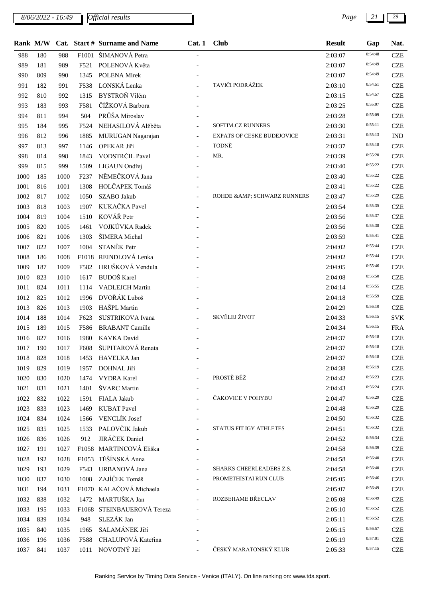## *8/06/2022 - 16:49 Page 21 29*

|      | Rank M/W |      |                  | Cat. Start # Surname and Name | Cat.1          | <b>Club</b>                       | <b>Result</b> | Gap     | Nat.       |
|------|----------|------|------------------|-------------------------------|----------------|-----------------------------------|---------------|---------|------------|
| 988  | 180      | 988  | F1001            | ŠIMANOVÁ Petra                |                |                                   | 2:03:07       | 0:54:48 | <b>CZE</b> |
| 989  | 181      | 989  | F521             | POLENOVÁ Květa                |                |                                   | 2:03:07       | 0:54:49 | <b>CZE</b> |
| 990  | 809      | 990  | 1345             | <b>POLENA Mirek</b>           |                |                                   | 2:03:07       | 0:54:49 | <b>CZE</b> |
| 991  | 182      | 991  | F538             | LONSKÁ Lenka                  |                | TAVIČI PODRÁŽEK                   | 2:03:10       | 0:54:51 | <b>CZE</b> |
| 992  | 810      | 992  | 1315             | BYSTROŇ Vilém                 |                |                                   | 2:03:15       | 0:54:57 | <b>CZE</b> |
| 993  | 183      | 993  | F581             | ČÍŽKOVÁ Barbora               |                |                                   | 2:03:25       | 0:55:07 | <b>CZE</b> |
| 994  | 811      | 994  | 504              | PRŮŠA Miroslav                |                |                                   | 2:03:28       | 0:55:09 | <b>CZE</b> |
| 995  | 184      | 995  | F524             | NEHASILOVÁ Alžběta            |                | SOFTIM.CZ RUNNERS                 | 2:03:30       | 0:55:11 | <b>CZE</b> |
| 996  | 812      | 996  | 1885             | MURUGAN Nagarajan             | $\blacksquare$ | <b>EXPATS OF CESKE BUDEJOVICE</b> | 2:03:31       | 0:55:13 | <b>IND</b> |
| 997  | 813      | 997  | 1146             | OPEKAR Jiří                   |                | TODNĚ                             | 2:03:37       | 0:55:18 | <b>CZE</b> |
| 998  | 814      | 998  | 1843             | VODSTRČIL Pavel               |                | MR.                               | 2:03:39       | 0:55:20 | <b>CZE</b> |
| 999  | 815      | 999  | 1509             | LIGAUN Ondřej                 |                |                                   | 2:03:40       | 0:55:22 | <b>CZE</b> |
| 1000 | 185      | 1000 | F <sub>237</sub> | NĚMEČKOVÁ Jana                |                |                                   | 2:03:40       | 0:55:22 | <b>CZE</b> |
| 1001 | 816      | 1001 | 1308             | HOLČAPEK Tomáš                |                |                                   | 2:03:41       | 0:55:22 | <b>CZE</b> |
| 1002 | 817      | 1002 | 1050             | SZABO Jakub                   |                | ROHDE & AMP; SCHWARZ RUNNERS      | 2:03:47       | 0:55:29 | <b>CZE</b> |
| 1003 | 818      | 1003 | 1907             | KUKAČKA Pavel                 |                |                                   | 2:03:54       | 0:55:35 | <b>CZE</b> |
| 1004 | 819      | 1004 | 1510             | KOVÁŘ Petr                    |                |                                   | 2:03:56       | 0:55:37 | <b>CZE</b> |
| 1005 | 820      | 1005 | 1461             | VOJKŮVKA Radek                |                |                                   | 2:03:56       | 0:55:38 | <b>CZE</b> |
| 1006 | 821      | 1006 | 1303             | ŠIMERA Michal                 |                |                                   | 2:03:59       | 0:55:41 | <b>CZE</b> |
| 1007 | 822      | 1007 | 1004             | STANĚK Petr                   |                |                                   | 2:04:02       | 0:55:44 | <b>CZE</b> |
| 1008 | 186      | 1008 |                  | F1018 REINDLOVÁ Lenka         |                |                                   | 2:04:02       | 0:55:44 | <b>CZE</b> |
| 1009 | 187      | 1009 | F582             | HRUŠKOVÁ Vendula              |                |                                   | 2:04:05       | 0:55:46 | <b>CZE</b> |
| 1010 | 823      | 1010 | 1617             | <b>BUDOŠ</b> Karel            |                |                                   | 2:04:08       | 0:55:50 | <b>CZE</b> |
| 1011 | 824      | 1011 | 1114             | <b>VADLEJCH Martin</b>        |                |                                   | 2:04:14       | 0:55:55 | <b>CZE</b> |
| 1012 | 825      | 1012 | 1996             | DVOŘÁK Luboš                  |                |                                   | 2:04:18       | 0:55:59 | <b>CZE</b> |
| 1013 | 826      | 1013 | 1903             | HAŠPL Martin                  |                |                                   | 2:04:29       | 0:56:10 | <b>CZE</b> |
| 1014 | 188      | 1014 | F623             | SUSTRIKOVA Ivana              |                | SKVĚLEJ ŽIVOT                     | 2:04:33       | 0:56:15 | <b>SVK</b> |
| 1015 | 189      | 1015 | F586             | <b>BRABANT</b> Camille        |                |                                   | 2:04:34       | 0:56:15 | <b>FRA</b> |
| 1016 | 827      | 1016 | 1980             | KAVKA David                   |                |                                   | 2:04:37       | 0:56:18 | <b>CZE</b> |
| 1017 | 190      | 1017 | F608             | ŠUPITAROVÁ Renata             |                |                                   | 2:04:37       | 0:56:18 | <b>CZE</b> |
| 1018 | 828      | 1018 | 1453             | HAVELKA Jan                   |                |                                   | 2:04:37       | 0:56:18 | <b>CZE</b> |
| 1019 | 829      | 1019 | 1957             | DOHNAL Jiří                   |                |                                   | 2:04:38       | 0:56:19 | <b>CZE</b> |
| 1020 | 830      | 1020 | 1474             | <b>VYDRA</b> Karel            |                | PROSTĚ BĚŽ                        | 2:04:42       | 0:56:23 | <b>CZE</b> |
| 1021 | 831      | 1021 | 1401             | ŠVARC Martin                  |                |                                   | 2:04:43       | 0:56:24 | <b>CZE</b> |
| 1022 | 832      | 1022 | 1591             | FIALA Jakub                   |                | ČAKOVICE V POHYBU                 | 2:04:47       | 0:56:29 | <b>CZE</b> |
| 1023 | 833      | 1023 | 1469             | <b>KUBAT Pavel</b>            |                |                                   | 2:04:48       | 0:56:29 | <b>CZE</b> |
| 1024 | 834      | 1024 | 1566             | VENCLÍK Josef                 |                |                                   | 2:04:50       | 0:56:32 | <b>CZE</b> |
| 1025 | 835      | 1025 | 1533             | PALOVČIK Jakub                |                | STATUS FIT IGY ATHLETES           | 2:04:51       | 0:56:32 | <b>CZE</b> |
| 1026 | 836      | 1026 | 912              | JIRÁČEK Daniel                |                |                                   | 2:04:52       | 0:56:34 | <b>CZE</b> |
| 1027 | 191      | 1027 |                  | F1058 MARTINCOVÁ Eliška       |                |                                   | 2:04:58       | 0:56:39 | <b>CZE</b> |
| 1028 | 192      | 1028 |                  | F1053 TĚŠÍNSKÁ Anna           |                |                                   | 2:04:58       | 0:56:40 | <b>CZE</b> |
| 1029 | 193      | 1029 | F543             | URBANOVÁ Jana                 |                | SHARKS CHEERLEADERS Z.S.          | 2:04:58       | 0:56:40 | <b>CZE</b> |
| 1030 | 837      | 1030 | 1008             | ZAJÍČEK Tomáš                 |                | PROMETHISTAI RUN CLUB             | 2:05:05       | 0:56:46 | <b>CZE</b> |
| 1031 | 194      | 1031 |                  | F1070 KALAČOVÁ Michaela       |                |                                   | 2:05:07       | 0:56:49 | <b>CZE</b> |
| 1032 | 838      | 1032 | 1472             | MARTUŠKA Jan                  |                | ROZBEHAME BŘECLAV                 | 2:05:08       | 0:56:49 | CZE        |
| 1033 | 195      | 1033 |                  | F1068 STEINBAUEROVÁ Tereza    |                |                                   | 2:05:10       | 0:56:52 | <b>CZE</b> |
| 1034 | 839      | 1034 | 948              | SLEZÁK Jan                    |                |                                   | 2:05:11       | 0:56:52 | <b>CZE</b> |
| 1035 | 840      | 1035 | 1965             | SALAMÁNEK Jiří                |                |                                   | 2:05:15       | 0:56:57 | <b>CZE</b> |
| 1036 | 196      | 1036 | F588             | CHALUPOVÁ Kateřina            |                |                                   | 2:05:19       | 0:57:01 | <b>CZE</b> |
| 1037 | 841      | 1037 | 1011             | NOVOTNÝ Jiří                  |                | ČESKÝ MARATONSKÝ KLUB             | 2:05:33       | 0:57:15 | <b>CZE</b> |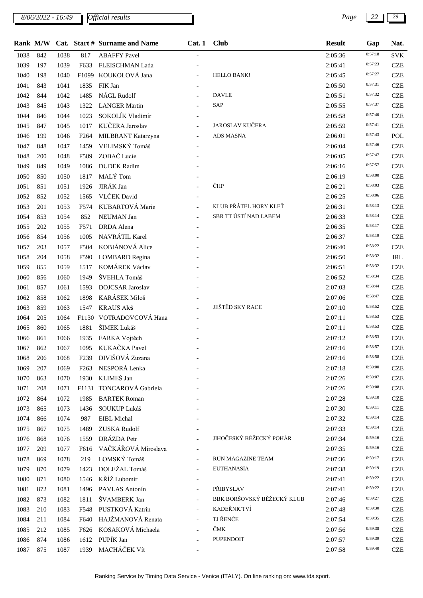*8/06/2022 - 16:49 Page 22 29*

|--|

|      | Rank M/W |      |                  | Cat. Start # Surname and Name | Cat.1 | <b>Club</b>                | <b>Result</b> | Gap     | Nat.       |
|------|----------|------|------------------|-------------------------------|-------|----------------------------|---------------|---------|------------|
| 1038 | 842      | 1038 | 817              | <b>ABAFFY Pavel</b>           |       |                            | 2:05:36       | 0:57:18 | <b>SVK</b> |
| 1039 | 197      | 1039 | F633             | FLEISCHMAN Lada               |       |                            | 2:05:41       | 0:57:23 | <b>CZE</b> |
| 1040 | 198      | 1040 |                  | F1099 KOUKOLOVÁ Jana          |       | <b>HELLO BANK!</b>         | 2:05:45       | 0:57:27 | <b>CZE</b> |
| 1041 | 843      | 1041 | 1835             | FIK Jan                       |       |                            | 2:05:50       | 0:57:31 | <b>CZE</b> |
| 1042 | 844      | 1042 | 1485             | NÁGL Rudolf                   |       | <b>DAVLE</b>               | 2:05:51       | 0:57:32 | <b>CZE</b> |
| 1043 | 845      | 1043 | 1322             | <b>LANGER Martin</b>          |       | SAP                        | 2:05:55       | 0:57:37 | <b>CZE</b> |
| 1044 | 846      | 1044 | 1023             | SOKOLÍK Vladimír              |       |                            | 2:05:58       | 0:57:40 | <b>CZE</b> |
| 1045 | 847      | 1045 | 1017             | KUČERA Jaroslav               |       | <b>JAROSLAV KUČERA</b>     | 2:05:59       | 0:57:41 | <b>CZE</b> |
| 1046 | 199      | 1046 | F <sub>264</sub> | MILBRANT Katarzyna            |       | <b>ADS MASNA</b>           | 2:06:01       | 0:57:43 | POL        |
| 1047 | 848      | 1047 | 1459             | VELIMSKÝ Tomáš                |       |                            | 2:06:04       | 0:57:46 | <b>CZE</b> |
| 1048 | 200      | 1048 | F589             | ZOBAČ Lucie                   |       |                            | 2:06:05       | 0:57:47 | <b>CZE</b> |
| 1049 | 849      | 1049 | 1086             | <b>DUDEK</b> Radim            |       |                            | 2:06:16       | 0:57:57 | <b>CZE</b> |
| 1050 | 850      | 1050 | 1817             | MALÝ Tom                      |       |                            | 2:06:19       | 0:58:00 | <b>CZE</b> |
| 1051 | 851      | 1051 | 1926             | JIRÁK Jan                     |       | ČHP                        | 2:06:21       | 0:58:03 | <b>CZE</b> |
| 1052 | 852      | 1052 | 1565             | VLČEK David                   |       |                            | 2:06:25       | 0:58:06 | <b>CZE</b> |
| 1053 | 201      | 1053 | F574             | KUBARTOVÁ Marie               |       | KLUB PŘÁTEL HORY KLEŤ      | 2:06:31       | 0:58:13 | <b>CZE</b> |
| 1054 | 853      | 1054 | 852              | NEUMAN Jan                    |       | SBR TT ÚSTÍ NAD LABEM      | 2:06:33       | 0:58:14 | <b>CZE</b> |
| 1055 | 202      | 1055 | F571             | <b>DRDA</b> Alena             |       |                            | 2:06:35       | 0:58:17 | <b>CZE</b> |
| 1056 | 854      | 1056 | 1005             | NAVRÁTIL Karel                |       |                            | 2:06:37       | 0:58:19 | <b>CZE</b> |
| 1057 | 203      | 1057 | F504             | KOBIÁNOVÁ Alice               |       |                            | 2:06:40       | 0:58:22 | <b>CZE</b> |
| 1058 | 204      | 1058 | F590             | <b>LOMBARD</b> Regina         |       |                            | 2:06:50       | 0:58:32 | <b>IRL</b> |
| 1059 | 855      | 1059 | 1517             | KOMÁREK Václav                |       |                            | 2:06:51       | 0:58:32 | <b>CZE</b> |
| 1060 | 856      | 1060 | 1949             | ŠVEHLA Tomáš                  |       |                            | 2:06:52       | 0:58:34 | <b>CZE</b> |
| 1061 | 857      | 1061 | 1593             | DOJCSAR Jaroslav              |       |                            | 2:07:03       | 0:58:44 | <b>CZE</b> |
| 1062 | 858      | 1062 | 1898             | KARÁSEK Miloš                 |       |                            | 2:07:06       | 0:58:47 | <b>CZE</b> |
| 1063 | 859      | 1063 | 1547             | <b>KRAUS Aleš</b>             |       | JEŠTĚD SKY RACE            | 2:07:10       | 0:58:52 | <b>CZE</b> |
| 1064 | 205      | 1064 |                  | F1130 VOTRADOVCOVÁ Hana       |       |                            | 2:07:11       | 0:58:53 | <b>CZE</b> |
| 1065 | 860      | 1065 | 1881             | ŠIMEK Lukáš                   |       |                            | 2:07:11       | 0:58:53 | <b>CZE</b> |
| 1066 | 861      | 1066 | 1935             | FARKA Vojtěch                 |       |                            | 2:07:12       | 0:58:53 | <b>CZE</b> |
| 1067 | 862      | 1067 | 1095             | KUKAČKA Pavel                 |       |                            | 2:07:16       | 0:58:57 | <b>CZE</b> |
| 1068 | 206      | 1068 | F <sub>239</sub> | DIVIŠOVÁ Zuzana               |       |                            | 2:07:16       | 0:58:58 | <b>CZE</b> |
| 1069 | 207      | 1069 | F <sub>263</sub> | NESPORÁ Lenka                 |       |                            | 2:07:18       | 0:59:00 | <b>CZE</b> |
| 1070 | 863      | 1070 | 1930             | KLIMEŠ Jan                    |       |                            | 2:07:26       | 0:59:07 | <b>CZE</b> |
| 1071 | 208      | 1071 |                  | F1131 TONCAROVÁ Gabriela      |       |                            | 2:07:26       | 0:59:08 | <b>CZE</b> |
| 1072 | 864      | 1072 | 1985             | <b>BARTEK Roman</b>           |       |                            | 2:07:28       | 0:59:10 | <b>CZE</b> |
| 1073 | 865      | 1073 | 1436             | SOUKUP Lukáš                  |       |                            | 2:07:30       | 0:59:11 | <b>CZE</b> |
| 1074 | 866      | 1074 | 987              | EIBL Michal                   |       |                            | 2:07:32       | 0:59:14 | <b>CZE</b> |
| 1075 | 867      | 1075 | 1489             | ZUSKA Rudolf                  |       |                            | 2:07:33       | 0:59:14 | <b>CZE</b> |
| 1076 | 868      | 1076 | 1559             | DRÁZDA Petr                   |       | JIHOČESKÝ BĚŽECKÝ POHÁR    | 2:07:34       | 0:59:16 | <b>CZE</b> |
| 1077 | 209      | 1077 | F616             | VAČKÁŘOVÁ Miroslava           |       |                            | 2:07:35       | 0:59:16 | <b>CZE</b> |
| 1078 | 869      | 1078 | 219              | LOMSKÝ Tomáš                  |       | RUN MAGAZINE TEAM          | 2:07:36       | 0:59:17 | <b>CZE</b> |
| 1079 | 870      | 1079 | 1423             | DOLEŽAL Tomáš                 |       | <b>EUTHANASIA</b>          | 2:07:38       | 0:59:19 | <b>CZE</b> |
| 1080 | 871      | 1080 | 1546             | KŘÍŽ Lubomír                  |       |                            | 2:07:41       | 0:59:22 | <b>CZE</b> |
| 1081 | 872      | 1081 | 1496             | PAVLAS Antonín                |       | PŘIBYSLAV                  | 2:07:41       | 0:59:22 | <b>CZE</b> |
| 1082 | 873      | 1082 | 1811             | ŠVAMBERK Jan                  |       | BBK BORŠOVSKÝ BĚŽECKÝ KLUB | 2:07:46       | 0:59:27 | <b>CZE</b> |
| 1083 | 210      | 1083 | F548             | PUSTKOVÁ Katrin               |       | KADEŘNICTVÍ                | 2:07:48       | 0:59:30 | <b>CZE</b> |
| 1084 | 211      | 1084 | F640             | HAJŽMANOVÁ Renata             |       | TJ ŘENČE                   | 2:07:54       | 0:59:35 | <b>CZE</b> |
| 1085 | 212      | 1085 | F626             | KOSAKOVÁ Michaela             |       | ČMK                        | 2:07:56       | 0:59:38 | <b>CZE</b> |
| 1086 | 874      | 1086 | 1612             | PUPÍK Jan                     |       | <b>PUPENDOIT</b>           | 2:07:57       | 0:59:39 | <b>CZE</b> |
| 1087 | 875      | 1087 | 1939             | MACHÁČEK Vít                  |       |                            | 2:07:58       | 0:59:40 | <b>CZE</b> |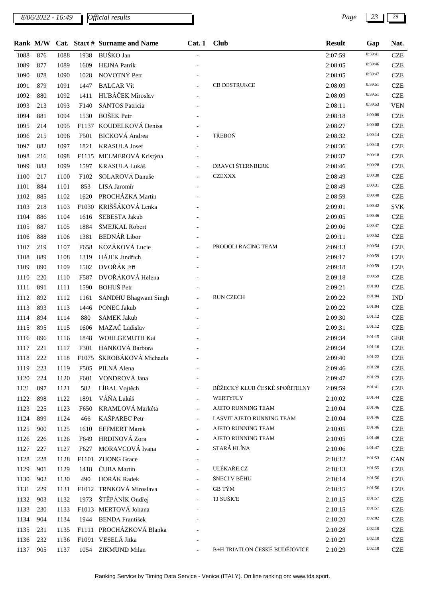*8/06/2022 - 16:49 Page 23 29*

|      |     |      |                  | Rank M/W Cat. Start # Surname and Name | Cat.1                    | <b>Club</b>                   | <b>Result</b> | Gap     | Nat.       |
|------|-----|------|------------------|----------------------------------------|--------------------------|-------------------------------|---------------|---------|------------|
| 1088 | 876 | 1088 | 1938             | BUŠKO Jan                              |                          |                               | 2:07:59       | 0:59:41 | <b>CZE</b> |
| 1089 | 877 | 1089 | 1609             | <b>HEJNA Patrik</b>                    |                          |                               | 2:08:05       | 0:59:46 | <b>CZE</b> |
| 1090 | 878 | 1090 | 1028             | NOVOTNÝ Petr                           |                          |                               | 2:08:05       | 0:59:47 | <b>CZE</b> |
| 1091 | 879 | 1091 | 1447             | <b>BALCAR Vít</b>                      |                          | <b>CB DESTRUKCE</b>           | 2:08:09       | 0:59:51 | <b>CZE</b> |
| 1092 | 880 | 1092 | 1411             | HUBÁČEK Miroslav                       |                          |                               | 2:08:09       | 0:59:51 | <b>CZE</b> |
| 1093 | 213 | 1093 | F <sub>140</sub> | <b>SANTOS Patricia</b>                 |                          |                               | 2:08:11       | 0:59:53 | <b>VEN</b> |
| 1094 | 881 | 1094 | 1530             | <b>BOŠEK</b> Petr                      |                          |                               | 2:08:18       | 1:00:00 | <b>CZE</b> |
| 1095 | 214 | 1095 |                  | F1137 KOUDELKOVÁ Denisa                |                          |                               | 2:08:27       | 1:00:08 | <b>CZE</b> |
| 1096 | 215 | 1096 | F501             | <b>BICKOVÁ</b> Andrea                  |                          | TŘEBOŇ                        | 2:08:32       | 1:00:14 | <b>CZE</b> |
| 1097 | 882 | 1097 | 1821             | <b>KRASULA Josef</b>                   |                          |                               | 2:08:36       | 1:00:18 | <b>CZE</b> |
| 1098 | 216 | 1098 |                  | F1115 MELMEROVÁ Kristýna               |                          |                               | 2:08:37       | 1:00:18 | <b>CZE</b> |
| 1099 | 883 | 1099 | 1597             | KRASULA Lukáš                          |                          | DRAVCI ŠTERNBERK              | 2:08:46       | 1:00:28 | <b>CZE</b> |
| 1100 | 217 | 1100 | F102             | SOLAROVÁ Danuše                        |                          | <b>CZEXXX</b>                 | 2:08:49       | 1:00:30 | <b>CZE</b> |
| 1101 | 884 | 1101 | 853              | LISA Jaromír                           |                          |                               | 2:08:49       | 1:00:31 | <b>CZE</b> |
| 1102 | 885 | 1102 | 1620             | PROCHÁZKA Martin                       |                          |                               | 2:08:59       | 1:00:40 | <b>CZE</b> |
| 1103 | 218 | 1103 |                  | F1030 KRIŠŠÁKOVÁ Lenka                 |                          |                               | 2:09:01       | 1:00:42 | <b>SVK</b> |
| 1104 | 886 | 1104 | 1616             | ŠEBESTA Jakub                          |                          |                               | 2:09:05       | 1:00:46 | <b>CZE</b> |
| 1105 | 887 | 1105 | 1884             | ŠMEJKAL Robert                         |                          |                               | 2:09:06       | 1:00:47 | <b>CZE</b> |
| 1106 | 888 | 1106 | 1381             | <b>BEDNÁŘ</b> Libor                    |                          |                               | 2:09:11       | 1:00:52 | <b>CZE</b> |
| 1107 | 219 | 1107 | F658             | KOZÁKOVÁ Lucie                         |                          | PRODOLI RACING TEAM           | 2:09:13       | 1:00:54 | <b>CZE</b> |
| 1108 | 889 | 1108 | 1319             | HÁJEK Jindřich                         |                          |                               | 2:09:17       | 1:00:59 | <b>CZE</b> |
| 1109 | 890 | 1109 | 1502             | DVOŘÁK Jiří                            |                          |                               | 2:09:18       | 1:00:59 | <b>CZE</b> |
| 1110 | 220 | 1110 | F587             | DVOŘÁKOVÁ Helena                       |                          |                               | 2:09:18       | 1:00:59 | <b>CZE</b> |
| 1111 | 891 | 1111 | 1590             | BOHUŠ Petr                             |                          |                               | 2:09:21       | 1:01:03 | <b>CZE</b> |
| 1112 | 892 | 1112 | 1161             | <b>SANDHU Bhagwant Singh</b>           |                          | <b>RUN CZECH</b>              | 2:09:22       | 1:01:04 | <b>IND</b> |
| 1113 | 893 | 1113 | 1446             | PONEC Jakub                            |                          |                               | 2:09:22       | 1:01:04 | <b>CZE</b> |
| 1114 | 894 | 1114 | 880              | <b>SAMEK Jakub</b>                     |                          |                               | 2:09:30       | 1:01:12 | <b>CZE</b> |
| 1115 | 895 | 1115 | 1606             | MAZAČ Ladislav                         |                          |                               | 2:09:31       | 1:01:12 | <b>CZE</b> |
| 1116 | 896 | 1116 | 1848             | WOHLGEMUTH Kai                         |                          |                               | 2:09:34       | 1:01:15 | <b>GER</b> |
| 1117 | 221 | 1117 |                  | F301 HANKOVÁ Barbora                   |                          |                               | 2:09:34       | 1:01:16 | <b>CZE</b> |
| 1118 | 222 | 1118 |                  | F1075 ŠKROBÁKOVÁ Michaela              |                          |                               | 2:09:40       | 1:01:22 | <b>CZE</b> |
| 1119 | 223 | 1119 | F505             | PILNÁ Alena                            |                          |                               | 2:09:46       | 1:01:28 | <b>CZE</b> |
| 1120 | 224 | 1120 | F601             | VONDROVÁ Jana                          |                          |                               | 2:09:47       | 1:01:29 | <b>CZE</b> |
| 1121 | 897 | 1121 | 582              | LÍBAL Vojtěch                          |                          | BĚŽECKÝ KLUB ČESKÉ SPOŘITELNY | 2:09:59       | 1:01:41 | <b>CZE</b> |
| 1122 | 898 | 1122 | 1891             | VÁŇA Lukáš                             |                          | <b>WERTYFLY</b>               | 2:10:02       | 1:01:44 | <b>CZE</b> |
| 1123 | 225 | 1123 | F650             | KRAMLOVÁ Markéta                       |                          | AJETO RUNNING TEAM            | 2:10:04       | 1:01:46 | <b>CZE</b> |
| 1124 | 899 | 1124 | 466              | KAŠPAREC Petr                          | $\overline{\phantom{a}}$ | LASVIT AJETO RUNNING TEAM     | 2:10:04       | 1:01:46 | <b>CZE</b> |
| 1125 | 900 | 1125 | 1610             | <b>EFFMERT Marek</b>                   |                          | AJETO RUNNING TEAM            | 2:10:05       | 1:01:46 | <b>CZE</b> |
| 1126 | 226 | 1126 | F649             | HRDINOVÁ Zora                          |                          | AJETO RUNNING TEAM            | 2:10:05       | 1:01:46 | <b>CZE</b> |
| 1127 | 227 | 1127 | F627             | MORAVCOVÁ Ivana                        |                          | STARÁ HLÍNA                   | 2:10:06       | 1:01:47 | <b>CZE</b> |
| 1128 | 228 | 1128 |                  | F1101 ZHONG Grace                      |                          |                               | 2:10:12       | 1:01:53 | CAN        |
| 1129 | 901 | 1129 | 1418             | ČUBA Martin                            |                          | ULÉKAŘE.CZ                    | 2:10:13       | 1:01:55 | <b>CZE</b> |
| 1130 | 902 | 1130 | 490              | <b>HORÁK Radek</b>                     |                          | ŠNECI V BĚHU                  | 2:10:14       | 1:01:56 | <b>CZE</b> |
| 1131 | 229 | 1131 |                  | F1012 TRNKOVÁ Miroslava                | $\overline{a}$           | <b>GB TÝM</b>                 | 2:10:15       | 1:01:56 | <b>CZE</b> |
| 1132 | 903 | 1132 | 1973             | ŠTĚPÁNÍK Ondřej                        |                          | TJ SUŠICE                     | 2:10:15       | 1:01:57 | <b>CZE</b> |
| 1133 | 230 | 1133 |                  | F1013 MERTOVÁ Johana                   |                          |                               | 2:10:15       | 1:01:57 | <b>CZE</b> |
| 1134 | 904 | 1134 | 1944             | <b>BENDA František</b>                 |                          |                               | 2:10:20       | 1:02:02 | <b>CZE</b> |
| 1135 | 231 | 1135 |                  | F1111 PROCHÁZKOVÁ Blanka               |                          |                               | 2:10:28       | 1:02:10 | <b>CZE</b> |
| 1136 | 232 | 1136 |                  | F1091 VESELÁ Jitka                     |                          |                               | 2:10:29       | 1:02:10 | <b>CZE</b> |
| 1137 | 905 | 1137 | 1054             | ZIKMUND Milan                          |                          | B+H TRIATLON ČESKÉ BUDĚJOVICE | 2:10:29       | 1:02:10 | <b>CZE</b> |
|      |     |      |                  |                                        |                          |                               |               |         |            |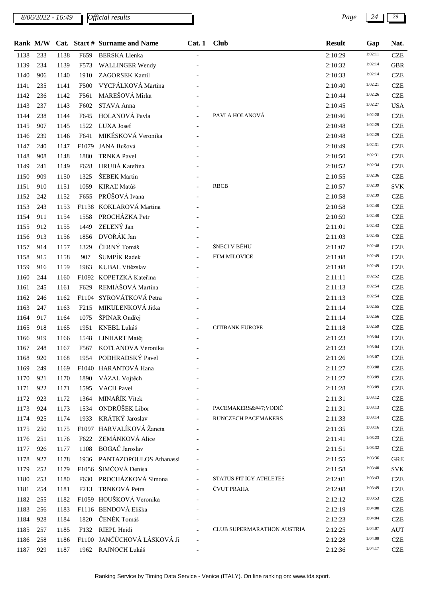*8/06/2022 - 16:49 Page 24 29*

|      |     |      |                   | Rank M/W Cat. Start # Surname and Name | Cat. 1 Club |                            | <b>Result</b> | Gap     | Nat.       |
|------|-----|------|-------------------|----------------------------------------|-------------|----------------------------|---------------|---------|------------|
| 1138 | 233 | 1138 | F659              | <b>BERSKA Llenka</b>                   |             |                            | 2:10:29       | 1:02:11 | <b>CZE</b> |
| 1139 | 234 | 1139 | F573              | <b>WALLINGER Wendy</b>                 |             |                            | 2:10:32       | 1:02:14 | <b>GBR</b> |
| 1140 | 906 | 1140 | 1910              | <b>ZAGORSEK Kamil</b>                  |             |                            | 2:10:33       | 1:02:14 | <b>CZE</b> |
| 1141 | 235 | 1141 | F500              | VYCPÁLKOVÁ Martina                     |             |                            | 2:10:40       | 1:02:21 | <b>CZE</b> |
| 1142 | 236 | 1142 | F561              | MAREŠOVÁ Mirka                         |             |                            | 2:10:44       | 1:02:26 | <b>CZE</b> |
| 1143 | 237 | 1143 | F602              | STAVA Anna                             |             |                            | 2:10:45       | 1:02:27 | <b>USA</b> |
| 1144 | 238 | 1144 | F645              | HOLANOVÁ Pavla                         |             | PAVLA HOLANOVÁ             | 2:10:46       | 1:02:28 | <b>CZE</b> |
| 1145 | 907 | 1145 | 1522              | <b>LUXA</b> Josef                      |             |                            | 2:10:48       | 1:02:29 | <b>CZE</b> |
| 1146 | 239 | 1146 | F641              | MIKÉSKOVÁ Veronika                     |             |                            | 2:10:48       | 1:02:29 | <b>CZE</b> |
| 1147 | 240 | 1147 | F <sub>1079</sub> | JANA Bušová                            |             |                            | 2:10:49       | 1:02:31 | <b>CZE</b> |
| 1148 | 908 | 1148 | 1880              | <b>TRNKA Pavel</b>                     |             |                            | 2:10:50       | 1:02:31 | <b>CZE</b> |
| 1149 | 241 | 1149 | F628              | HRUBÁ Kateřina                         |             |                            | 2:10:52       | 1:02:34 | <b>CZE</b> |
| 1150 | 909 | 1150 | 1325              | ŠEBEK Martin                           |             |                            | 2:10:55       | 1:02:36 | <b>CZE</b> |
| 1151 | 910 | 1151 | 1059              | KIRAĽ Matúš                            |             | <b>RBCB</b>                | 2:10:57       | 1:02:39 | <b>SVK</b> |
| 1152 | 242 | 1152 | F655              | PRŮŠOVÁ Ivana                          |             |                            | 2:10:58       | 1:02:39 | <b>CZE</b> |
| 1153 | 243 | 1153 | F1138             | KOKLAROVÁ Martina                      |             |                            | 2:10:58       | 1:02:40 | <b>CZE</b> |
| 1154 | 911 | 1154 | 1558              | PROCHÁZKA Petr                         |             |                            | 2:10:59       | 1:02:40 | <b>CZE</b> |
| 1155 | 912 | 1155 | 1449              | ZELENÝ Jan                             |             |                            | 2:11:01       | 1:02:43 | <b>CZE</b> |
| 1156 | 913 | 1156 | 1856              | DVOŘÁK Jan                             |             |                            | 2:11:03       | 1:02:45 | <b>CZE</b> |
| 1157 | 914 | 1157 | 1329              | ČERNÝ Tomáš                            |             | ŠNECI V BĚHU               | 2:11:07       | 1:02:48 | <b>CZE</b> |
| 1158 | 915 | 1158 | 907               | ŠUMPÍK Radek                           |             | FTM MILOVICE               | 2:11:08       | 1:02:49 | <b>CZE</b> |
| 1159 | 916 | 1159 | 1963              | KUBAL Vítězslav                        |             |                            | 2:11:08       | 1:02:49 | <b>CZE</b> |
| 1160 | 244 | 1160 | F1092             | KOPETZKÁ Kateřina                      |             |                            | 2:11:11       | 1:02:52 | <b>CZE</b> |
| 1161 | 245 | 1161 | F629              | REMIÁŠOVÁ Martina                      |             |                            | 2:11:13       | 1:02:54 | <b>CZE</b> |
| 1162 | 246 | 1162 |                   | F1104 SYROVÁTKOVÁ Petra                |             |                            | 2:11:13       | 1:02:54 | <b>CZE</b> |
| 1163 | 247 | 1163 | F <sub>215</sub>  | MIKULENKOVÁ Jitka                      |             |                            | 2:11:14       | 1:02:55 | <b>CZE</b> |
| 1164 | 917 | 1164 | 1075              | ŠPINAR Ondřej                          |             |                            | 2:11:14       | 1:02:56 | <b>CZE</b> |
| 1165 | 918 | 1165 | 1951              | KNEBL Lukáš                            |             | <b>CITIBANK EUROPE</b>     | 2:11:18       | 1:02:59 | <b>CZE</b> |
| 1166 | 919 | 1166 | 1548              | LINHART Matěj                          |             |                            | 2:11:23       | 1:03:04 | <b>CZE</b> |
| 1167 | 248 | 1167 | F567              | KOTLANOVA Veronika                     |             |                            | 2:11:23       | 1:03:04 | <b>CZE</b> |
| 1168 | 920 | 1168 |                   | 1954 PODHRADSKÝ Pavel                  |             |                            | 2:11:26       | 1:03:07 | <b>CZE</b> |
| 1169 | 249 | 1169 |                   | F1040 HARANTOVÁ Hana                   |             |                            | 2:11:27       | 1:03:08 | <b>CZE</b> |
| 1170 | 921 | 1170 | 1890              | VÁZAL Vojtěch                          |             |                            | 2:11:27       | 1:03:09 | <b>CZE</b> |
| 1171 | 922 | 1171 | 1595              | <b>VACH Pavel</b>                      |             |                            | 2:11:28       | 1:03:09 | <b>CZE</b> |
| 1172 | 923 | 1172 | 1364              | MINAŘÍK Vítek                          |             |                            | 2:11:31       | 1:03:12 | <b>CZE</b> |
| 1173 | 924 | 1173 | 1534              | ONDRŮŠEK Libor                         |             | PACEMAKERS/ VODIČ          | 2:11:31       | 1:03:13 | <b>CZE</b> |
| 1174 | 925 | 1174 | 1933              | KRÁTKÝ Jaroslav                        |             | <b>RUNCZECH PACEMAKERS</b> | 2:11:33       | 1:03:14 | <b>CZE</b> |
| 1175 | 250 | 1175 |                   | F1097 HARVALÍKOVÁ Žaneta               |             |                            | 2:11:35       | 1:03:16 | <b>CZE</b> |
| 1176 | 251 | 1176 | F622              | ZEMÁNKOVÁ Alice                        |             |                            | 2:11:41       | 1:03:23 | <b>CZE</b> |
| 1177 | 926 | 1177 | 1108              | BOGAČ Jaroslav                         |             |                            | 2:11:51       | 1:03:32 | <b>CZE</b> |
| 1178 | 927 | 1178 | 1936              | PANTAZOPOULOS Athanassi                |             |                            | 2:11:55       | 1:03:36 | <b>GRE</b> |
| 1179 | 252 | 1179 |                   | F1056 ŠIMČOVÁ Denisa                   |             |                            | 2:11:58       | 1:03:40 | <b>SVK</b> |
| 1180 | 253 | 1180 | F630              | PROCHÁZKOVÁ Simona                     |             | STATUS FIT IGY ATHLETES    | 2:12:01       | 1:03:43 | <b>CZE</b> |
| 1181 | 254 | 1181 | F <sub>213</sub>  | TRNKOVÁ Petra                          |             | ČVUT PRAHA                 | 2:12:08       | 1:03:49 | <b>CZE</b> |
| 1182 | 255 | 1182 |                   | F1059 HOUŠKOVÁ Veronika                |             |                            | 2:12:12       | 1:03:53 | <b>CZE</b> |
| 1183 | 256 | 1183 |                   | F1116 BENDOVÁ Eliška                   |             |                            | 2:12:19       | 1:04:00 | <b>CZE</b> |
| 1184 | 928 | 1184 | 1820              | ČENĚK Tomáš                            |             |                            | 2:12:23       | 1:04:04 | <b>CZE</b> |
| 1185 | 257 | 1185 | F132              | RIEPL Heidi                            |             | CLUB SUPERMARATHON AUSTRIA | 2:12:25       | 1:04:07 | <b>AUT</b> |
| 1186 | 258 | 1186 |                   | F1100 JANČÚCHOVÁ LÁSKOVÁ Ji            |             |                            | 2:12:28       | 1:04:09 | <b>CZE</b> |
| 1187 | 929 | 1187 |                   | 1962 RAJNOCH Lukáš                     |             |                            | 2:12:36       | 1:04:17 | <b>CZE</b> |
|      |     |      |                   |                                        |             |                            |               |         |            |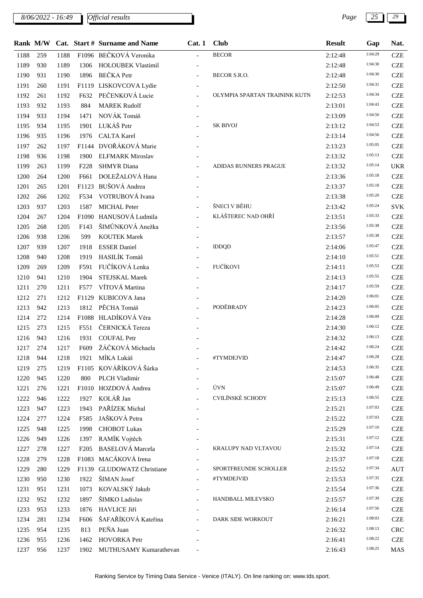*8/06/2022 - 16:49 Page 25 29*

|      |     |      |                  | Rank M/W Cat. Start # Surname and Name | Cat.1                    | <b>Club</b>                   | <b>Result</b> | Gap     | Nat.       |
|------|-----|------|------------------|----------------------------------------|--------------------------|-------------------------------|---------------|---------|------------|
| 1188 | 259 | 1188 |                  | F1096 BEČKOVÁ Veronika                 |                          | <b>BECOR</b>                  | 2:12:48       | 1:04:29 | <b>CZE</b> |
| 1189 | 930 | 1189 | 1306             | <b>HOLOUBEK Vlastimil</b>              |                          |                               | 2:12:48       | 1:04:30 | <b>CZE</b> |
| 1190 | 931 | 1190 | 1896             | <b>BEČKA</b> Petr                      |                          | BECOR S.R.O.                  | 2:12:48       | 1:04:30 | <b>CZE</b> |
| 1191 | 260 | 1191 |                  | F1119 LISKOVCOVA Lydie                 |                          |                               | 2:12:50       | 1:04:31 | <b>CZE</b> |
| 1192 | 261 | 1192 | F632             | PEČENKOVÁ Lucie                        |                          | OLYMPIA SPARTAN TRAININK KUTN | 2:12:53       | 1:04:34 | <b>CZE</b> |
| 1193 | 932 | 1193 | 884              | <b>MAREK Rudolf</b>                    |                          |                               | 2:13:01       | 1:04:43 | <b>CZE</b> |
| 1194 | 933 | 1194 | 1471             | NOVÁK Tomáš                            |                          |                               | 2:13:09       | 1:04:50 | <b>CZE</b> |
| 1195 | 934 | 1195 | 1901             | LUKÁŠ Petr                             |                          | <b>SK BIVOJ</b>               | 2:13:12       | 1:04:53 | <b>CZE</b> |
| 1196 | 935 | 1196 | 1976             | <b>CALTA Karel</b>                     |                          |                               | 2:13:14       | 1:04:56 | <b>CZE</b> |
| 1197 | 262 | 1197 |                  | F1144 DVOŘÁKOVÁ Marie                  |                          |                               | 2:13:23       | 1:05:05 | <b>CZE</b> |
| 1198 | 936 | 1198 | 1900             | <b>ELFMARK Miroslav</b>                |                          |                               | 2:13:32       | 1:05:13 | <b>CZE</b> |
| 1199 | 263 | 1199 | F <sub>228</sub> | <b>SHMYR</b> Diana                     |                          | ADIDAS RUNNERS PRAGUE         | 2:13:32       | 1:05:14 | <b>UKR</b> |
| 1200 | 264 | 1200 | F661             | DOLEŽALOVÁ Hana                        |                          |                               | 2:13:36       | 1:05:18 | <b>CZE</b> |
| 1201 | 265 | 1201 |                  | F1123 BUŠOVÁ Andrea                    |                          |                               | 2:13:37       | 1:05:18 | <b>CZE</b> |
| 1202 | 266 | 1202 | F534             | VOTRUBOVÁ Ivana                        |                          |                               | 2:13:38       | 1:05:20 | <b>CZE</b> |
| 1203 | 937 | 1203 | 1587             | <b>MICHAL Peter</b>                    |                          | ŠNECI V BĚHU                  | 2:13:42       | 1:05:24 | <b>SVK</b> |
| 1204 | 267 | 1204 |                  | F1090 HANUSOVÁ Ludmila                 | $\equiv$                 | KLÁŠTEREC NAD OHŘÍ            | 2:13:51       | 1:05:33 | <b>CZE</b> |
| 1205 | 268 | 1205 | F143             | ŠIMŮNKOVÁ Anežka                       |                          |                               | 2:13:56       | 1:05:38 | <b>CZE</b> |
| 1206 | 938 | 1206 | 599              | <b>KOUTEK Marek</b>                    |                          |                               | 2:13:57       | 1:05:38 | <b>CZE</b> |
| 1207 | 939 | 1207 | 1918             | <b>ESSER Daniel</b>                    |                          | <b>IDDQD</b>                  | 2:14:06       | 1:05:47 | <b>CZE</b> |
| 1208 | 940 | 1208 | 1919             | HASILÍK Tomáš                          | $\overline{\phantom{a}}$ |                               | 2:14:10       | 1:05:51 | <b>CZE</b> |
| 1209 | 269 | 1209 | F591             | FUČÍKOVÁ Lenka                         |                          | FUČÍKOVI                      | 2:14:11       | 1:05:53 | <b>CZE</b> |
| 1210 | 941 | 1210 | 1904             | STEJSKAL Marek                         |                          |                               | 2:14:13       | 1:05:55 | <b>CZE</b> |
| 1211 | 270 | 1211 | F577             | VÍTOVÁ Martina                         |                          |                               | 2:14:17       | 1:05:59 | <b>CZE</b> |
| 1212 | 271 | 1212 | F1129            | KUBICOVA Jana                          |                          |                               | 2:14:20       | 1:06:01 | <b>CZE</b> |
| 1213 | 942 | 1213 | 1812             | PĚCHA Tomáš                            |                          | PODĚBRADY                     | 2:14:23       | 1:06:05 | <b>CZE</b> |
| 1214 | 272 | 1214 |                  | F1088 HLADÍKOVÁ Věra                   |                          |                               | 2:14:28       | 1:06:09 | <b>CZE</b> |
| 1215 | 273 | 1215 | F551             | ČERNICKÁ Tereza                        |                          |                               | 2:14:30       | 1:06:12 | <b>CZE</b> |
| 1216 | 943 | 1216 | 1931             | <b>COUFAL Petr</b>                     |                          |                               | 2:14:32       | 1:06:13 | <b>CZE</b> |
| 1217 | 274 | 1217 | F609             | ŽÁČKOVÁ Michaela                       |                          |                               | 2:14:42       | 1:06:24 | <b>CZE</b> |
| 1218 | 944 | 1218 | 1921             | MÍKA Lukáš                             |                          | #TYMDEJVID                    | 2:14:47       | 1:06:28 | <b>CZE</b> |
| 1219 | 275 | 1219 |                  | F1105 KOVÁŘÍKOVÁ Šárka                 |                          |                               | 2:14:53       | 1:06:35 | <b>CZE</b> |
| 1220 | 945 | 1220 | 800              | PLCH Vladimír                          |                          |                               | 2:15:07       | 1:06:48 | <b>CZE</b> |
| 1221 | 276 | 1221 |                  | F1010 HOZDOVÁ Andrea                   |                          | ÚVN                           | 2:15:07       | 1:06:49 | <b>CZE</b> |
| 1222 | 946 | 1222 | 1927             | KOLÁŘ Jan                              |                          | CVILÍNSKÉ SCHODY              | 2:15:13       | 1:06:55 | <b>CZE</b> |
| 1223 | 947 | 1223 | 1943             | PAŘÍZEK Michal                         |                          |                               | 2:15:21       | 1:07:03 | <b>CZE</b> |
| 1224 | 277 | 1224 | F585             | JAŠKOVÁ Petra                          |                          |                               | 2:15:22       | 1:07:03 | <b>CZE</b> |
| 1225 | 948 | 1225 | 1998             | <b>CHOBOT Lukas</b>                    |                          |                               | 2:15:29       | 1:07:10 | <b>CZE</b> |
| 1226 | 949 | 1226 | 1397             | RAMÍK Vojtěch                          |                          |                               | 2:15:31       | 1:07:12 | <b>CZE</b> |
| 1227 | 278 | 1227 | F <sub>205</sub> | <b>BASELOVÁ</b> Marcela                |                          | KRALUPY NAD VLTAVOU           | 2:15:32       | 1:07:14 | <b>CZE</b> |
| 1228 | 279 | 1228 |                  | F1083 MACÁKOVÁ Irena                   |                          |                               | 2:15:37       | 1:07:18 | <b>CZE</b> |
| 1229 | 280 | 1229 |                  | F1139 GLUDOWATZ Christiane             |                          | SPORTFREUNDE SCHOLLER         | 2:15:52       | 1:07:34 | <b>AUT</b> |
| 1230 | 950 | 1230 | 1922             | ŠIMAN Josef                            |                          | #TYMDEJVID                    | 2:15:53       | 1:07:35 | <b>CZE</b> |
| 1231 | 951 | 1231 | 1073             | KOVALSKÝ Jakub                         |                          |                               | 2:15:54       | 1:07:36 | <b>CZE</b> |
| 1232 | 952 | 1232 | 1897             | ŠIMKO Ladislav                         |                          | HANDBALL MILEVSKO             | 2:15:57       | 1:07:39 | <b>CZE</b> |
| 1233 | 953 | 1233 | 1876             | <b>HAVLICE Jiří</b>                    |                          |                               | 2:16:14       | 1:07:56 | <b>CZE</b> |
| 1234 | 281 | 1234 | F606             | ŠAFAŘÍKOVÁ Kateřina                    |                          | DARK SIDE WORKOUT             | 2:16:21       | 1:08:03 | <b>CZE</b> |
| 1235 | 954 | 1235 | 813              | PEÑA Juan                              |                          |                               | 2:16:32       | 1:08:13 | CRC        |
| 1236 | 955 | 1236 | 1462             | <b>HOVORKA Petr</b>                    |                          |                               | 2:16:41       | 1:08:22 | <b>CZE</b> |
| 1237 | 956 | 1237 |                  | 1902 MUTHUSAMY Kumarathevan            | $\blacksquare$           |                               | 2:16:43       | 1:08:25 | MAS        |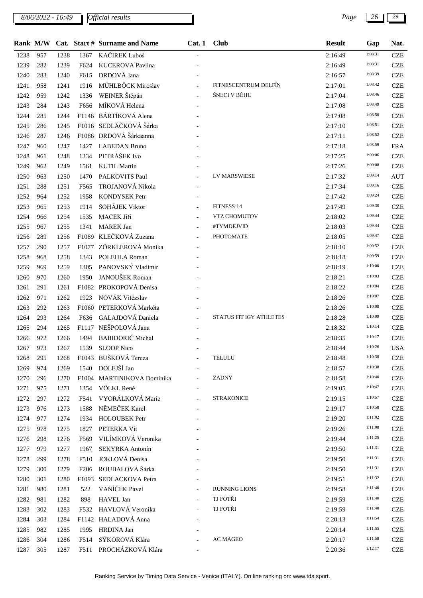*8/06/2022 - 16:49 Page 26 29*

*Official results*

|      |     |      |                  | Rank M/W Cat. Start # Surname and Name | Cat.1 | <b>Club</b>             | <b>Result</b> | Gap     | Nat.       |
|------|-----|------|------------------|----------------------------------------|-------|-------------------------|---------------|---------|------------|
| 1238 | 957 | 1238 | 1367             | KAČÍREK Luboš                          |       |                         | 2:16:49       | 1:08:31 | <b>CZE</b> |
| 1239 | 282 | 1239 | F624             | <b>KUCEROVA Pavlina</b>                |       |                         | 2:16:49       | 1:08:31 | <b>CZE</b> |
| 1240 | 283 | 1240 | F615             | DRDOVÁ Jana                            |       |                         | 2:16:57       | 1:08:39 | <b>CZE</b> |
| 1241 | 958 | 1241 | 1916             | MÜHLBÖCK Miroslav                      |       | FITNESCENTRUM DELFÍN    | 2:17:01       | 1:08:42 | <b>CZE</b> |
| 1242 | 959 | 1242 | 1336             | WEINER Štěpán                          |       | ŠNECI V BĚHU            | 2:17:04       | 1:08:46 | <b>CZE</b> |
| 1243 | 284 | 1243 | F656             | MÍKOVÁ Helena                          |       |                         | 2:17:08       | 1:08:49 | <b>CZE</b> |
| 1244 | 285 | 1244 |                  | F1146 BÁRTÍKOVÁ Alena                  |       |                         | 2:17:08       | 1:08:50 | <b>CZE</b> |
| 1245 | 286 | 1245 |                  | F1016 SEDLÁČKOVÁ Šárka                 |       |                         | 2:17:10       | 1:08:51 | <b>CZE</b> |
| 1246 | 287 | 1246 |                  | F1086 DRDOVÁ Šárkaanna                 |       |                         | 2:17:11       | 1:08:52 | <b>CZE</b> |
| 1247 | 960 | 1247 | 1427             | <b>LABEDAN Bruno</b>                   |       |                         | 2:17:18       | 1:08:59 | <b>FRA</b> |
| 1248 | 961 | 1248 | 1334             | PETRÁŠEK Ivo                           |       |                         | 2:17:25       | 1:09:06 | <b>CZE</b> |
| 1249 | 962 | 1249 | 1561             | <b>KUTIL Martin</b>                    |       |                         | 2:17:26       | 1:09:08 | <b>CZE</b> |
| 1250 | 963 | 1250 | 1470             | PALKOVITS Paul                         |       | LV MARSWIESE            | 2:17:32       | 1:09:14 | <b>AUT</b> |
| 1251 | 288 | 1251 | F565             | TROJANOVÁ Nikola                       |       |                         | 2:17:34       | 1:09:16 | <b>CZE</b> |
| 1252 | 964 | 1252 | 1958             | <b>KONDYSEK Petr</b>                   |       |                         | 2:17:42       | 1:09:24 | <b>CZE</b> |
| 1253 | 965 | 1253 | 1914             | ŠOHÁJEK Viktor                         |       | FITNESS 14              | 2:17:49       | 1:09:30 | <b>CZE</b> |
| 1254 | 966 | 1254 | 1535             | MACEK Jiří                             |       | VTZ CHOMUTOV            | 2:18:02       | 1:09:44 | <b>CZE</b> |
| 1255 | 967 | 1255 | 1341             | <b>MAREK Jan</b>                       |       | #TYMDEJVID              | 2:18:03       | 1:09:44 | <b>CZE</b> |
| 1256 | 289 | 1256 |                  | F1089 KLEČKOVÁ Zuzana                  |       | PHOTOMATE               | 2:18:05       | 1:09:47 | <b>CZE</b> |
| 1257 | 290 | 1257 |                  | F1077 ZÖRKLEROVÁ Monika                |       |                         | 2:18:10       | 1:09:52 | <b>CZE</b> |
| 1258 | 968 | 1258 | 1343             | POLEHLA Roman                          |       |                         | 2:18:18       | 1:09:59 | <b>CZE</b> |
| 1259 | 969 | 1259 | 1305             | PANOVSKÝ Vladimír                      |       |                         | 2:18:19       | 1:10:00 | <b>CZE</b> |
| 1260 | 970 | 1260 | 1950             | JANOUŠEK Roman                         |       |                         | 2:18:21       | 1:10:03 | <b>CZE</b> |
| 1261 | 291 | 1261 |                  | F1082 PROKOPOVÁ Denisa                 |       |                         | 2:18:22       | 1:10:04 | <b>CZE</b> |
| 1262 | 971 | 1262 | 1923             | NOVÁK Vitězslav                        |       |                         | 2:18:26       | 1:10:07 | <b>CZE</b> |
| 1263 | 292 | 1263 |                  | F1060 PETERKOVÁ Markéta                |       |                         | 2:18:26       | 1:10:08 | <b>CZE</b> |
| 1264 | 293 | 1264 | F636             | GALAJDOVÁ Daniela                      |       | STATUS FIT IGY ATHLETES | 2:18:28       | 1:10:09 | <b>CZE</b> |
| 1265 | 294 | 1265 |                  | F1117 NEŠPOLOVÁ Jana                   |       |                         | 2:18:32       | 1:10:14 | <b>CZE</b> |
| 1266 | 972 | 1266 | 1494             | <b>BABIDORIČ</b> Michal                |       |                         | 2:18:35       | 1:10:17 | <b>CZE</b> |
| 1267 | 973 | 1267 | 1539             | <b>SLOOP Nico</b>                      |       |                         | 2:18:44       | 1:10:26 | <b>USA</b> |
| 1268 | 295 | 1268 |                  | F1043 BUŠKOVÁ Tereza                   |       | TELULU                  | 2:18:48       | 1:10:30 | <b>CZE</b> |
| 1269 | 974 | 1269 | 1540             | DOLEJŠÍ Jan                            |       |                         | 2:18:57       | 1:10:38 | <b>CZE</b> |
| 1270 | 296 | 1270 |                  | F1004 MARTINIKOVA Dominika             |       | <b>ZADNY</b>            | 2:18:58       | 1:10:40 | <b>CZE</b> |
| 1271 | 975 | 1271 | 1354             | VÖLKL René                             |       |                         | 2:19:05       | 1:10:47 | <b>CZE</b> |
| 1272 | 297 | 1272 | F541             | VYORÁLKOVÁ Marie                       |       | <b>STRAKONICE</b>       | 2:19:15       | 1:10:57 | <b>CZE</b> |
| 1273 | 976 | 1273 | 1588             | NĚMEČEK Karel                          |       |                         | 2:19:17       | 1:10:58 | <b>CZE</b> |
| 1274 | 977 | 1274 | 1934             | <b>HOLOUBEK Petr</b>                   |       |                         | 2:19:20       | 1:11:02 | <b>CZE</b> |
| 1275 | 978 | 1275 | 1827             | PETERKA Vít                            |       |                         | 2:19:26       | 1:11:08 | <b>CZE</b> |
| 1276 | 298 | 1276 | F569             | VILÍMKOVÁ Veronika                     |       |                         | 2:19:44       | 1:11:25 | <b>CZE</b> |
| 1277 | 979 | 1277 | 1967             | SEKYRKA Antonín                        |       |                         | 2:19:50       | 1:11:31 | <b>CZE</b> |
| 1278 | 299 | 1278 | F510             | JOKLOVÁ Denisa                         |       |                         | 2:19:50       | 1:11:31 | <b>CZE</b> |
| 1279 | 300 | 1279 | F <sub>206</sub> | ROUBALOVÁ Šárka                        |       |                         | 2:19:50       | 1:11:31 | <b>CZE</b> |
| 1280 | 301 | 1280 |                  | F1093 SEDLACKOVA Petra                 |       |                         | 2:19:51       | 1:11:32 | <b>CZE</b> |
| 1281 | 980 | 1281 | 522              | VANÍČEK Pavel                          |       | <b>RUNNING LIONS</b>    | 2:19:58       | 1:11:40 | <b>CZE</b> |
| 1282 | 981 | 1282 | 898              | HAVEL Jan                              |       | TJ FOTŘI                | 2:19:59       | 1:11:40 | <b>CZE</b> |
| 1283 | 302 | 1283 | F532             | HAVLOVÁ Veronika                       |       | TJ FOTŘI                | 2:19:59       | 1:11:40 | <b>CZE</b> |
| 1284 | 303 | 1284 |                  | F1142 HALADOVÁ Anna                    |       |                         | 2:20:13       | 1:11:54 | <b>CZE</b> |
| 1285 | 982 | 1285 |                  | 1995 HRDINA Jan                        |       |                         | 2:20:14       | 1:11:55 | <b>CZE</b> |
|      |     |      |                  |                                        |       |                         |               |         |            |

1286 304 1286 F514 SÝKOROVÁ Klára - AC MAGEO 2:20:17 <sup>1:11:58</sup> CZE 305 1287 F511 PROCHÁZKOVÁ Klára - 2:20:36 CZE 1:12:17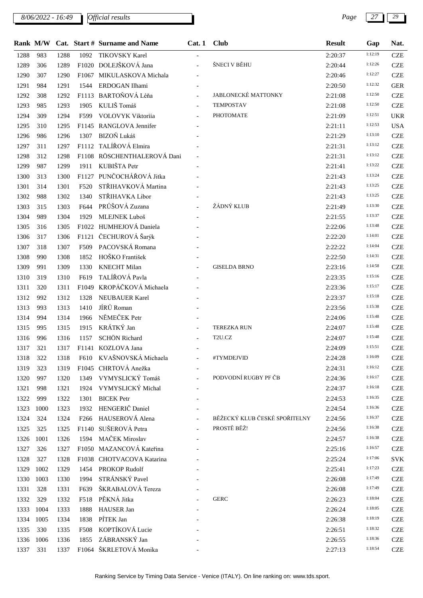*8/06/2022 - 16:49 Page 27 29*

|      |      |      |      | Rank M/W Cat. Start # Surname and Name | Cat.1                    | <b>Club</b>                    | <b>Result</b> | Gap     | Nat.       |
|------|------|------|------|----------------------------------------|--------------------------|--------------------------------|---------------|---------|------------|
| 1288 | 983  | 1288 | 1092 | <b>TIKOVSKY Karel</b>                  | $\overline{\phantom{a}}$ |                                | 2:20:37       | 1:12:19 | <b>CZE</b> |
| 1289 | 306  | 1289 |      | F1020 DOLEJŠKOVÁ Jana                  | $\equiv$                 | ŠNECI V BĚHU                   | 2:20:44       | 1:12:26 | <b>CZE</b> |
| 1290 | 307  | 1290 |      | F1067 MIKULASKOVA Michala              |                          |                                | 2:20:46       | 1:12:27 | <b>CZE</b> |
| 1291 | 984  | 1291 | 1544 | ERDOGAN Ilhami                         |                          |                                | 2:20:50       | 1:12:32 | <b>GER</b> |
| 1292 | 308  | 1292 |      | F1113 BARTOŇOVÁ Léňa                   | $\overline{\phantom{a}}$ | JABLONECKÉ MATTONKY            | 2:21:08       | 1:12:50 | <b>CZE</b> |
| 1293 | 985  | 1293 | 1905 | KULIŠ Tomáš                            | $\overline{\phantom{a}}$ | <b>TEMPOSTAV</b>               | 2:21:08       | 1:12:50 | <b>CZE</b> |
| 1294 | 309  | 1294 | F599 | VOLOVYK Viktoriia                      | $\overline{\phantom{a}}$ | PHOTOMATE                      | 2:21:09       | 1:12:51 | <b>UKR</b> |
| 1295 | 310  | 1295 |      | F1145 RANGLOVA Jennifer                |                          |                                | 2:21:11       | 1:12:53 | <b>USA</b> |
| 1296 | 986  | 1296 | 1307 | BIZOŇ Lukáš                            |                          |                                | 2:21:29       | 1:13:10 | <b>CZE</b> |
| 1297 | 311  | 1297 |      | F1112 TALÍŘOVÁ Elmira                  |                          |                                | 2:21:31       | 1:13:12 | <b>CZE</b> |
| 1298 | 312  | 1298 |      | F1108 RÖSCHENTHALEROVÁ Dani            |                          |                                | 2:21:31       | 1:13:12 | <b>CZE</b> |
| 1299 | 987  | 1299 | 1911 | KUBIŠTA Petr                           |                          |                                | 2:21:41       | 1:13:22 | <b>CZE</b> |
| 1300 | 313  | 1300 |      | F1127 PUNČOCHÁŘOVÁ Jitka               |                          |                                | 2:21:43       | 1:13:24 | <b>CZE</b> |
| 1301 | 314  | 1301 | F520 | STŘIHAVKOVÁ Martina                    |                          |                                | 2:21:43       | 1:13:25 | <b>CZE</b> |
| 1302 | 988  | 1302 | 1340 | STŘIHAVKA Libor                        |                          |                                | 2:21:43       | 1:13:25 | <b>CZE</b> |
| 1303 | 315  | 1303 | F644 | PRŮŠOVÁ Zuzana                         | $\overline{\phantom{a}}$ | ŽÁDNÝ KLUB                     | 2:21:49       | 1:13:30 | <b>CZE</b> |
| 1304 | 989  | 1304 | 1929 | MLEJNEK Luboš                          | $\overline{\phantom{a}}$ |                                | 2:21:55       | 1:13:37 | <b>CZE</b> |
| 1305 | 316  | 1305 |      | F1022 HUMHEJOVÁ Daniela                |                          |                                | 2:22:06       | 1:13:48 | <b>CZE</b> |
| 1306 | 317  | 1306 |      | F1121 ČECHUROVÁ Šarýk                  |                          |                                | 2:22:20       | 1:14:01 | <b>CZE</b> |
| 1307 | 318  | 1307 | F509 | PACOVSKÁ Romana                        |                          |                                | 2:22:22       | 1:14:04 | <b>CZE</b> |
| 1308 | 990  | 1308 | 1852 | HOŠKO František                        |                          |                                | 2:22:50       | 1:14:31 | <b>CZE</b> |
| 1309 | 991  | 1309 | 1330 | <b>KNECHT Milan</b>                    |                          | <b>GISELDA BRNO</b>            | 2:23:16       | 1:14:58 | <b>CZE</b> |
| 1310 | 319  | 1310 | F619 | TALÍŘOVÁ Pavla                         |                          |                                | 2:23:35       | 1:15:16 | <b>CZE</b> |
| 1311 | 320  | 1311 |      | F1049 KROPÁČKOVÁ Michaela              |                          |                                | 2:23:36       | 1:15:17 | <b>CZE</b> |
| 1312 | 992  | 1312 | 1328 | <b>NEUBAUER Karel</b>                  |                          |                                | 2:23:37       | 1:15:18 | <b>CZE</b> |
| 1313 | 993  | 1313 | 1410 | JÍRŮ Roman                             |                          |                                | 2:23:56       | 1:15:38 | <b>CZE</b> |
| 1314 | 994  | 1314 | 1966 | NĚMEČEK Petr                           |                          |                                | 2:24:06       | 1:15:48 | <b>CZE</b> |
| 1315 | 995  | 1315 | 1915 | KRÁTKÝ Jan                             |                          | <b>TEREZKA RUN</b>             | 2:24:07       | 1:15:48 | <b>CZE</b> |
| 1316 | 996  | 1316 | 1157 | <b>SCHÖN Richard</b>                   |                          | $\ensuremath{\mathsf{T2U.CZ}}$ | 2:24:07       | 1:15:48 | <b>CZE</b> |
| 1317 | 321  | 1317 |      | F1141 KOZLOVA Jana                     |                          |                                | 2:24:09       | 1:15:51 | <b>CZE</b> |
| 1318 | 322  | 1318 |      | F610 KVAŠNOVSKÁ Michaela               | $\frac{1}{2}$            | #TYMDEJVID                     | 2:24:28       | 1:16:09 | <b>CZE</b> |
| 1319 | 323  | 1319 |      | F1045 CHRTOVÁ Anežka                   |                          |                                | 2:24:31       | 1:16:12 | <b>CZE</b> |
| 1320 | 997  | 1320 | 1349 | VYMYSLICKÝ Tomáš                       |                          | PODVODNÍ RUGBY PF ČB           | 2:24:36       | 1:16:17 | <b>CZE</b> |
| 1321 | 998  | 1321 | 1924 | VYMYSLICKÝ Michal                      |                          |                                | 2:24:37       | 1:16:18 | <b>CZE</b> |
| 1322 | 999  | 1322 | 1301 | <b>BICEK</b> Petr                      |                          |                                | 2:24:53       | 1:16:35 | <b>CZE</b> |
| 1323 | 1000 | 1323 | 1932 | HENGERIČ Daniel                        |                          |                                | 2:24:54       | 1:16:36 | <b>CZE</b> |
| 1324 | 324  | 1324 |      | F266 HAUSEROVÁ Alena                   |                          | BĚŽECKÝ KLUB ČESKÉ SPOŘITELNY  | 2:24:56       | 1:16:37 | <b>CZE</b> |
| 1325 | 325  | 1325 |      | F1140 SUŠEROVÁ Petra                   |                          | PROSTĚ BĚŽ!                    | 2:24:56       | 1:16:38 | <b>CZE</b> |
| 1326 | 1001 | 1326 | 1594 | MAČEK Miroslav                         |                          |                                | 2:24:57       | 1:16:38 | <b>CZE</b> |
| 1327 | 326  | 1327 |      | F1050 MAZANCOVÁ Kateřina               |                          |                                | 2:25:16       | 1:16:57 | <b>CZE</b> |
| 1328 | 327  | 1328 |      | F1038 CHOTVACOVA Katarina              |                          |                                | 2:25:24       | 1:17:06 | <b>SVK</b> |
| 1329 | 1002 | 1329 | 1454 | PROKOP Rudolf                          |                          |                                | 2:25:41       | 1:17:23 | <b>CZE</b> |
| 1330 | 1003 | 1330 | 1994 | STRÁNSKÝ Pavel                         |                          |                                | 2:26:08       | 1:17:49 | <b>CZE</b> |
| 1331 | 328  | 1331 | F639 | ŠKRABALOVÁ Tereza                      |                          |                                | 2:26:08       | 1:17:49 | <b>CZE</b> |
| 1332 | 329  | 1332 | F518 | PĚKNÁ Jitka                            |                          | <b>GERC</b>                    | 2:26:23       | 1:18:04 | <b>CZE</b> |
| 1333 | 1004 | 1333 | 1888 | HAUSER Jan                             |                          |                                | 2:26:24       | 1:18:05 | <b>CZE</b> |
| 1334 | 1005 | 1334 | 1838 | PÍTEK Jan                              |                          |                                | 2:26:38       | 1:18:19 | <b>CZE</b> |
| 1335 | 330  | 1335 | F508 | KOPTÍKOVÁ Lucie                        |                          |                                | 2:26:51       | 1:18:32 | <b>CZE</b> |
| 1336 | 1006 | 1336 | 1855 | ZÁBRANSKÝ Jan                          |                          |                                | 2:26:55       | 1:18:36 | <b>CZE</b> |
| 1337 | 331  | 1337 |      | F1064 ŠKRLETOVÁ Monika                 |                          |                                | 2:27:13       | 1:18:54 | <b>CZE</b> |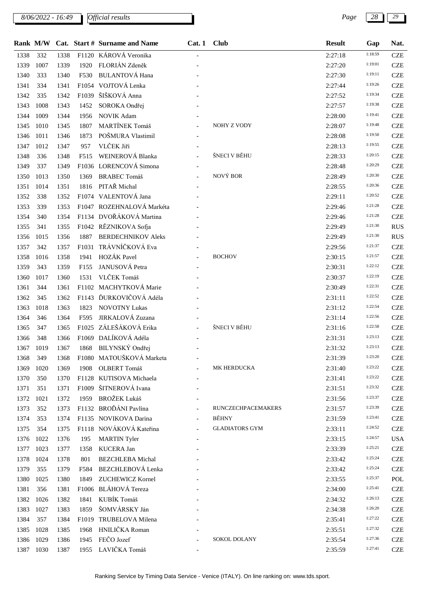*8/06/2022 - 16:49 Page 28 29*

|      |      |      |                  | Rank M/W Cat. Start # Surname and Name | Cat.1                    | <b>Club</b>               | <b>Result</b> | Gap     | Nat.       |
|------|------|------|------------------|----------------------------------------|--------------------------|---------------------------|---------------|---------|------------|
| 1338 | 332  | 1338 |                  | F1120 KÁROVÁ Veronika                  |                          |                           | 2:27:18       | 1:18:59 | <b>CZE</b> |
| 1339 | 1007 | 1339 | 1920             | FLORIÁN Zdeněk                         |                          |                           | 2:27:20       | 1:19:01 | <b>CZE</b> |
| 1340 | 333  | 1340 | F530             | <b>BULANTOVÁ Hana</b>                  |                          |                           | 2:27:30       | 1:19:11 | <b>CZE</b> |
| 1341 | 334  | 1341 |                  | F1054 VOJTOVÁ Lenka                    |                          |                           | 2:27:44       | 1:19:26 | <b>CZE</b> |
| 1342 | 335  | 1342 |                  | F1039 ŠIŠKOVÁ Anna                     |                          |                           | 2:27:52       | 1:19:34 | <b>CZE</b> |
| 1343 | 1008 | 1343 | 1452             | SOROKA Ondřej                          |                          |                           | 2:27:57       | 1:19:38 | <b>CZE</b> |
| 1344 | 1009 | 1344 | 1956             | <b>NOVIK Adam</b>                      |                          |                           | 2:28:00       | 1:19:41 | <b>CZE</b> |
| 1345 | 1010 | 1345 | 1807             | MARTÍNEK Tomáš                         |                          | NOHY Z VODY               | 2:28:07       | 1:19:48 | <b>CZE</b> |
| 1346 | 1011 | 1346 | 1873             | POŠMURA Vlastimil                      |                          |                           | 2:28:08       | 1:19:50 | <b>CZE</b> |
| 1347 | 1012 | 1347 | 957              | VLČEK Jiří                             |                          |                           | 2:28:13       | 1:19:55 | <b>CZE</b> |
| 1348 | 336  | 1348 | F515             | WEINEROVÁ Blanka                       |                          | ŠNECI V BĚHU              | 2:28:33       | 1:20:15 | <b>CZE</b> |
| 1349 | 337  | 1349 |                  | F1036 LORENCOVÁ Simona                 |                          |                           | 2:28:48       | 1:20:29 | <b>CZE</b> |
| 1350 | 1013 | 1350 | 1369             | <b>BRABEC Tomáš</b>                    |                          | NOVÝ BOR                  | 2:28:49       | 1:20:30 | <b>CZE</b> |
| 1351 | 1014 | 1351 | 1816             | PITAŘ Michal                           |                          |                           | 2:28:55       | 1:20:36 | <b>CZE</b> |
| 1352 | 338  | 1352 |                  | F1074 VALENTOVÁ Jana                   |                          |                           | 2:29:11       | 1:20:52 | <b>CZE</b> |
| 1353 | 339  | 1353 |                  | F1047 ROZEHNALOVÁ Markéta              |                          |                           | 2:29:46       | 1:21:28 | <b>CZE</b> |
| 1354 | 340  | 1354 |                  | F1134 DVOŘÁKOVÁ Martina                |                          |                           | 2:29:46       | 1:21:28 | <b>CZE</b> |
| 1355 | 341  | 1355 |                  | F1042 RĚZNIKOVA Sofja                  |                          |                           | 2:29:49       | 1:21:30 | <b>RUS</b> |
| 1356 | 1015 | 1356 | 1887             | <b>BERDECHNIKOV Aleks</b>              |                          |                           | 2:29:49       | 1:21:30 | <b>RUS</b> |
| 1357 | 342  | 1357 |                  | F1031 TRÁVNÍČKOVÁ Eva                  |                          |                           | 2:29:56       | 1:21:37 | <b>CZE</b> |
| 1358 | 1016 | 1358 | 1941             | HOZÁK Pavel                            |                          | <b>BOCHOV</b>             | 2:30:15       | 1:21:57 | <b>CZE</b> |
| 1359 | 343  | 1359 | F <sub>155</sub> | JANUSOVÁ Petra                         |                          |                           | 2:30:31       | 1:22:12 | <b>CZE</b> |
| 1360 | 1017 | 1360 | 1531             | VLČEK Tomáš                            |                          |                           | 2:30:37       | 1:22:19 | <b>CZE</b> |
| 1361 | 344  | 1361 |                  | F1102 MACHYTKOVÁ Marie                 |                          |                           | 2:30:49       | 1:22:31 | <b>CZE</b> |
| 1362 | 345  | 1362 |                  | F1143 ĎURKOVIČOVÁ Adéla                |                          |                           | 2:31:11       | 1:22:52 | <b>CZE</b> |
| 1363 | 1018 | 1363 | 1823             | <b>NOVOTNY Lukas</b>                   |                          |                           | 2:31:12       | 1:22:54 | <b>CZE</b> |
| 1364 | 346  | 1364 | F595             | JIRKALOVÁ Zuzana                       |                          |                           | 2:31:14       | 1:22:56 | <b>CZE</b> |
| 1365 | 347  | 1365 |                  | F1025 ZÁLEŠÁKOVÁ Erika                 |                          | ŠNECI V BĚHU              | 2:31:16       | 1:22:58 | <b>CZE</b> |
| 1366 | 348  | 1366 |                  | F1069 DALÍKOVÁ Adéla                   |                          |                           | 2:31:31       | 1:23:13 | <b>CZE</b> |
| 1367 | 1019 | 1367 |                  | 1868 BILYNSKÝ Ondřej                   |                          |                           | 2:31:32       | 1:23:13 | <b>CZE</b> |
| 1368 | 349  | 1368 |                  | F1080 MATOUŠKOVÁ Marketa               |                          |                           | 2:31:39       | 1:23:20 | <b>CZE</b> |
| 1369 | 1020 | 1369 | 1908             | OLBERT Tomáš                           |                          | MK HERDUCKA               | 2:31:40       | 1:23:22 | <b>CZE</b> |
| 1370 | 350  | 1370 |                  | F1128 KUTISOVA Michaela                |                          |                           | 2:31:41       | 1:23:22 | <b>CZE</b> |
| 1371 | 351  | 1371 |                  | F1009 ŠITNEROVÁ Ivana                  |                          |                           | 2:31:51       | 1:23:32 | <b>CZE</b> |
| 1372 | 1021 | 1372 | 1959             | <b>BROŽEK Lukáš</b>                    |                          |                           | 2:31:56       | 1:23:37 | <b>CZE</b> |
| 1373 | 352  | 1373 |                  | F1132 BROĎÁNI Pavlína                  |                          | <b>RUNCZECHPACEMAKERS</b> | 2:31:57       | 1:23:39 | <b>CZE</b> |
| 1374 | 353  | 1374 |                  | F1135 NOVIKOVA Darina                  | $\overline{\phantom{a}}$ | BĚHNY                     | 2:31:59       | 1:23:41 | <b>CZE</b> |
| 1375 | 354  | 1375 |                  | F1118 NOVÁKOVÁ Kateřina                |                          | <b>GLADIATORS GYM</b>     | 2:33:11       | 1:24:52 | <b>CZE</b> |
| 1376 | 1022 | 1376 | 195              | <b>MARTIN</b> Tyler                    |                          |                           | 2:33:15       | 1:24:57 | <b>USA</b> |
| 1377 | 1023 | 1377 | 1358             | KUCERA Jan                             |                          |                           | 2:33:39       | 1:25:21 | <b>CZE</b> |
| 1378 | 1024 | 1378 | 801              | <b>BEZCHLEBA</b> Michal                |                          |                           | 2:33:42       | 1:25:24 | <b>CZE</b> |
| 1379 | 355  | 1379 | F584             | <b>BEZCHLEBOVÁ Lenka</b>               |                          |                           | 2:33:42       | 1:25:24 | <b>CZE</b> |
| 1380 | 1025 | 1380 | 1849             | <b>ZUCHEWICZ Kornel</b>                |                          |                           | 2:33:55       | 1:25:37 | POL        |
| 1381 | 356  | 1381 |                  | F1006 BLÁHOVÁ Tereza                   |                          |                           | 2:34:00       | 1:25:41 | <b>CZE</b> |
| 1382 | 1026 | 1382 | 1841             | KUBÍK Tomáš                            |                          |                           | 2:34:32       | 1:26:13 | <b>CZE</b> |
| 1383 | 1027 | 1383 | 1859             | ŠOMVÁRSKY Ján                          |                          |                           | 2:34:38       | 1:26:20 | <b>CZE</b> |
| 1384 | 357  | 1384 |                  | F1019 TRUBELOVA Milena                 |                          |                           | 2:35:41       | 1:27:22 | <b>CZE</b> |
| 1385 | 1028 | 1385 | 1968             | HNILIČKA Roman                         |                          |                           | 2:35:51       | 1:27:32 | <b>CZE</b> |
| 1386 | 1029 | 1386 | 1945             | FEČO Jozef                             |                          | SOKOL DOLANY              | 2:35:54       | 1:27:36 | <b>CZE</b> |
| 1387 | 1030 | 1387 |                  | 1955 LAVIČKA Tomáš                     |                          |                           | 2:35:59       | 1:27:41 | <b>CZE</b> |